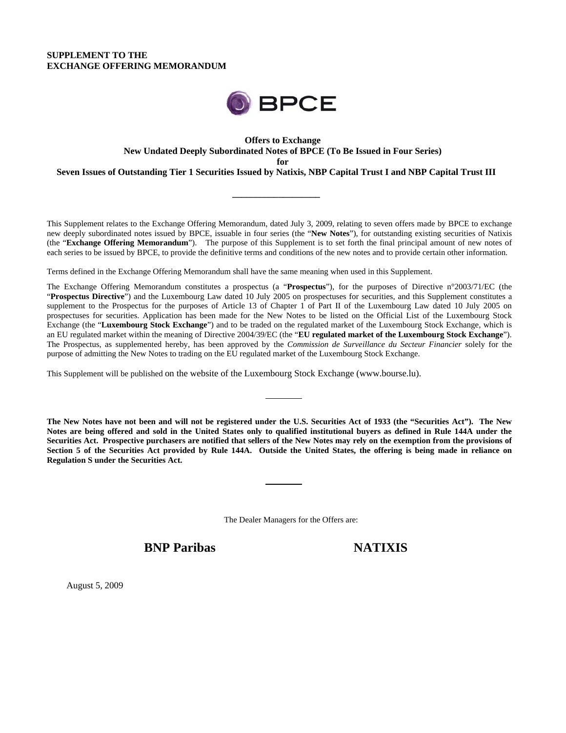# **SUPPLEMENT TO THE EXCHANGE OFFERING MEMORANDUM**



# **Offers to Exchange New Undated Deeply Subordinated Notes of BPCE (To Be Issued in Four Series) for**

**Seven Issues of Outstanding Tier 1 Securities Issued by Natixis, NBP Capital Trust I and NBP Capital Trust III** 

**\_\_\_\_\_\_\_\_\_\_\_\_\_\_\_\_\_\_\_** 

This Supplement relates to the Exchange Offering Memorandum, dated July 3, 2009, relating to seven offers made by BPCE to exchange new deeply subordinated notes issued by BPCE, issuable in four series (the "**New Notes**"), for outstanding existing securities of Natixis (the "**Exchange Offering Memorandum**"). The purpose of this Supplement is to set forth the final principal amount of new notes of each series to be issued by BPCE, to provide the definitive terms and conditions of the new notes and to provide certain other information.

Terms defined in the Exchange Offering Memorandum shall have the same meaning when used in this Supplement.

The Exchange Offering Memorandum constitutes a prospectus (a "**Prospectus**"), for the purposes of Directive n°2003/71/EC (the "**Prospectus Directive**") and the Luxembourg Law dated 10 July 2005 on prospectuses for securities, and this Supplement constitutes a supplement to the Prospectus for the purposes of Article 13 of Chapter 1 of Part II of the Luxembourg Law dated 10 July 2005 on prospectuses for securities. Application has been made for the New Notes to be listed on the Official List of the Luxembourg Stock Exchange (the "**Luxembourg Stock Exchange**") and to be traded on the regulated market of the Luxembourg Stock Exchange, which is an EU regulated market within the meaning of Directive 2004/39/EC (the "**EU regulated market of the Luxembourg Stock Exchange**"). The Prospectus, as supplemented hereby, has been approved by the *Commission de Surveillance du Secteur Financier* solely for the purpose of admitting the New Notes to trading on the EU regulated market of the Luxembourg Stock Exchange.

This Supplement will be published on the website of the Luxembourg Stock Exchange (www.bourse.lu).

**The New Notes have not been and will not be registered under the U.S. Securities Act of 1933 (the "Securities Act"). The New Notes are being offered and sold in the United States only to qualified institutional buyers as defined in Rule 144A under the Securities Act. Prospective purchasers are notified that sellers of the New Notes may rely on the exemption from the provisions of Section 5 of the Securities Act provided by Rule 144A. Outside the United States, the offering is being made in reliance on Regulation S under the Securities Act.** 

The Dealer Managers for the Offers are:

**BNP Paribas NATIXIS** 

August 5, 2009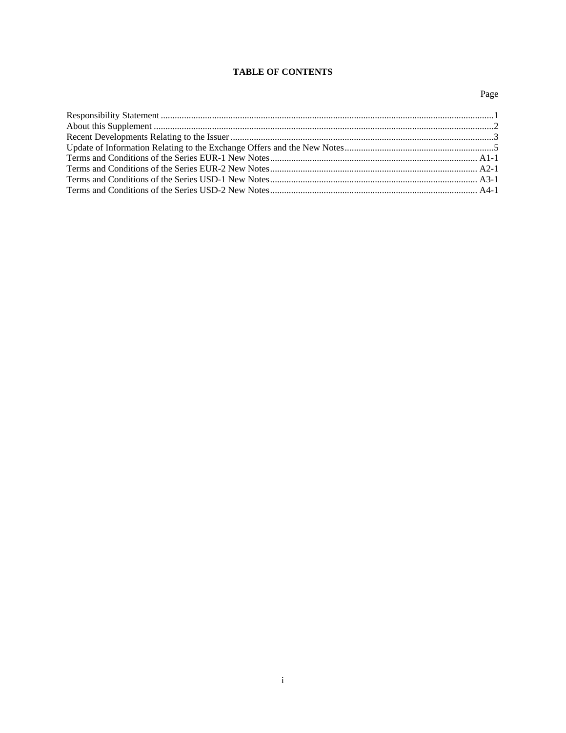# **TABLE OF CONTENTS**

# Page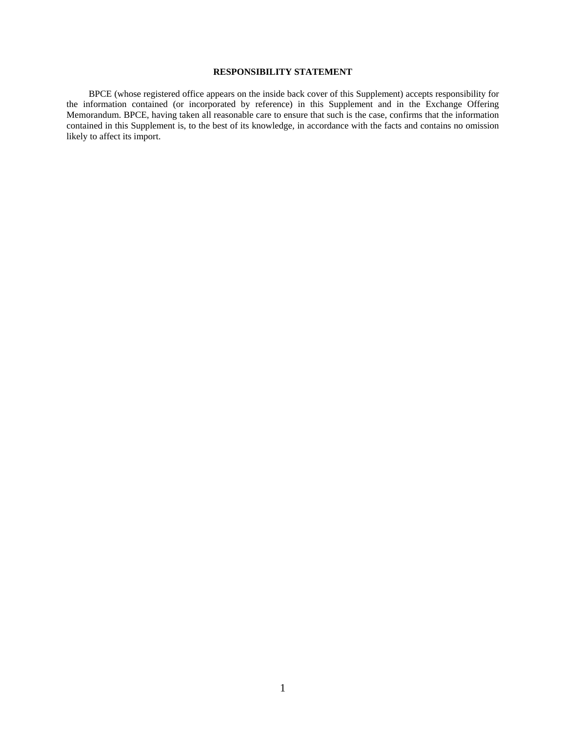## **RESPONSIBILITY STATEMENT**

BPCE (whose registered office appears on the inside back cover of this Supplement) accepts responsibility for the information contained (or incorporated by reference) in this Supplement and in the Exchange Offering Memorandum. BPCE, having taken all reasonable care to ensure that such is the case, confirms that the information contained in this Supplement is, to the best of its knowledge, in accordance with the facts and contains no omission likely to affect its import.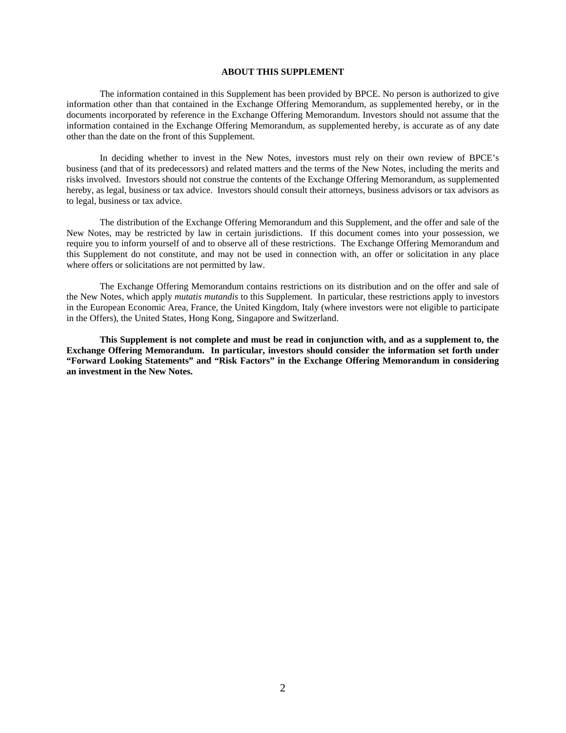#### **ABOUT THIS SUPPLEMENT**

The information contained in this Supplement has been provided by BPCE. No person is authorized to give information other than that contained in the Exchange Offering Memorandum, as supplemented hereby, or in the documents incorporated by reference in the Exchange Offering Memorandum. Investors should not assume that the information contained in the Exchange Offering Memorandum, as supplemented hereby, is accurate as of any date other than the date on the front of this Supplement.

In deciding whether to invest in the New Notes, investors must rely on their own review of BPCE's business (and that of its predecessors) and related matters and the terms of the New Notes, including the merits and risks involved. Investors should not construe the contents of the Exchange Offering Memorandum, as supplemented hereby, as legal, business or tax advice. Investors should consult their attorneys, business advisors or tax advisors as to legal, business or tax advice.

The distribution of the Exchange Offering Memorandum and this Supplement, and the offer and sale of the New Notes, may be restricted by law in certain jurisdictions. If this document comes into your possession, we require you to inform yourself of and to observe all of these restrictions. The Exchange Offering Memorandum and this Supplement do not constitute, and may not be used in connection with, an offer or solicitation in any place where offers or solicitations are not permitted by law.

The Exchange Offering Memorandum contains restrictions on its distribution and on the offer and sale of the New Notes, which apply *mutatis mutandis* to this Supplement. In particular, these restrictions apply to investors in the European Economic Area, France, the United Kingdom, Italy (where investors were not eligible to participate in the Offers), the United States, Hong Kong, Singapore and Switzerland.

**This Supplement is not complete and must be read in conjunction with, and as a supplement to, the Exchange Offering Memorandum. In particular, investors should consider the information set forth under "Forward Looking Statements" and "Risk Factors" in the Exchange Offering Memorandum in considering an investment in the New Notes.**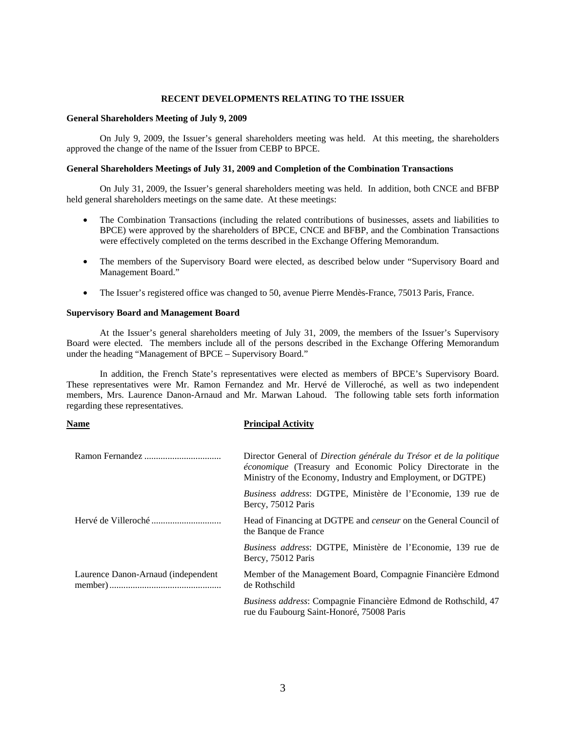#### **RECENT DEVELOPMENTS RELATING TO THE ISSUER**

#### **General Shareholders Meeting of July 9, 2009**

On July 9, 2009, the Issuer's general shareholders meeting was held. At this meeting, the shareholders approved the change of the name of the Issuer from CEBP to BPCE.

#### **General Shareholders Meetings of July 31, 2009 and Completion of the Combination Transactions**

 On July 31, 2009, the Issuer's general shareholders meeting was held. In addition, both CNCE and BFBP held general shareholders meetings on the same date. At these meetings:

- The Combination Transactions (including the related contributions of businesses, assets and liabilities to BPCE) were approved by the shareholders of BPCE, CNCE and BFBP, and the Combination Transactions were effectively completed on the terms described in the Exchange Offering Memorandum.
- The members of the Supervisory Board were elected, as described below under "Supervisory Board and Management Board."
- The Issuer's registered office was changed to 50, avenue Pierre Mendès-France, 75013 Paris, France.

#### **Supervisory Board and Management Board**

 At the Issuer's general shareholders meeting of July 31, 2009, the members of the Issuer's Supervisory Board were elected. The members include all of the persons described in the Exchange Offering Memorandum under the heading "Management of BPCE – Supervisory Board."

In addition, the French State's representatives were elected as members of BPCE's Supervisory Board. These representatives were Mr. Ramon Fernandez and Mr. Hervé de Villeroché, as well as two independent members, Mrs. Laurence Danon-Arnaud and Mr. Marwan Lahoud. The following table sets forth information regarding these representatives.

| Name                               | <b>Principal Activity</b>                                                                                                                                                                         |
|------------------------------------|---------------------------------------------------------------------------------------------------------------------------------------------------------------------------------------------------|
|                                    | Director General of Direction générale du Trésor et de la politique<br>économique (Treasury and Economic Policy Directorate in the<br>Ministry of the Economy, Industry and Employment, or DGTPE) |
|                                    | Business address: DGTPE, Ministère de l'Economie, 139 rue de<br>Bercy, 75012 Paris                                                                                                                |
|                                    | Head of Financing at DGTPE and <i>censeur</i> on the General Council of<br>the Banque de France                                                                                                   |
|                                    | <i>Business address: DGTPE, Ministère de l'Economie, 139 rue de</i><br>Bercy, 75012 Paris                                                                                                         |
| Laurence Danon-Arnaud (independent | Member of the Management Board, Compagnie Financière Edmond<br>de Rothschild                                                                                                                      |
|                                    | <i>Business address:</i> Compagnie Financière Edmond de Rothschild, 47<br>rue du Faubourg Saint-Honoré, 75008 Paris                                                                               |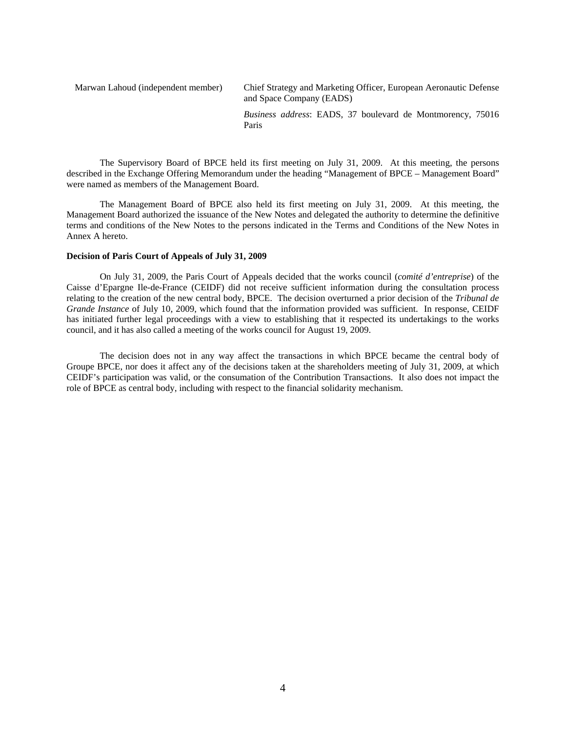Marwan Lahoud (independent member) Chief Strategy and Marketing Officer, European Aeronautic Defense and Space Company (EADS) *Business address*: EADS, 37 boulevard de Montmorency, 75016 Paris

The Supervisory Board of BPCE held its first meeting on July 31, 2009. At this meeting, the persons described in the Exchange Offering Memorandum under the heading "Management of BPCE – Management Board" were named as members of the Management Board.

The Management Board of BPCE also held its first meeting on July 31, 2009. At this meeting, the Management Board authorized the issuance of the New Notes and delegated the authority to determine the definitive terms and conditions of the New Notes to the persons indicated in the Terms and Conditions of the New Notes in Annex A hereto.

#### **Decision of Paris Court of Appeals of July 31, 2009**

On July 31, 2009, the Paris Court of Appeals decided that the works council (*comité d'entreprise*) of the Caisse d'Epargne Ile-de-France (CEIDF) did not receive sufficient information during the consultation process relating to the creation of the new central body, BPCE. The decision overturned a prior decision of the *Tribunal de Grande Instance* of July 10, 2009, which found that the information provided was sufficient. In response, CEIDF has initiated further legal proceedings with a view to establishing that it respected its undertakings to the works council, and it has also called a meeting of the works council for August 19, 2009.

The decision does not in any way affect the transactions in which BPCE became the central body of Groupe BPCE, nor does it affect any of the decisions taken at the shareholders meeting of July 31, 2009, at which CEIDF's participation was valid, or the consumation of the Contribution Transactions. It also does not impact the role of BPCE as central body, including with respect to the financial solidarity mechanism.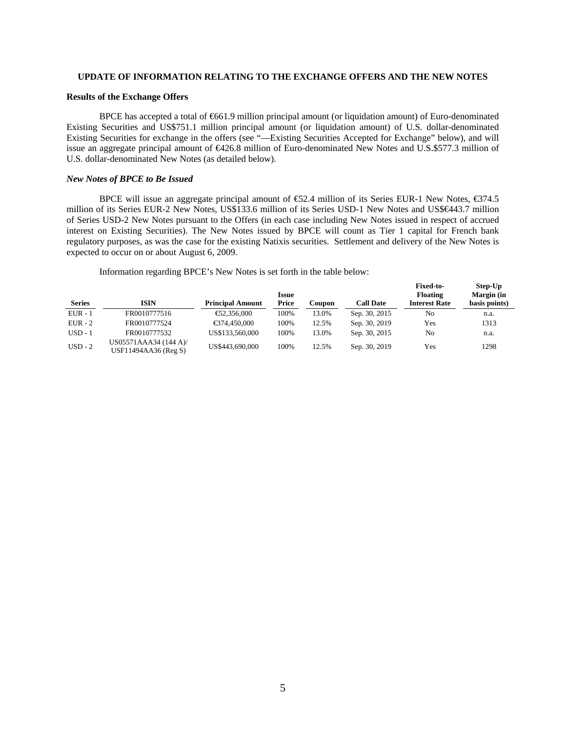### **UPDATE OF INFORMATION RELATING TO THE EXCHANGE OFFERS AND THE NEW NOTES**

#### **Results of the Exchange Offers**

BPCE has accepted a total of €661.9 million principal amount (or liquidation amount) of Euro-denominated Existing Securities and US\$751.1 million principal amount (or liquidation amount) of U.S. dollar-denominated Existing Securities for exchange in the offers (see "—Existing Securities Accepted for Exchange" below), and will issue an aggregate principal amount of €426.8 million of Euro-denominated New Notes and U.S.\$577.3 million of U.S. dollar-denominated New Notes (as detailed below).

#### *New Notes of BPCE to Be Issued*

BPCE will issue an aggregate principal amount of €52.4 million of its Series EUR-1 New Notes, €374.5 million of its Series EUR-2 New Notes, US\$133.6 million of its Series USD-1 New Notes and US\$€443.7 million of Series USD-2 New Notes pursuant to the Offers (in each case including New Notes issued in respect of accrued interest on Existing Securities). The New Notes issued by BPCE will count as Tier 1 capital for French bank regulatory purposes, as was the case for the existing Natixis securities. Settlement and delivery of the New Notes is expected to occur on or about August 6, 2009.

Information regarding BPCE's New Notes is set forth in the table below:

| <b>Series</b> | <b>ISIN</b>                                   | <b>Principal Amount</b> | <b>Issue</b><br><b>Price</b> | Coupon | <b>Call Date</b> | <b>Fixed-to-</b><br>Floating<br><b>Interest Rate</b> | Step-Up<br>Margin (in<br>basis points) |
|---------------|-----------------------------------------------|-------------------------|------------------------------|--------|------------------|------------------------------------------------------|----------------------------------------|
| $EUR - 1$     | FR0010777516                                  | €2,356,000              | 100%                         | 13.0%  | Sep. 30, 2015    | No                                                   | n.a.                                   |
| $EUR - 2$     | FR0010777524                                  | €374.450.000            | 100%                         | 12.5%  | Sep. 30, 2019    | Yes                                                  | 1313                                   |
| $USD - 1$     | FR0010777532                                  | US\$133,560,000         | 100%                         | 13.0%  | Sep. 30, 2015    | No                                                   | n.a.                                   |
| $USD - 2$     | US05571AAA34 (144 A)/<br>USF11494AA36 (Reg S) | US\$443,690,000         | 100%                         | 12.5%  | Sep. 30, 2019    | Yes                                                  | 1298                                   |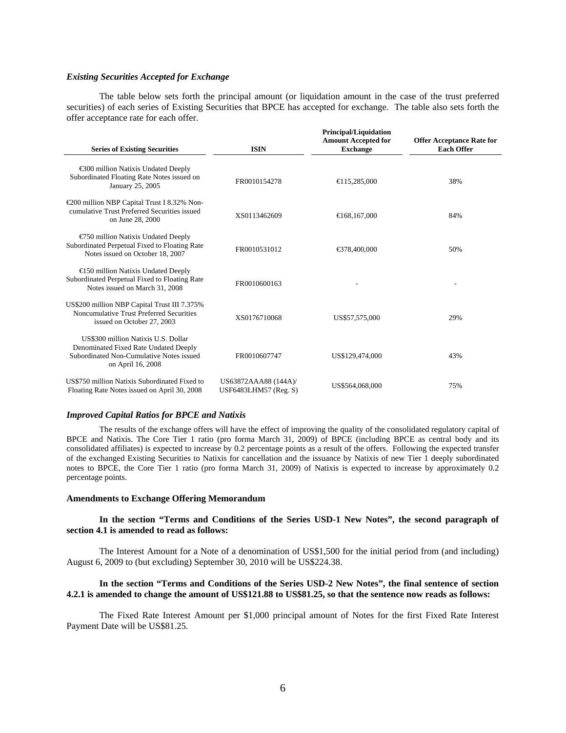#### *Existing Securities Accepted for Exchange*

The table below sets forth the principal amount (or liquidation amount in the case of the trust preferred securities) of each series of Existing Securities that BPCE has accepted for exchange. The table also sets forth the offer acceptance rate for each offer.

| <b>Series of Existing Securities</b>                                                                                                          | <b>ISIN</b>                                      | <b>Principal/Liquidation</b><br><b>Amount Accepted for</b><br><b>Exchange</b> | <b>Offer Acceptance Rate for</b><br><b>Each Offer</b> |  |
|-----------------------------------------------------------------------------------------------------------------------------------------------|--------------------------------------------------|-------------------------------------------------------------------------------|-------------------------------------------------------|--|
| €300 million Natixis Undated Deeply<br>Subordinated Floating Rate Notes issued on<br>January 25, 2005                                         | FR0010154278                                     | $\bigoplus$ 15,285,000                                                        | 38%                                                   |  |
| €200 million NBP Capital Trust I 8.32% Non-<br>cumulative Trust Preferred Securities issued<br>on June 28, 2000                               | XS0113462609                                     | €168,167,000                                                                  | 84%                                                   |  |
| $\epsilon$ 50 million Natixis Undated Deeply<br>Subordinated Perpetual Fixed to Floating Rate<br>Notes issued on October 18, 2007             | FR0010531012                                     | €378,400,000                                                                  | 50%                                                   |  |
| €150 million Natixis Undated Deeply<br>Subordinated Perpetual Fixed to Floating Rate<br>Notes issued on March 31, 2008                        | FR0010600163                                     |                                                                               |                                                       |  |
| US\$200 million NBP Capital Trust III 7.375%<br>Noncumulative Trust Preferred Securities<br>issued on October 27, 2003                        | XS0176710068                                     | US\$57,575,000                                                                | 29%                                                   |  |
| US\$300 million Natixis U.S. Dollar<br>Denominated Fixed Rate Undated Deeply<br>Subordinated Non-Cumulative Notes issued<br>on April 16, 2008 | FR0010607747                                     | US\$129,474,000                                                               | 43%                                                   |  |
| US\$750 million Natixis Subordinated Fixed to<br>Floating Rate Notes issued on April 30, 2008                                                 | US63872AAA88 (144A)/<br>USF6483LHM57 (Reg. $S$ ) | US\$564,068,000                                                               | 75%                                                   |  |

#### *Improved Capital Ratios for BPCE and Natixis*

The results of the exchange offers will have the effect of improving the quality of the consolidated regulatory capital of BPCE and Natixis. The Core Tier 1 ratio (pro forma March 31, 2009) of BPCE (including BPCE as central body and its consolidated affiliates) is expected to increase by 0.2 percentage points as a result of the offers. Following the expected transfer of the exchanged Existing Securities to Natixis for cancellation and the issuance by Natixis of new Tier 1 deeply subordinated notes to BPCE, the Core Tier 1 ratio (pro forma March 31, 2009) of Natixis is expected to increase by approximately 0.2 percentage points.

### **Amendments to Exchange Offering Memorandum**

### **In the section "Terms and Conditions of the Series USD-1 New Notes", the second paragraph of section 4.1 is amended to read as follows:**

The Interest Amount for a Note of a denomination of US\$1,500 for the initial period from (and including) August 6, 2009 to (but excluding) September 30, 2010 will be US\$224.38.

### **In the section "Terms and Conditions of the Series USD-2 New Notes", the final sentence of section 4.2.1 is amended to change the amount of US\$121.88 to US\$81.25, so that the sentence now reads as follows:**

The Fixed Rate Interest Amount per \$1,000 principal amount of Notes for the first Fixed Rate Interest Payment Date will be US\$81.25.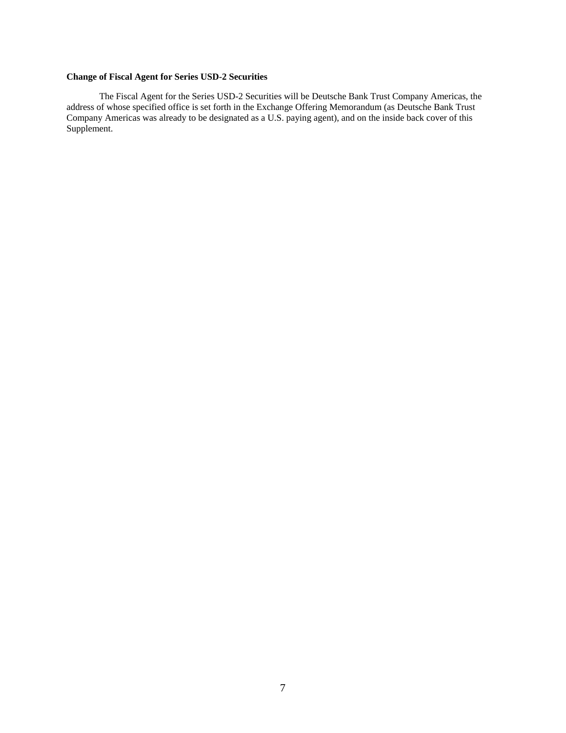# **Change of Fiscal Agent for Series USD-2 Securities**

The Fiscal Agent for the Series USD-2 Securities will be Deutsche Bank Trust Company Americas, the address of whose specified office is set forth in the Exchange Offering Memorandum (as Deutsche Bank Trust Company Americas was already to be designated as a U.S. paying agent), and on the inside back cover of this Supplement.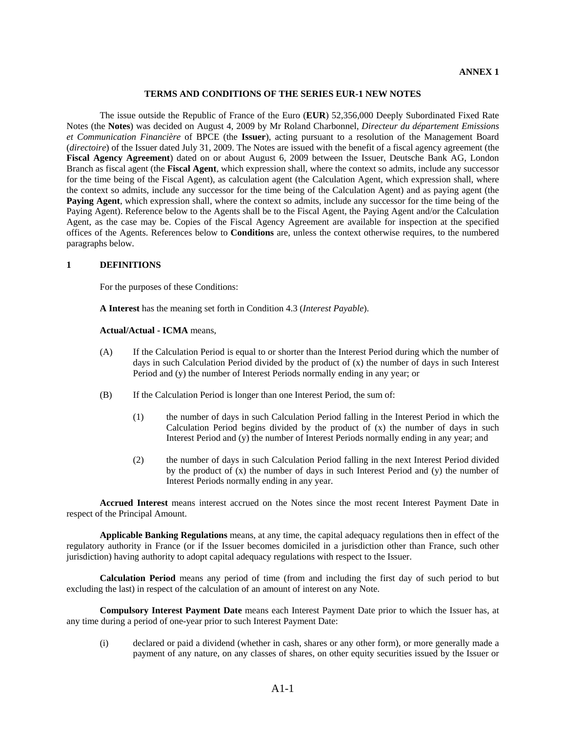### **TERMS AND CONDITIONS OF THE SERIES EUR-1 NEW NOTES**

The issue outside the Republic of France of the Euro (**EUR**) 52,356,000 Deeply Subordinated Fixed Rate Notes (the **Notes**) was decided on August 4, 2009 by Mr Roland Charbonnel, *Directeur du département Emissions et Communication Financière* of BPCE (the **Issuer**), acting pursuant to a resolution of the Management Board (*directoire*) of the Issuer dated July 31, 2009. The Notes are issued with the benefit of a fiscal agency agreement (the **Fiscal Agency Agreement**) dated on or about August 6, 2009 between the Issuer, Deutsche Bank AG, London Branch as fiscal agent (the **Fiscal Agent**, which expression shall, where the context so admits, include any successor for the time being of the Fiscal Agent), as calculation agent (the Calculation Agent, which expression shall, where the context so admits, include any successor for the time being of the Calculation Agent) and as paying agent (the **Paying Agent**, which expression shall, where the context so admits, include any successor for the time being of the Paying Agent). Reference below to the Agents shall be to the Fiscal Agent, the Paying Agent and/or the Calculation Agent, as the case may be. Copies of the Fiscal Agency Agreement are available for inspection at the specified offices of the Agents. References below to **Conditions** are, unless the context otherwise requires, to the numbered paragraphs below.

#### **1 DEFINITIONS**

For the purposes of these Conditions:

**A Interest** has the meaning set forth in Condition 4.3 (*Interest Payable*).

#### **Actual/Actual - ICMA** means,

- (A) If the Calculation Period is equal to or shorter than the Interest Period during which the number of days in such Calculation Period divided by the product of (x) the number of days in such Interest Period and (y) the number of Interest Periods normally ending in any year; or
- (B) If the Calculation Period is longer than one Interest Period, the sum of:
	- (1) the number of days in such Calculation Period falling in the Interest Period in which the Calculation Period begins divided by the product of  $(x)$  the number of days in such Interest Period and (y) the number of Interest Periods normally ending in any year; and
	- (2) the number of days in such Calculation Period falling in the next Interest Period divided by the product of  $(x)$  the number of days in such Interest Period and  $(y)$  the number of Interest Periods normally ending in any year.

**Accrued Interest** means interest accrued on the Notes since the most recent Interest Payment Date in respect of the Principal Amount.

**Applicable Banking Regulations** means, at any time, the capital adequacy regulations then in effect of the regulatory authority in France (or if the Issuer becomes domiciled in a jurisdiction other than France, such other jurisdiction) having authority to adopt capital adequacy regulations with respect to the Issuer.

**Calculation Period** means any period of time (from and including the first day of such period to but excluding the last) in respect of the calculation of an amount of interest on any Note.

**Compulsory Interest Payment Date** means each Interest Payment Date prior to which the Issuer has, at any time during a period of one-year prior to such Interest Payment Date:

(i) declared or paid a dividend (whether in cash, shares or any other form), or more generally made a payment of any nature, on any classes of shares, on other equity securities issued by the Issuer or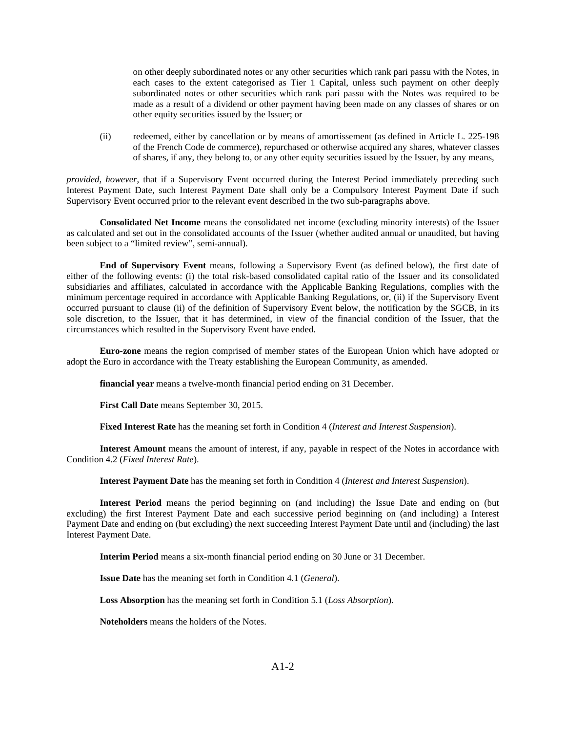on other deeply subordinated notes or any other securities which rank pari passu with the Notes, in each cases to the extent categorised as Tier 1 Capital, unless such payment on other deeply subordinated notes or other securities which rank pari passu with the Notes was required to be made as a result of a dividend or other payment having been made on any classes of shares or on other equity securities issued by the Issuer; or

(ii) redeemed, either by cancellation or by means of amortissement (as defined in Article L. 225-198 of the French Code de commerce), repurchased or otherwise acquired any shares, whatever classes of shares, if any, they belong to, or any other equity securities issued by the Issuer, by any means,

*provided*, *however*, that if a Supervisory Event occurred during the Interest Period immediately preceding such Interest Payment Date, such Interest Payment Date shall only be a Compulsory Interest Payment Date if such Supervisory Event occurred prior to the relevant event described in the two sub-paragraphs above.

**Consolidated Net Income** means the consolidated net income (excluding minority interests) of the Issuer as calculated and set out in the consolidated accounts of the Issuer (whether audited annual or unaudited, but having been subject to a "limited review", semi-annual).

**End of Supervisory Event** means, following a Supervisory Event (as defined below), the first date of either of the following events: (i) the total risk-based consolidated capital ratio of the Issuer and its consolidated subsidiaries and affiliates, calculated in accordance with the Applicable Banking Regulations, complies with the minimum percentage required in accordance with Applicable Banking Regulations, or, (ii) if the Supervisory Event occurred pursuant to clause (ii) of the definition of Supervisory Event below, the notification by the SGCB, in its sole discretion, to the Issuer, that it has determined, in view of the financial condition of the Issuer, that the circumstances which resulted in the Supervisory Event have ended.

**Euro-zone** means the region comprised of member states of the European Union which have adopted or adopt the Euro in accordance with the Treaty establishing the European Community, as amended.

**financial year** means a twelve-month financial period ending on 31 December.

**First Call Date** means September 30, 2015.

**Fixed Interest Rate** has the meaning set forth in Condition 4 (*Interest and Interest Suspension*).

**Interest Amount** means the amount of interest, if any, payable in respect of the Notes in accordance with Condition 4.2 (*Fixed Interest Rate*).

**Interest Payment Date** has the meaning set forth in Condition 4 (*Interest and Interest Suspension*).

**Interest Period** means the period beginning on (and including) the Issue Date and ending on (but excluding) the first Interest Payment Date and each successive period beginning on (and including) a Interest Payment Date and ending on (but excluding) the next succeeding Interest Payment Date until and (including) the last Interest Payment Date.

**Interim Period** means a six-month financial period ending on 30 June or 31 December.

**Issue Date** has the meaning set forth in Condition 4.1 (*General*).

**Loss Absorption** has the meaning set forth in Condition 5.1 (*Loss Absorption*).

**Noteholders** means the holders of the Notes.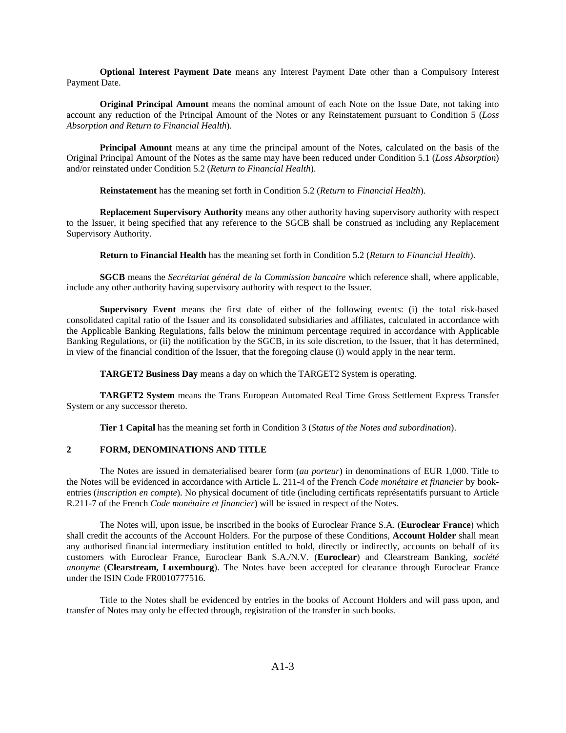**Optional Interest Payment Date** means any Interest Payment Date other than a Compulsory Interest Payment Date.

**Original Principal Amount** means the nominal amount of each Note on the Issue Date, not taking into account any reduction of the Principal Amount of the Notes or any Reinstatement pursuant to Condition 5 (*Loss Absorption and Return to Financial Health*).

**Principal Amount** means at any time the principal amount of the Notes, calculated on the basis of the Original Principal Amount of the Notes as the same may have been reduced under Condition 5.1 (*Loss Absorption*) and/or reinstated under Condition 5.2 (*Return to Financial Health*).

**Reinstatement** has the meaning set forth in Condition 5.2 (*Return to Financial Health*).

**Replacement Supervisory Authority** means any other authority having supervisory authority with respect to the Issuer, it being specified that any reference to the SGCB shall be construed as including any Replacement Supervisory Authority.

**Return to Financial Health** has the meaning set forth in Condition 5.2 (*Return to Financial Health*).

**SGCB** means the *Secrétariat général de la Commission bancaire* which reference shall, where applicable, include any other authority having supervisory authority with respect to the Issuer.

**Supervisory Event** means the first date of either of the following events: (i) the total risk-based consolidated capital ratio of the Issuer and its consolidated subsidiaries and affiliates, calculated in accordance with the Applicable Banking Regulations, falls below the minimum percentage required in accordance with Applicable Banking Regulations, or (ii) the notification by the SGCB, in its sole discretion, to the Issuer, that it has determined, in view of the financial condition of the Issuer, that the foregoing clause (i) would apply in the near term.

**TARGET2 Business Day** means a day on which the TARGET2 System is operating.

**TARGET2 System** means the Trans European Automated Real Time Gross Settlement Express Transfer System or any successor thereto.

**Tier 1 Capital** has the meaning set forth in Condition 3 (*Status of the Notes and subordination*).

#### **2 FORM, DENOMINATIONS AND TITLE**

The Notes are issued in dematerialised bearer form (*au porteur*) in denominations of EUR 1,000. Title to the Notes will be evidenced in accordance with Article L. 211-4 of the French *Code monétaire et financier* by bookentries (*inscription en compte*). No physical document of title (including certificats représentatifs pursuant to Article R.211-7 of the French *Code monétaire et financier*) will be issued in respect of the Notes.

The Notes will, upon issue, be inscribed in the books of Euroclear France S.A. (**Euroclear France**) which shall credit the accounts of the Account Holders. For the purpose of these Conditions, **Account Holder** shall mean any authorised financial intermediary institution entitled to hold, directly or indirectly, accounts on behalf of its customers with Euroclear France, Euroclear Bank S.A./N.V. (**Euroclear**) and Clearstream Banking, *société anonyme* (**Clearstream, Luxembourg**). The Notes have been accepted for clearance through Euroclear France under the ISIN Code FR0010777516.

Title to the Notes shall be evidenced by entries in the books of Account Holders and will pass upon, and transfer of Notes may only be effected through, registration of the transfer in such books.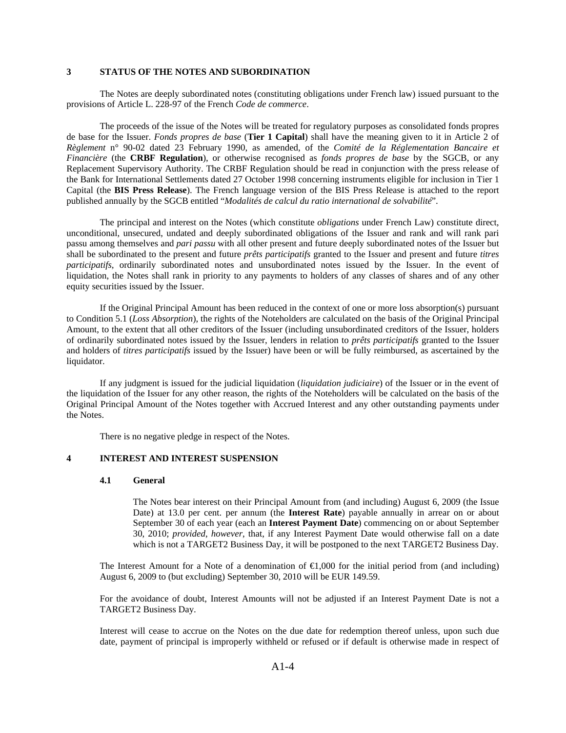### **3 STATUS OF THE NOTES AND SUBORDINATION**

The Notes are deeply subordinated notes (constituting obligations under French law) issued pursuant to the provisions of Article L. 228-97 of the French *Code de commerce*.

The proceeds of the issue of the Notes will be treated for regulatory purposes as consolidated fonds propres de base for the Issuer. *Fonds propres de base* (**Tier 1 Capital**) shall have the meaning given to it in Article 2 of *Règlement* n° 90-02 dated 23 February 1990, as amended, of the *Comité de la Réglementation Bancaire et Financière* (the **CRBF Regulation**), or otherwise recognised as *fonds propres de base* by the SGCB, or any Replacement Supervisory Authority. The CRBF Regulation should be read in conjunction with the press release of the Bank for International Settlements dated 27 October 1998 concerning instruments eligible for inclusion in Tier 1 Capital (the **BIS Press Release**). The French language version of the BIS Press Release is attached to the report published annually by the SGCB entitled "*Modalités de calcul du ratio international de solvabilité*".

The principal and interest on the Notes (which constitute *obligations* under French Law) constitute direct, unconditional, unsecured, undated and deeply subordinated obligations of the Issuer and rank and will rank pari passu among themselves and *pari passu* with all other present and future deeply subordinated notes of the Issuer but shall be subordinated to the present and future *prêts participatifs* granted to the Issuer and present and future *titres participatifs*, ordinarily subordinated notes and unsubordinated notes issued by the Issuer. In the event of liquidation, the Notes shall rank in priority to any payments to holders of any classes of shares and of any other equity securities issued by the Issuer.

If the Original Principal Amount has been reduced in the context of one or more loss absorption(s) pursuant to Condition 5.1 (*Loss Absorption*), the rights of the Noteholders are calculated on the basis of the Original Principal Amount, to the extent that all other creditors of the Issuer (including unsubordinated creditors of the Issuer, holders of ordinarily subordinated notes issued by the Issuer, lenders in relation to *prêts participatifs* granted to the Issuer and holders of *titres participatifs* issued by the Issuer) have been or will be fully reimbursed, as ascertained by the liquidator.

If any judgment is issued for the judicial liquidation (*liquidation judiciaire*) of the Issuer or in the event of the liquidation of the Issuer for any other reason, the rights of the Noteholders will be calculated on the basis of the Original Principal Amount of the Notes together with Accrued Interest and any other outstanding payments under the Notes.

There is no negative pledge in respect of the Notes.

# **4 INTEREST AND INTEREST SUSPENSION**

#### **4.1 General**

The Notes bear interest on their Principal Amount from (and including) August 6, 2009 (the Issue Date) at 13.0 per cent. per annum (the **Interest Rate**) payable annually in arrear on or about September 30 of each year (each an **Interest Payment Date**) commencing on or about September 30, 2010; *provided*, *however*, that, if any Interest Payment Date would otherwise fall on a date which is not a TARGET2 Business Day, it will be postponed to the next TARGET2 Business Day.

The Interest Amount for a Note of a denomination of  $\bigoplus$ ,000 for the initial period from (and including) August 6, 2009 to (but excluding) September 30, 2010 will be EUR 149.59.

For the avoidance of doubt, Interest Amounts will not be adjusted if an Interest Payment Date is not a TARGET2 Business Day.

Interest will cease to accrue on the Notes on the due date for redemption thereof unless, upon such due date, payment of principal is improperly withheld or refused or if default is otherwise made in respect of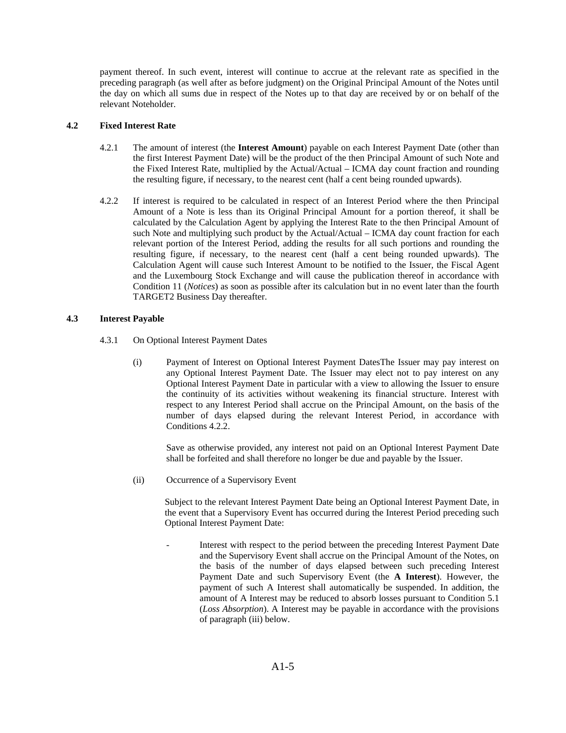payment thereof. In such event, interest will continue to accrue at the relevant rate as specified in the preceding paragraph (as well after as before judgment) on the Original Principal Amount of the Notes until the day on which all sums due in respect of the Notes up to that day are received by or on behalf of the relevant Noteholder.

## **4.2 Fixed Interest Rate**

- 4.2.1 The amount of interest (the **Interest Amount**) payable on each Interest Payment Date (other than the first Interest Payment Date) will be the product of the then Principal Amount of such Note and the Fixed Interest Rate, multiplied by the Actual/Actual – ICMA day count fraction and rounding the resulting figure, if necessary, to the nearest cent (half a cent being rounded upwards).
- 4.2.2 If interest is required to be calculated in respect of an Interest Period where the then Principal Amount of a Note is less than its Original Principal Amount for a portion thereof, it shall be calculated by the Calculation Agent by applying the Interest Rate to the then Principal Amount of such Note and multiplying such product by the Actual/Actual – ICMA day count fraction for each relevant portion of the Interest Period, adding the results for all such portions and rounding the resulting figure, if necessary, to the nearest cent (half a cent being rounded upwards). The Calculation Agent will cause such Interest Amount to be notified to the Issuer, the Fiscal Agent and the Luxembourg Stock Exchange and will cause the publication thereof in accordance with Condition 11 (*Notices*) as soon as possible after its calculation but in no event later than the fourth TARGET2 Business Day thereafter.

## **4.3 Interest Payable**

- 4.3.1 On Optional Interest Payment Dates
	- (i) Payment of Interest on Optional Interest Payment DatesThe Issuer may pay interest on any Optional Interest Payment Date. The Issuer may elect not to pay interest on any Optional Interest Payment Date in particular with a view to allowing the Issuer to ensure the continuity of its activities without weakening its financial structure. Interest with respect to any Interest Period shall accrue on the Principal Amount, on the basis of the number of days elapsed during the relevant Interest Period, in accordance with Conditions 4.2.2.

Save as otherwise provided, any interest not paid on an Optional Interest Payment Date shall be forfeited and shall therefore no longer be due and payable by the Issuer.

(ii) Occurrence of a Supervisory Event

Subject to the relevant Interest Payment Date being an Optional Interest Payment Date, in the event that a Supervisory Event has occurred during the Interest Period preceding such Optional Interest Payment Date:

Interest with respect to the period between the preceding Interest Payment Date and the Supervisory Event shall accrue on the Principal Amount of the Notes, on the basis of the number of days elapsed between such preceding Interest Payment Date and such Supervisory Event (the **A Interest**). However, the payment of such A Interest shall automatically be suspended. In addition, the amount of A Interest may be reduced to absorb losses pursuant to Condition 5.1 (*Loss Absorption*). A Interest may be payable in accordance with the provisions of paragraph (iii) below.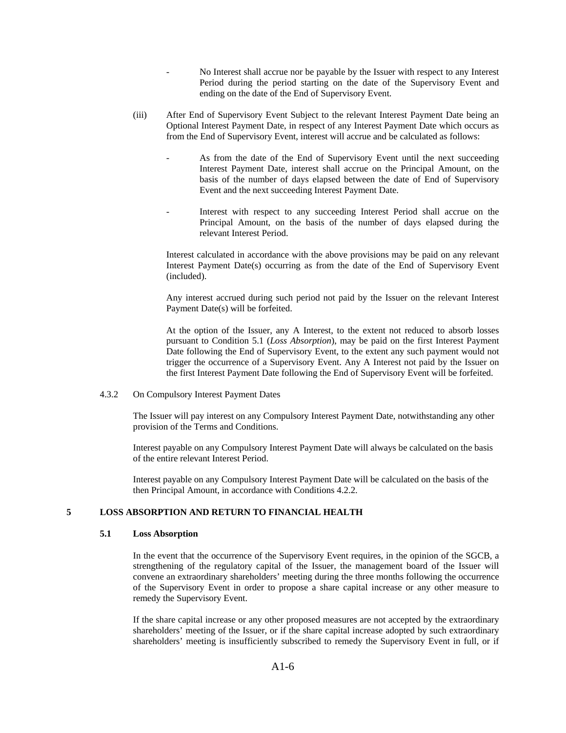- No Interest shall accrue nor be payable by the Issuer with respect to any Interest Period during the period starting on the date of the Supervisory Event and ending on the date of the End of Supervisory Event.
- (iii) After End of Supervisory Event Subject to the relevant Interest Payment Date being an Optional Interest Payment Date, in respect of any Interest Payment Date which occurs as from the End of Supervisory Event, interest will accrue and be calculated as follows:
	- As from the date of the End of Supervisory Event until the next succeeding Interest Payment Date, interest shall accrue on the Principal Amount, on the basis of the number of days elapsed between the date of End of Supervisory Event and the next succeeding Interest Payment Date.
	- Interest with respect to any succeeding Interest Period shall accrue on the Principal Amount, on the basis of the number of days elapsed during the relevant Interest Period.

Interest calculated in accordance with the above provisions may be paid on any relevant Interest Payment Date(s) occurring as from the date of the End of Supervisory Event (included).

Any interest accrued during such period not paid by the Issuer on the relevant Interest Payment Date(s) will be forfeited.

At the option of the Issuer, any A Interest, to the extent not reduced to absorb losses pursuant to Condition 5.1 (*Loss Absorption*), may be paid on the first Interest Payment Date following the End of Supervisory Event, to the extent any such payment would not trigger the occurrence of a Supervisory Event. Any A Interest not paid by the Issuer on the first Interest Payment Date following the End of Supervisory Event will be forfeited.

4.3.2 On Compulsory Interest Payment Dates

The Issuer will pay interest on any Compulsory Interest Payment Date, notwithstanding any other provision of the Terms and Conditions.

Interest payable on any Compulsory Interest Payment Date will always be calculated on the basis of the entire relevant Interest Period.

Interest payable on any Compulsory Interest Payment Date will be calculated on the basis of the then Principal Amount, in accordance with Conditions 4.2.2.

## **5 LOSS ABSORPTION AND RETURN TO FINANCIAL HEALTH**

### **5.1 Loss Absorption**

In the event that the occurrence of the Supervisory Event requires, in the opinion of the SGCB, a strengthening of the regulatory capital of the Issuer, the management board of the Issuer will convene an extraordinary shareholders' meeting during the three months following the occurrence of the Supervisory Event in order to propose a share capital increase or any other measure to remedy the Supervisory Event.

If the share capital increase or any other proposed measures are not accepted by the extraordinary shareholders' meeting of the Issuer, or if the share capital increase adopted by such extraordinary shareholders' meeting is insufficiently subscribed to remedy the Supervisory Event in full, or if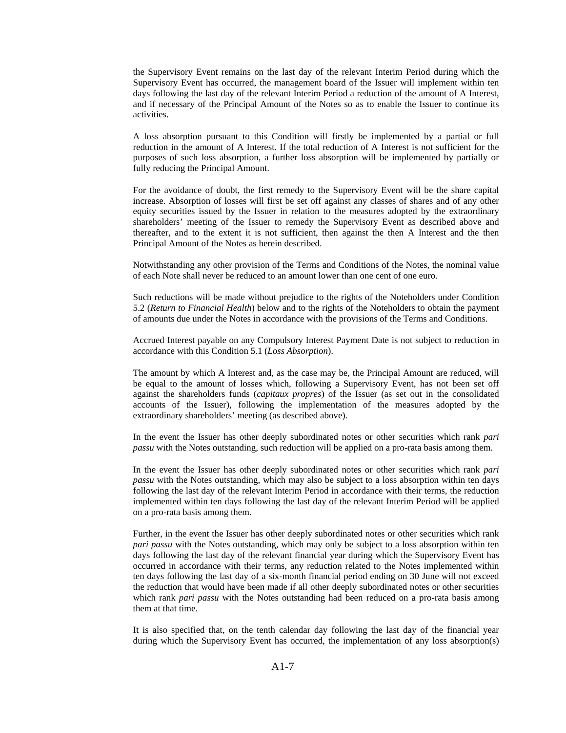the Supervisory Event remains on the last day of the relevant Interim Period during which the Supervisory Event has occurred, the management board of the Issuer will implement within ten days following the last day of the relevant Interim Period a reduction of the amount of A Interest, and if necessary of the Principal Amount of the Notes so as to enable the Issuer to continue its activities.

A loss absorption pursuant to this Condition will firstly be implemented by a partial or full reduction in the amount of A Interest. If the total reduction of A Interest is not sufficient for the purposes of such loss absorption, a further loss absorption will be implemented by partially or fully reducing the Principal Amount.

For the avoidance of doubt, the first remedy to the Supervisory Event will be the share capital increase. Absorption of losses will first be set off against any classes of shares and of any other equity securities issued by the Issuer in relation to the measures adopted by the extraordinary shareholders' meeting of the Issuer to remedy the Supervisory Event as described above and thereafter, and to the extent it is not sufficient, then against the then A Interest and the then Principal Amount of the Notes as herein described.

Notwithstanding any other provision of the Terms and Conditions of the Notes, the nominal value of each Note shall never be reduced to an amount lower than one cent of one euro.

Such reductions will be made without prejudice to the rights of the Noteholders under Condition 5.2 (*Return to Financial Health*) below and to the rights of the Noteholders to obtain the payment of amounts due under the Notes in accordance with the provisions of the Terms and Conditions.

Accrued Interest payable on any Compulsory Interest Payment Date is not subject to reduction in accordance with this Condition 5.1 (*Loss Absorption*).

The amount by which A Interest and, as the case may be, the Principal Amount are reduced, will be equal to the amount of losses which, following a Supervisory Event, has not been set off against the shareholders funds (*capitaux propres*) of the Issuer (as set out in the consolidated accounts of the Issuer), following the implementation of the measures adopted by the extraordinary shareholders' meeting (as described above).

In the event the Issuer has other deeply subordinated notes or other securities which rank *pari passu* with the Notes outstanding, such reduction will be applied on a pro-rata basis among them.

In the event the Issuer has other deeply subordinated notes or other securities which rank *pari passu* with the Notes outstanding, which may also be subject to a loss absorption within ten days following the last day of the relevant Interim Period in accordance with their terms, the reduction implemented within ten days following the last day of the relevant Interim Period will be applied on a pro-rata basis among them.

Further, in the event the Issuer has other deeply subordinated notes or other securities which rank *pari passu* with the Notes outstanding, which may only be subject to a loss absorption within ten days following the last day of the relevant financial year during which the Supervisory Event has occurred in accordance with their terms, any reduction related to the Notes implemented within ten days following the last day of a six-month financial period ending on 30 June will not exceed the reduction that would have been made if all other deeply subordinated notes or other securities which rank *pari passu* with the Notes outstanding had been reduced on a pro-rata basis among them at that time.

It is also specified that, on the tenth calendar day following the last day of the financial year during which the Supervisory Event has occurred, the implementation of any loss absorption(s)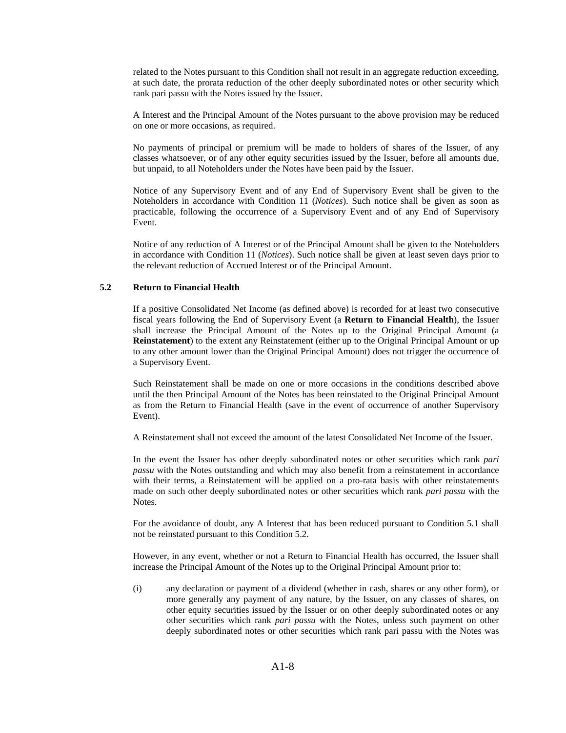related to the Notes pursuant to this Condition shall not result in an aggregate reduction exceeding, at such date, the prorata reduction of the other deeply subordinated notes or other security which rank pari passu with the Notes issued by the Issuer.

A Interest and the Principal Amount of the Notes pursuant to the above provision may be reduced on one or more occasions, as required.

No payments of principal or premium will be made to holders of shares of the Issuer, of any classes whatsoever, or of any other equity securities issued by the Issuer, before all amounts due, but unpaid, to all Noteholders under the Notes have been paid by the Issuer.

Notice of any Supervisory Event and of any End of Supervisory Event shall be given to the Noteholders in accordance with Condition 11 (*Notices*). Such notice shall be given as soon as practicable, following the occurrence of a Supervisory Event and of any End of Supervisory Event.

Notice of any reduction of A Interest or of the Principal Amount shall be given to the Noteholders in accordance with Condition 11 (*Notices*). Such notice shall be given at least seven days prior to the relevant reduction of Accrued Interest or of the Principal Amount.

### **5.2 Return to Financial Health**

If a positive Consolidated Net Income (as defined above) is recorded for at least two consecutive fiscal years following the End of Supervisory Event (a **Return to Financial Health**), the Issuer shall increase the Principal Amount of the Notes up to the Original Principal Amount (a **Reinstatement**) to the extent any Reinstatement (either up to the Original Principal Amount or up to any other amount lower than the Original Principal Amount) does not trigger the occurrence of a Supervisory Event.

Such Reinstatement shall be made on one or more occasions in the conditions described above until the then Principal Amount of the Notes has been reinstated to the Original Principal Amount as from the Return to Financial Health (save in the event of occurrence of another Supervisory Event).

A Reinstatement shall not exceed the amount of the latest Consolidated Net Income of the Issuer.

In the event the Issuer has other deeply subordinated notes or other securities which rank *pari passu* with the Notes outstanding and which may also benefit from a reinstatement in accordance with their terms, a Reinstatement will be applied on a pro-rata basis with other reinstatements made on such other deeply subordinated notes or other securities which rank *pari passu* with the Notes.

For the avoidance of doubt, any A Interest that has been reduced pursuant to Condition 5.1 shall not be reinstated pursuant to this Condition 5.2.

However, in any event, whether or not a Return to Financial Health has occurred, the Issuer shall increase the Principal Amount of the Notes up to the Original Principal Amount prior to:

(i) any declaration or payment of a dividend (whether in cash, shares or any other form), or more generally any payment of any nature, by the Issuer, on any classes of shares, on other equity securities issued by the Issuer or on other deeply subordinated notes or any other securities which rank *pari passu* with the Notes, unless such payment on other deeply subordinated notes or other securities which rank pari passu with the Notes was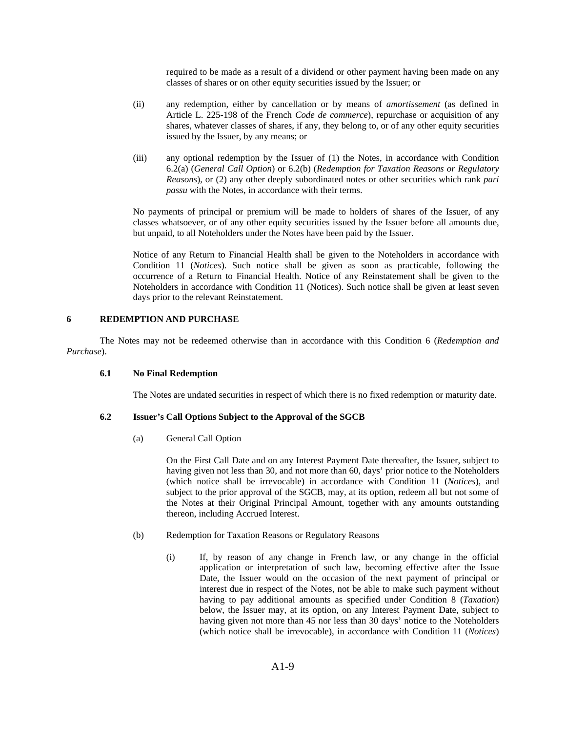required to be made as a result of a dividend or other payment having been made on any classes of shares or on other equity securities issued by the Issuer; or

- (ii) any redemption, either by cancellation or by means of *amortissement* (as defined in Article L. 225-198 of the French *Code de commerce*), repurchase or acquisition of any shares, whatever classes of shares, if any, they belong to, or of any other equity securities issued by the Issuer, by any means; or
- (iii) any optional redemption by the Issuer of (1) the Notes, in accordance with Condition 6.2(a) (*General Call Option*) or 6.2(b) (*Redemption for Taxation Reasons or Regulatory Reasons*), or (2) any other deeply subordinated notes or other securities which rank *pari passu* with the Notes, in accordance with their terms.

No payments of principal or premium will be made to holders of shares of the Issuer, of any classes whatsoever, or of any other equity securities issued by the Issuer before all amounts due, but unpaid, to all Noteholders under the Notes have been paid by the Issuer.

Notice of any Return to Financial Health shall be given to the Noteholders in accordance with Condition 11 (*Notices*). Such notice shall be given as soon as practicable, following the occurrence of a Return to Financial Health. Notice of any Reinstatement shall be given to the Noteholders in accordance with Condition 11 (Notices). Such notice shall be given at least seven days prior to the relevant Reinstatement.

## **6 REDEMPTION AND PURCHASE**

The Notes may not be redeemed otherwise than in accordance with this Condition 6 (*Redemption and Purchase*).

### **6.1 No Final Redemption**

The Notes are undated securities in respect of which there is no fixed redemption or maturity date.

## **6.2 Issuer's Call Options Subject to the Approval of the SGCB**

(a) General Call Option

On the First Call Date and on any Interest Payment Date thereafter, the Issuer, subject to having given not less than 30, and not more than 60, days' prior notice to the Noteholders (which notice shall be irrevocable) in accordance with Condition 11 (*Notices*), and subject to the prior approval of the SGCB, may, at its option, redeem all but not some of the Notes at their Original Principal Amount, together with any amounts outstanding thereon, including Accrued Interest.

- (b) Redemption for Taxation Reasons or Regulatory Reasons
	- (i) If, by reason of any change in French law, or any change in the official application or interpretation of such law, becoming effective after the Issue Date, the Issuer would on the occasion of the next payment of principal or interest due in respect of the Notes, not be able to make such payment without having to pay additional amounts as specified under Condition 8 (*Taxation*) below, the Issuer may, at its option, on any Interest Payment Date, subject to having given not more than 45 nor less than 30 days' notice to the Noteholders (which notice shall be irrevocable), in accordance with Condition 11 (*Notices*)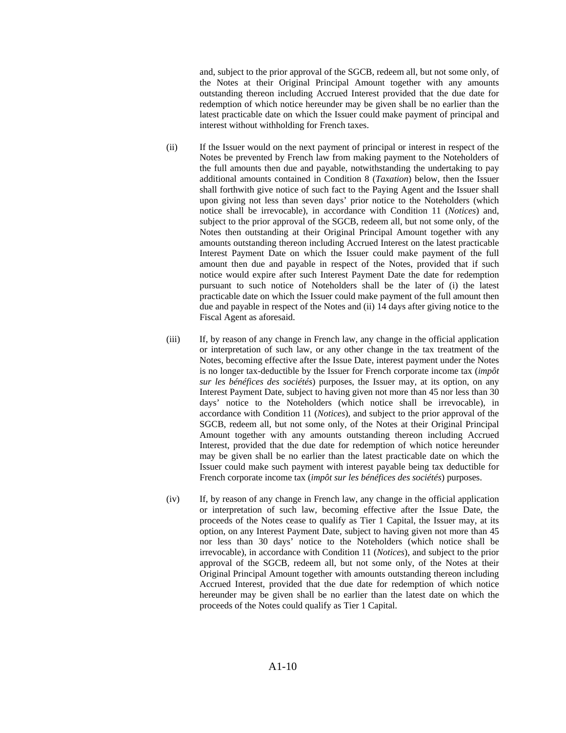and, subject to the prior approval of the SGCB, redeem all, but not some only, of the Notes at their Original Principal Amount together with any amounts outstanding thereon including Accrued Interest provided that the due date for redemption of which notice hereunder may be given shall be no earlier than the latest practicable date on which the Issuer could make payment of principal and interest without withholding for French taxes.

- (ii) If the Issuer would on the next payment of principal or interest in respect of the Notes be prevented by French law from making payment to the Noteholders of the full amounts then due and payable, notwithstanding the undertaking to pay additional amounts contained in Condition 8 (*Taxation*) below, then the Issuer shall forthwith give notice of such fact to the Paying Agent and the Issuer shall upon giving not less than seven days' prior notice to the Noteholders (which notice shall be irrevocable), in accordance with Condition 11 (*Notices*) and, subject to the prior approval of the SGCB, redeem all, but not some only, of the Notes then outstanding at their Original Principal Amount together with any amounts outstanding thereon including Accrued Interest on the latest practicable Interest Payment Date on which the Issuer could make payment of the full amount then due and payable in respect of the Notes, provided that if such notice would expire after such Interest Payment Date the date for redemption pursuant to such notice of Noteholders shall be the later of (i) the latest practicable date on which the Issuer could make payment of the full amount then due and payable in respect of the Notes and (ii) 14 days after giving notice to the Fiscal Agent as aforesaid.
- (iii) If, by reason of any change in French law, any change in the official application or interpretation of such law, or any other change in the tax treatment of the Notes, becoming effective after the Issue Date, interest payment under the Notes is no longer tax-deductible by the Issuer for French corporate income tax (*impôt sur les bénéfices des sociétés*) purposes, the Issuer may, at its option, on any Interest Payment Date, subject to having given not more than 45 nor less than 30 days' notice to the Noteholders (which notice shall be irrevocable), in accordance with Condition 11 (*Notices*), and subject to the prior approval of the SGCB, redeem all, but not some only, of the Notes at their Original Principal Amount together with any amounts outstanding thereon including Accrued Interest, provided that the due date for redemption of which notice hereunder may be given shall be no earlier than the latest practicable date on which the Issuer could make such payment with interest payable being tax deductible for French corporate income tax (*impôt sur les bénéfices des sociétés*) purposes.
- (iv) If, by reason of any change in French law, any change in the official application or interpretation of such law, becoming effective after the Issue Date, the proceeds of the Notes cease to qualify as Tier 1 Capital, the Issuer may, at its option, on any Interest Payment Date, subject to having given not more than 45 nor less than 30 days' notice to the Noteholders (which notice shall be irrevocable), in accordance with Condition 11 (*Notices*), and subject to the prior approval of the SGCB, redeem all, but not some only, of the Notes at their Original Principal Amount together with amounts outstanding thereon including Accrued Interest, provided that the due date for redemption of which notice hereunder may be given shall be no earlier than the latest date on which the proceeds of the Notes could qualify as Tier 1 Capital.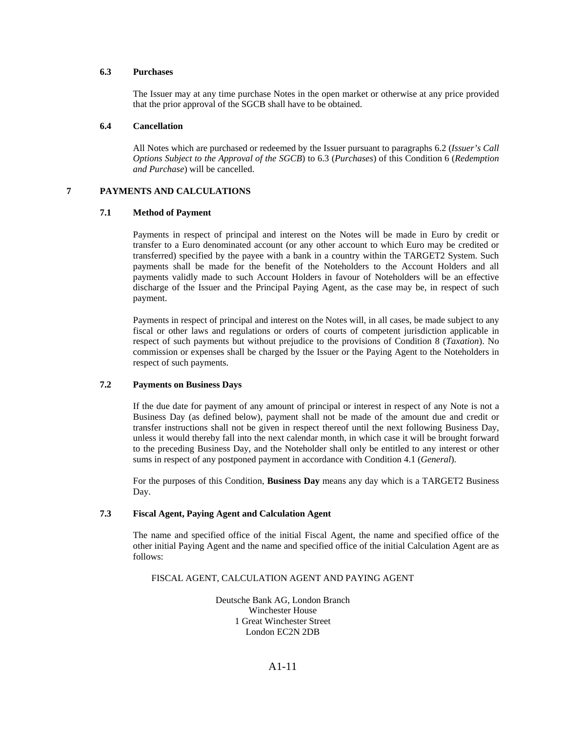## **6.3 Purchases**

The Issuer may at any time purchase Notes in the open market or otherwise at any price provided that the prior approval of the SGCB shall have to be obtained.

#### **6.4 Cancellation**

All Notes which are purchased or redeemed by the Issuer pursuant to paragraphs 6.2 (*Issuer's Call Options Subject to the Approval of the SGCB*) to 6.3 (*Purchases*) of this Condition 6 (*Redemption and Purchase*) will be cancelled.

### **7 PAYMENTS AND CALCULATIONS**

### **7.1 Method of Payment**

 Payments in respect of principal and interest on the Notes will be made in Euro by credit or transfer to a Euro denominated account (or any other account to which Euro may be credited or transferred) specified by the payee with a bank in a country within the TARGET2 System. Such payments shall be made for the benefit of the Noteholders to the Account Holders and all payments validly made to such Account Holders in favour of Noteholders will be an effective discharge of the Issuer and the Principal Paying Agent, as the case may be, in respect of such payment.

Payments in respect of principal and interest on the Notes will, in all cases, be made subject to any fiscal or other laws and regulations or orders of courts of competent jurisdiction applicable in respect of such payments but without prejudice to the provisions of Condition 8 (*Taxation*). No commission or expenses shall be charged by the Issuer or the Paying Agent to the Noteholders in respect of such payments.

### **7.2 Payments on Business Days**

If the due date for payment of any amount of principal or interest in respect of any Note is not a Business Day (as defined below), payment shall not be made of the amount due and credit or transfer instructions shall not be given in respect thereof until the next following Business Day, unless it would thereby fall into the next calendar month, in which case it will be brought forward to the preceding Business Day, and the Noteholder shall only be entitled to any interest or other sums in respect of any postponed payment in accordance with Condition 4.1 (*General*).

For the purposes of this Condition, **Business Day** means any day which is a TARGET2 Business Day.

## **7.3 Fiscal Agent, Paying Agent and Calculation Agent**

The name and specified office of the initial Fiscal Agent, the name and specified office of the other initial Paying Agent and the name and specified office of the initial Calculation Agent are as follows:

### FISCAL AGENT, CALCULATION AGENT AND PAYING AGENT

Deutsche Bank AG, London Branch Winchester House 1 Great Winchester Street London EC2N 2DB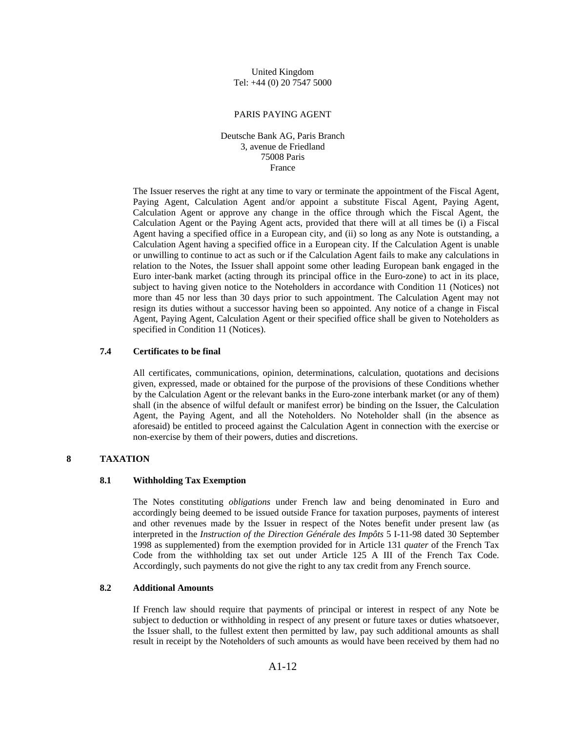United Kingdom Tel: +44 (0) 20 7547 5000

#### PARIS PAYING AGENT

Deutsche Bank AG, Paris Branch 3, avenue de Friedland 75008 Paris France

The Issuer reserves the right at any time to vary or terminate the appointment of the Fiscal Agent, Paying Agent, Calculation Agent and/or appoint a substitute Fiscal Agent, Paying Agent, Calculation Agent or approve any change in the office through which the Fiscal Agent, the Calculation Agent or the Paying Agent acts, provided that there will at all times be (i) a Fiscal Agent having a specified office in a European city, and (ii) so long as any Note is outstanding, a Calculation Agent having a specified office in a European city. If the Calculation Agent is unable or unwilling to continue to act as such or if the Calculation Agent fails to make any calculations in relation to the Notes, the Issuer shall appoint some other leading European bank engaged in the Euro inter-bank market (acting through its principal office in the Euro-zone) to act in its place, subject to having given notice to the Noteholders in accordance with Condition 11 (Notices) not more than 45 nor less than 30 days prior to such appointment. The Calculation Agent may not resign its duties without a successor having been so appointed. Any notice of a change in Fiscal Agent, Paying Agent, Calculation Agent or their specified office shall be given to Noteholders as specified in Condition 11 (Notices).

## **7.4 Certificates to be final**

All certificates, communications, opinion, determinations, calculation, quotations and decisions given, expressed, made or obtained for the purpose of the provisions of these Conditions whether by the Calculation Agent or the relevant banks in the Euro-zone interbank market (or any of them) shall (in the absence of wilful default or manifest error) be binding on the Issuer, the Calculation Agent, the Paying Agent, and all the Noteholders. No Noteholder shall (in the absence as aforesaid) be entitled to proceed against the Calculation Agent in connection with the exercise or non-exercise by them of their powers, duties and discretions.

# **8 TAXATION**

#### **8.1 Withholding Tax Exemption**

The Notes constituting *obligations* under French law and being denominated in Euro and accordingly being deemed to be issued outside France for taxation purposes, payments of interest and other revenues made by the Issuer in respect of the Notes benefit under present law (as interpreted in the *Instruction of the Direction Générale des Impôts* 5 I-11-98 dated 30 September 1998 as supplemented) from the exemption provided for in Article 131 *quater* of the French Tax Code from the withholding tax set out under Article 125 A III of the French Tax Code. Accordingly, such payments do not give the right to any tax credit from any French source.

## **8.2 Additional Amounts**

If French law should require that payments of principal or interest in respect of any Note be subject to deduction or withholding in respect of any present or future taxes or duties whatsoever, the Issuer shall, to the fullest extent then permitted by law, pay such additional amounts as shall result in receipt by the Noteholders of such amounts as would have been received by them had no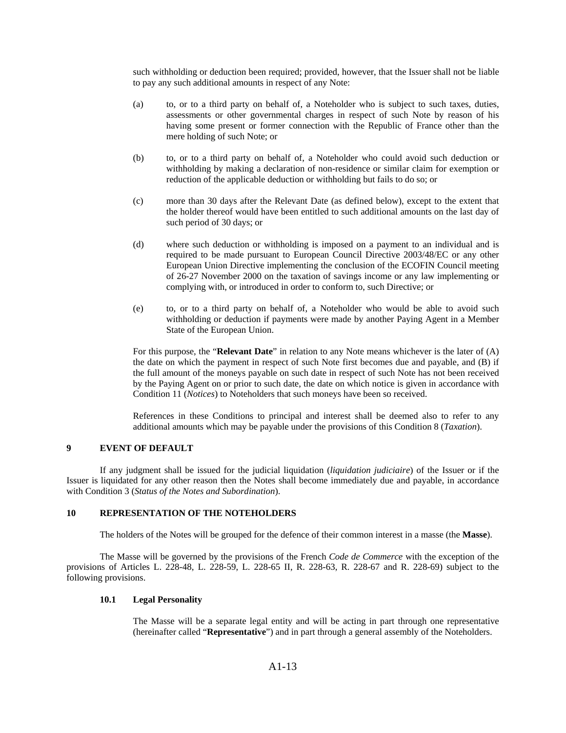such withholding or deduction been required; provided, however, that the Issuer shall not be liable to pay any such additional amounts in respect of any Note:

- (a) to, or to a third party on behalf of, a Noteholder who is subject to such taxes, duties, assessments or other governmental charges in respect of such Note by reason of his having some present or former connection with the Republic of France other than the mere holding of such Note; or
- (b) to, or to a third party on behalf of, a Noteholder who could avoid such deduction or withholding by making a declaration of non-residence or similar claim for exemption or reduction of the applicable deduction or withholding but fails to do so; or
- (c) more than 30 days after the Relevant Date (as defined below), except to the extent that the holder thereof would have been entitled to such additional amounts on the last day of such period of 30 days; or
- (d) where such deduction or withholding is imposed on a payment to an individual and is required to be made pursuant to European Council Directive 2003/48/EC or any other European Union Directive implementing the conclusion of the ECOFIN Council meeting of 26-27 November 2000 on the taxation of savings income or any law implementing or complying with, or introduced in order to conform to, such Directive; or
- (e) to, or to a third party on behalf of, a Noteholder who would be able to avoid such withholding or deduction if payments were made by another Paying Agent in a Member State of the European Union.

For this purpose, the "**Relevant Date**" in relation to any Note means whichever is the later of (A) the date on which the payment in respect of such Note first becomes due and payable, and (B) if the full amount of the moneys payable on such date in respect of such Note has not been received by the Paying Agent on or prior to such date, the date on which notice is given in accordance with Condition 11 (*Notices*) to Noteholders that such moneys have been so received.

References in these Conditions to principal and interest shall be deemed also to refer to any additional amounts which may be payable under the provisions of this Condition 8 (*Taxation*).

## **9 EVENT OF DEFAULT**

If any judgment shall be issued for the judicial liquidation (*liquidation judiciaire*) of the Issuer or if the Issuer is liquidated for any other reason then the Notes shall become immediately due and payable, in accordance with Condition 3 (*Status of the Notes and Subordination*).

#### **10 REPRESENTATION OF THE NOTEHOLDERS**

The holders of the Notes will be grouped for the defence of their common interest in a masse (the **Masse**).

The Masse will be governed by the provisions of the French *Code de Commerce* with the exception of the provisions of Articles L. 228-48, L. 228-59, L. 228-65 II, R. 228-63, R. 228-67 and R. 228-69) subject to the following provisions.

#### **10.1 Legal Personality**

The Masse will be a separate legal entity and will be acting in part through one representative (hereinafter called "**Representative**") and in part through a general assembly of the Noteholders.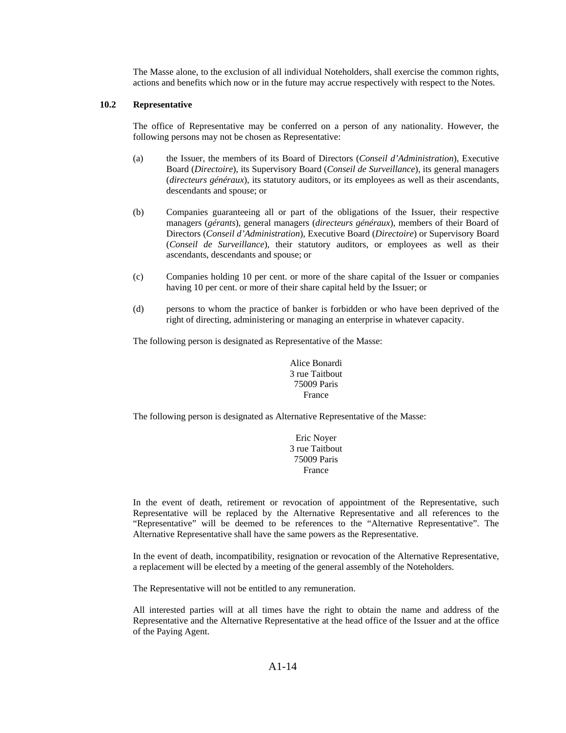The Masse alone, to the exclusion of all individual Noteholders, shall exercise the common rights, actions and benefits which now or in the future may accrue respectively with respect to the Notes.

### **10.2 Representative**

The office of Representative may be conferred on a person of any nationality. However, the following persons may not be chosen as Representative:

- (a) the Issuer, the members of its Board of Directors (*Conseil d'Administration*), Executive Board (*Directoire*), its Supervisory Board (*Conseil de Surveillance*), its general managers (*directeurs généraux*), its statutory auditors, or its employees as well as their ascendants, descendants and spouse; or
- (b) Companies guaranteeing all or part of the obligations of the Issuer, their respective managers (*gérants*), general managers (*directeurs généraux*), members of their Board of Directors (*Conseil d'Administration*), Executive Board (*Directoire*) or Supervisory Board (*Conseil de Surveillance*), their statutory auditors, or employees as well as their ascendants, descendants and spouse; or
- (c) Companies holding 10 per cent. or more of the share capital of the Issuer or companies having 10 per cent. or more of their share capital held by the Issuer; or
- (d) persons to whom the practice of banker is forbidden or who have been deprived of the right of directing, administering or managing an enterprise in whatever capacity.

The following person is designated as Representative of the Masse:

Alice Bonardi 3 rue Taitbout 75009 Paris France

The following person is designated as Alternative Representative of the Masse:

Eric Noyer 3 rue Taitbout 75009 Paris France

In the event of death, retirement or revocation of appointment of the Representative, such Representative will be replaced by the Alternative Representative and all references to the "Representative" will be deemed to be references to the "Alternative Representative". The Alternative Representative shall have the same powers as the Representative.

In the event of death, incompatibility, resignation or revocation of the Alternative Representative, a replacement will be elected by a meeting of the general assembly of the Noteholders.

The Representative will not be entitled to any remuneration.

All interested parties will at all times have the right to obtain the name and address of the Representative and the Alternative Representative at the head office of the Issuer and at the office of the Paying Agent.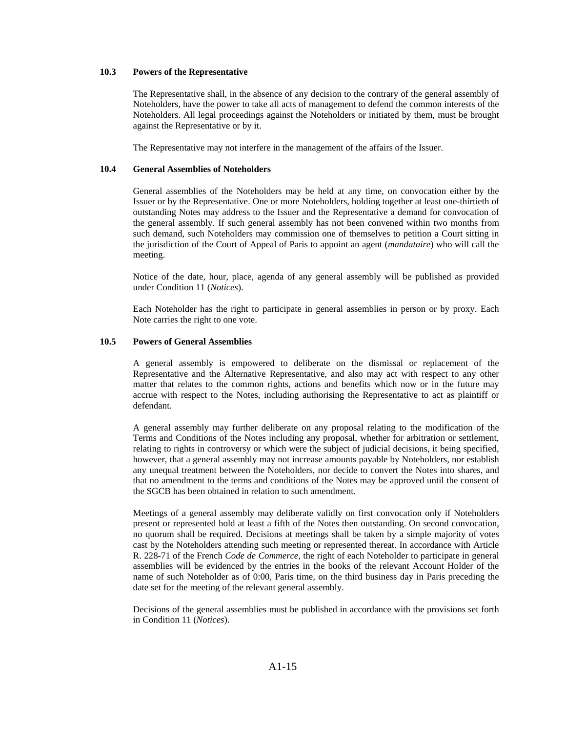## **10.3 Powers of the Representative**

The Representative shall, in the absence of any decision to the contrary of the general assembly of Noteholders, have the power to take all acts of management to defend the common interests of the Noteholders. All legal proceedings against the Noteholders or initiated by them, must be brought against the Representative or by it.

The Representative may not interfere in the management of the affairs of the Issuer.

### **10.4 General Assemblies of Noteholders**

General assemblies of the Noteholders may be held at any time, on convocation either by the Issuer or by the Representative. One or more Noteholders, holding together at least one-thirtieth of outstanding Notes may address to the Issuer and the Representative a demand for convocation of the general assembly. If such general assembly has not been convened within two months from such demand, such Noteholders may commission one of themselves to petition a Court sitting in the jurisdiction of the Court of Appeal of Paris to appoint an agent (*mandataire*) who will call the meeting.

Notice of the date, hour, place, agenda of any general assembly will be published as provided under Condition 11 (*Notices*).

Each Noteholder has the right to participate in general assemblies in person or by proxy. Each Note carries the right to one vote.

## **10.5 Powers of General Assemblies**

A general assembly is empowered to deliberate on the dismissal or replacement of the Representative and the Alternative Representative, and also may act with respect to any other matter that relates to the common rights, actions and benefits which now or in the future may accrue with respect to the Notes, including authorising the Representative to act as plaintiff or defendant.

A general assembly may further deliberate on any proposal relating to the modification of the Terms and Conditions of the Notes including any proposal, whether for arbitration or settlement, relating to rights in controversy or which were the subject of judicial decisions, it being specified, however, that a general assembly may not increase amounts payable by Noteholders, nor establish any unequal treatment between the Noteholders, nor decide to convert the Notes into shares, and that no amendment to the terms and conditions of the Notes may be approved until the consent of the SGCB has been obtained in relation to such amendment.

Meetings of a general assembly may deliberate validly on first convocation only if Noteholders present or represented hold at least a fifth of the Notes then outstanding. On second convocation, no quorum shall be required. Decisions at meetings shall be taken by a simple majority of votes cast by the Noteholders attending such meeting or represented thereat. In accordance with Article R. 228-71 of the French *Code de Commerce*, the right of each Noteholder to participate in general assemblies will be evidenced by the entries in the books of the relevant Account Holder of the name of such Noteholder as of 0:00, Paris time, on the third business day in Paris preceding the date set for the meeting of the relevant general assembly.

Decisions of the general assemblies must be published in accordance with the provisions set forth in Condition 11 (*Notices*).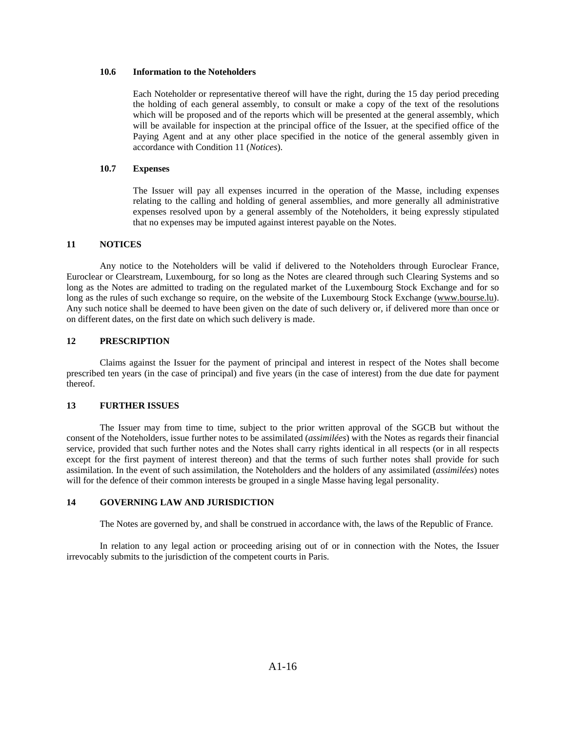### **10.6 Information to the Noteholders**

Each Noteholder or representative thereof will have the right, during the 15 day period preceding the holding of each general assembly, to consult or make a copy of the text of the resolutions which will be proposed and of the reports which will be presented at the general assembly, which will be available for inspection at the principal office of the Issuer, at the specified office of the Paying Agent and at any other place specified in the notice of the general assembly given in accordance with Condition 11 (*Notices*).

### **10.7 Expenses**

The Issuer will pay all expenses incurred in the operation of the Masse, including expenses relating to the calling and holding of general assemblies, and more generally all administrative expenses resolved upon by a general assembly of the Noteholders, it being expressly stipulated that no expenses may be imputed against interest payable on the Notes.

## **11 NOTICES**

Any notice to the Noteholders will be valid if delivered to the Noteholders through Euroclear France, Euroclear or Clearstream, Luxembourg, for so long as the Notes are cleared through such Clearing Systems and so long as the Notes are admitted to trading on the regulated market of the Luxembourg Stock Exchange and for so long as the rules of such exchange so require, on the website of the Luxembourg Stock Exchange (www.bourse.lu). Any such notice shall be deemed to have been given on the date of such delivery or, if delivered more than once or on different dates, on the first date on which such delivery is made.

# **12 PRESCRIPTION**

Claims against the Issuer for the payment of principal and interest in respect of the Notes shall become prescribed ten years (in the case of principal) and five years (in the case of interest) from the due date for payment thereof.

### **13 FURTHER ISSUES**

The Issuer may from time to time, subject to the prior written approval of the SGCB but without the consent of the Noteholders, issue further notes to be assimilated (*assimilées*) with the Notes as regards their financial service, provided that such further notes and the Notes shall carry rights identical in all respects (or in all respects except for the first payment of interest thereon) and that the terms of such further notes shall provide for such assimilation. In the event of such assimilation, the Noteholders and the holders of any assimilated (*assimilées*) notes will for the defence of their common interests be grouped in a single Masse having legal personality.

### **14 GOVERNING LAW AND JURISDICTION**

The Notes are governed by, and shall be construed in accordance with, the laws of the Republic of France.

In relation to any legal action or proceeding arising out of or in connection with the Notes, the Issuer irrevocably submits to the jurisdiction of the competent courts in Paris.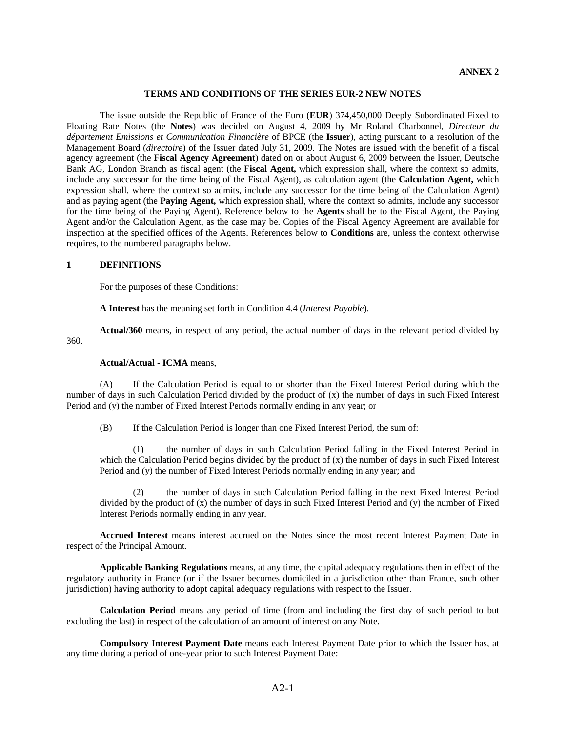#### **TERMS AND CONDITIONS OF THE SERIES EUR-2 NEW NOTES**

The issue outside the Republic of France of the Euro (**EUR**) 374,450,000 Deeply Subordinated Fixed to Floating Rate Notes (the **Notes**) was decided on August 4, 2009 by Mr Roland Charbonnel, *Directeur du département Emissions et Communication Financière* of BPCE (the **Issuer**), acting pursuant to a resolution of the Management Board (*directoire*) of the Issuer dated July 31, 2009. The Notes are issued with the benefit of a fiscal agency agreement (the **Fiscal Agency Agreement**) dated on or about August 6, 2009 between the Issuer, Deutsche Bank AG, London Branch as fiscal agent (the **Fiscal Agent,** which expression shall, where the context so admits, include any successor for the time being of the Fiscal Agent), as calculation agent (the **Calculation Agent,** which expression shall, where the context so admits, include any successor for the time being of the Calculation Agent) and as paying agent (the **Paying Agent,** which expression shall, where the context so admits, include any successor for the time being of the Paying Agent). Reference below to the **Agents** shall be to the Fiscal Agent, the Paying Agent and/or the Calculation Agent, as the case may be. Copies of the Fiscal Agency Agreement are available for inspection at the specified offices of the Agents. References below to **Conditions** are, unless the context otherwise requires, to the numbered paragraphs below.

### **1 DEFINITIONS**

For the purposes of these Conditions:

**A Interest** has the meaning set forth in Condition 4.4 (*Interest Payable*).

**Actual/360** means, in respect of any period, the actual number of days in the relevant period divided by

360.

### **Actual/Actual - ICMA** means,

(A) If the Calculation Period is equal to or shorter than the Fixed Interest Period during which the number of days in such Calculation Period divided by the product of (x) the number of days in such Fixed Interest Period and (y) the number of Fixed Interest Periods normally ending in any year; or

(B) If the Calculation Period is longer than one Fixed Interest Period, the sum of:

(1) the number of days in such Calculation Period falling in the Fixed Interest Period in which the Calculation Period begins divided by the product of (x) the number of days in such Fixed Interest Period and (y) the number of Fixed Interest Periods normally ending in any year; and

(2) the number of days in such Calculation Period falling in the next Fixed Interest Period divided by the product of  $(x)$  the number of days in such Fixed Interest Period and  $(y)$  the number of Fixed Interest Periods normally ending in any year.

**Accrued Interest** means interest accrued on the Notes since the most recent Interest Payment Date in respect of the Principal Amount.

**Applicable Banking Regulations** means, at any time, the capital adequacy regulations then in effect of the regulatory authority in France (or if the Issuer becomes domiciled in a jurisdiction other than France, such other jurisdiction) having authority to adopt capital adequacy regulations with respect to the Issuer.

**Calculation Period** means any period of time (from and including the first day of such period to but excluding the last) in respect of the calculation of an amount of interest on any Note.

**Compulsory Interest Payment Date** means each Interest Payment Date prior to which the Issuer has, at any time during a period of one-year prior to such Interest Payment Date: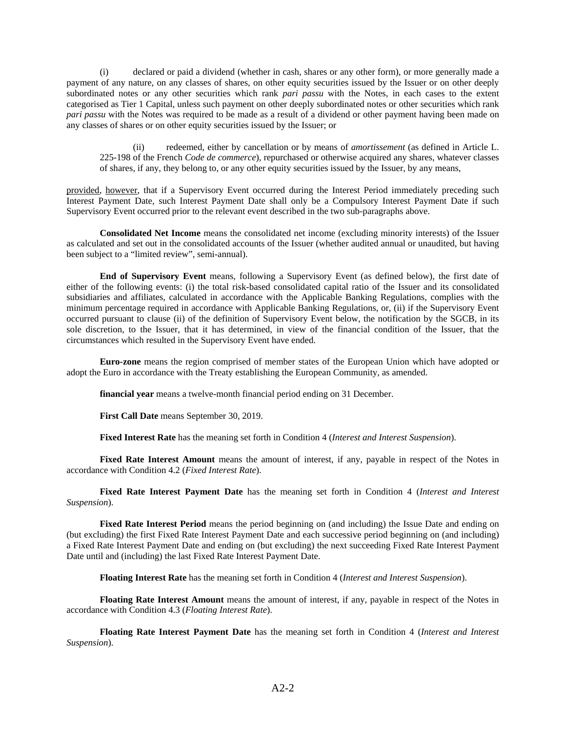(i) declared or paid a dividend (whether in cash, shares or any other form), or more generally made a payment of any nature, on any classes of shares, on other equity securities issued by the Issuer or on other deeply subordinated notes or any other securities which rank *pari passu* with the Notes, in each cases to the extent categorised as Tier 1 Capital, unless such payment on other deeply subordinated notes or other securities which rank *pari passu* with the Notes was required to be made as a result of a dividend or other payment having been made on any classes of shares or on other equity securities issued by the Issuer; or

(ii) redeemed, either by cancellation or by means of *amortissement* (as defined in Article L. 225-198 of the French *Code de commerce*), repurchased or otherwise acquired any shares, whatever classes of shares, if any, they belong to, or any other equity securities issued by the Issuer, by any means,

provided, however, that if a Supervisory Event occurred during the Interest Period immediately preceding such Interest Payment Date, such Interest Payment Date shall only be a Compulsory Interest Payment Date if such Supervisory Event occurred prior to the relevant event described in the two sub-paragraphs above.

**Consolidated Net Income** means the consolidated net income (excluding minority interests) of the Issuer as calculated and set out in the consolidated accounts of the Issuer (whether audited annual or unaudited, but having been subject to a "limited review", semi-annual).

**End of Supervisory Event** means, following a Supervisory Event (as defined below), the first date of either of the following events: (i) the total risk-based consolidated capital ratio of the Issuer and its consolidated subsidiaries and affiliates, calculated in accordance with the Applicable Banking Regulations, complies with the minimum percentage required in accordance with Applicable Banking Regulations, or, (ii) if the Supervisory Event occurred pursuant to clause (ii) of the definition of Supervisory Event below, the notification by the SGCB, in its sole discretion, to the Issuer, that it has determined, in view of the financial condition of the Issuer, that the circumstances which resulted in the Supervisory Event have ended.

**Euro-zone** means the region comprised of member states of the European Union which have adopted or adopt the Euro in accordance with the Treaty establishing the European Community, as amended.

**financial year** means a twelve-month financial period ending on 31 December.

**First Call Date** means September 30, 2019.

**Fixed Interest Rate** has the meaning set forth in Condition 4 (*Interest and Interest Suspension*).

**Fixed Rate Interest Amount** means the amount of interest, if any, payable in respect of the Notes in accordance with Condition 4.2 (*Fixed Interest Rate*).

**Fixed Rate Interest Payment Date** has the meaning set forth in Condition 4 (*Interest and Interest Suspension*).

**Fixed Rate Interest Period** means the period beginning on (and including) the Issue Date and ending on (but excluding) the first Fixed Rate Interest Payment Date and each successive period beginning on (and including) a Fixed Rate Interest Payment Date and ending on (but excluding) the next succeeding Fixed Rate Interest Payment Date until and (including) the last Fixed Rate Interest Payment Date.

**Floating Interest Rate** has the meaning set forth in Condition 4 (*Interest and Interest Suspension*).

**Floating Rate Interest Amount** means the amount of interest, if any, payable in respect of the Notes in accordance with Condition 4.3 (*Floating Interest Rate*).

**Floating Rate Interest Payment Date** has the meaning set forth in Condition 4 (*Interest and Interest Suspension*).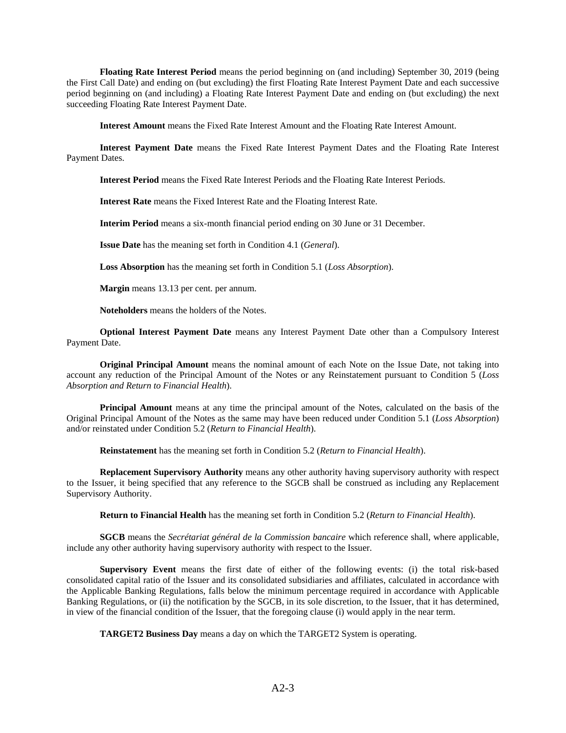**Floating Rate Interest Period** means the period beginning on (and including) September 30, 2019 (being the First Call Date) and ending on (but excluding) the first Floating Rate Interest Payment Date and each successive period beginning on (and including) a Floating Rate Interest Payment Date and ending on (but excluding) the next succeeding Floating Rate Interest Payment Date.

**Interest Amount** means the Fixed Rate Interest Amount and the Floating Rate Interest Amount.

**Interest Payment Date** means the Fixed Rate Interest Payment Dates and the Floating Rate Interest Payment Dates.

**Interest Period** means the Fixed Rate Interest Periods and the Floating Rate Interest Periods.

**Interest Rate** means the Fixed Interest Rate and the Floating Interest Rate.

**Interim Period** means a six-month financial period ending on 30 June or 31 December.

**Issue Date** has the meaning set forth in Condition 4.1 (*General*).

**Loss Absorption** has the meaning set forth in Condition 5.1 (*Loss Absorption*).

**Margin** means 13.13 per cent. per annum.

**Noteholders** means the holders of the Notes.

**Optional Interest Payment Date** means any Interest Payment Date other than a Compulsory Interest Payment Date.

**Original Principal Amount** means the nominal amount of each Note on the Issue Date, not taking into account any reduction of the Principal Amount of the Notes or any Reinstatement pursuant to Condition 5 (*Loss Absorption and Return to Financial Health*).

**Principal Amount** means at any time the principal amount of the Notes, calculated on the basis of the Original Principal Amount of the Notes as the same may have been reduced under Condition 5.1 (*Loss Absorption*) and/or reinstated under Condition 5.2 (*Return to Financial Health*).

**Reinstatement** has the meaning set forth in Condition 5.2 (*Return to Financial Health*).

**Replacement Supervisory Authority** means any other authority having supervisory authority with respect to the Issuer, it being specified that any reference to the SGCB shall be construed as including any Replacement Supervisory Authority.

**Return to Financial Health** has the meaning set forth in Condition 5.2 (*Return to Financial Health*).

**SGCB** means the *Secrétariat général de la Commission bancaire* which reference shall, where applicable, include any other authority having supervisory authority with respect to the Issuer.

**Supervisory Event** means the first date of either of the following events: (i) the total risk-based consolidated capital ratio of the Issuer and its consolidated subsidiaries and affiliates, calculated in accordance with the Applicable Banking Regulations, falls below the minimum percentage required in accordance with Applicable Banking Regulations, or (ii) the notification by the SGCB, in its sole discretion, to the Issuer, that it has determined, in view of the financial condition of the Issuer, that the foregoing clause (i) would apply in the near term.

**TARGET2 Business Day** means a day on which the TARGET2 System is operating.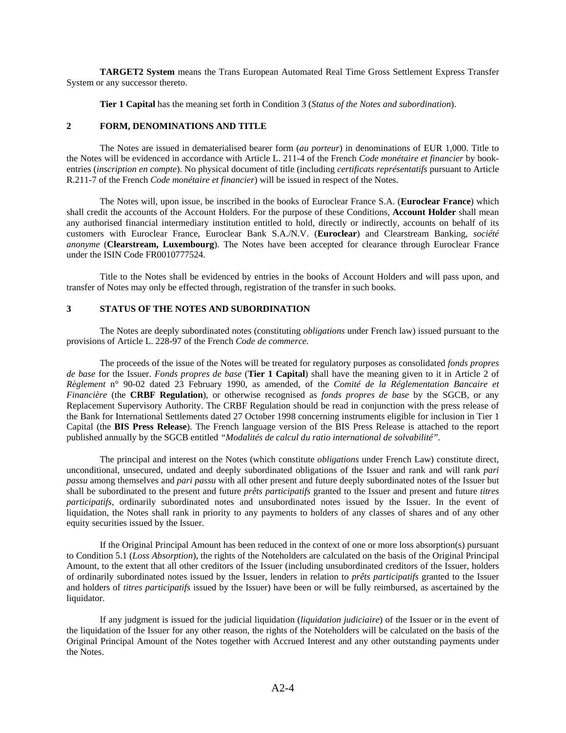**TARGET2 System** means the Trans European Automated Real Time Gross Settlement Express Transfer System or any successor thereto.

**Tier 1 Capital** has the meaning set forth in Condition 3 (*Status of the Notes and subordination*).

### **2 FORM, DENOMINATIONS AND TITLE**

The Notes are issued in dematerialised bearer form (*au porteur*) in denominations of EUR 1,000. Title to the Notes will be evidenced in accordance with Article L. 211-4 of the French *Code monétaire et financier* by bookentries (*inscription en compte*). No physical document of title (including *certificats représentatifs* pursuant to Article R.211-7 of the French *Code monétaire et financier*) will be issued in respect of the Notes.

The Notes will, upon issue, be inscribed in the books of Euroclear France S.A. (**Euroclear France**) which shall credit the accounts of the Account Holders. For the purpose of these Conditions, **Account Holder** shall mean any authorised financial intermediary institution entitled to hold, directly or indirectly, accounts on behalf of its customers with Euroclear France, Euroclear Bank S.A./N.V. (**Euroclear**) and Clearstream Banking, *société anonyme* (**Clearstream, Luxembourg**). The Notes have been accepted for clearance through Euroclear France under the ISIN Code FR0010777524.

Title to the Notes shall be evidenced by entries in the books of Account Holders and will pass upon, and transfer of Notes may only be effected through, registration of the transfer in such books.

## **3 STATUS OF THE NOTES AND SUBORDINATION**

The Notes are deeply subordinated notes (constituting *obligations* under French law) issued pursuant to the provisions of Article L. 228-97 of the French *Code de commerce.*

The proceeds of the issue of the Notes will be treated for regulatory purposes as consolidated *fonds propres de base* for the Issuer. *Fonds propres de base* (**Tier 1 Capital**) shall have the meaning given to it in Article 2 of *Règlement* n° 90-02 dated 23 February 1990, as amended, of the *Comité de la Réglementation Bancaire et Financière* (the **CRBF Regulation**), or otherwise recognised as *fonds propres de base* by the SGCB, or any Replacement Supervisory Authority. The CRBF Regulation should be read in conjunction with the press release of the Bank for International Settlements dated 27 October 1998 concerning instruments eligible for inclusion in Tier 1 Capital (the **BIS Press Release**). The French language version of the BIS Press Release is attached to the report published annually by the SGCB entitled *"Modalités de calcul du ratio international de solvabilité".*

The principal and interest on the Notes (which constitute *obligations* under French Law) constitute direct, unconditional, unsecured, undated and deeply subordinated obligations of the Issuer and rank and will rank *pari passu* among themselves and *pari passu* with all other present and future deeply subordinated notes of the Issuer but shall be subordinated to the present and future *prêts participatifs* granted to the Issuer and present and future *titres participatifs,* ordinarily subordinated notes and unsubordinated notes issued by the Issuer. In the event of liquidation, the Notes shall rank in priority to any payments to holders of any classes of shares and of any other equity securities issued by the Issuer.

If the Original Principal Amount has been reduced in the context of one or more loss absorption(s) pursuant to Condition 5.1 (*Loss Absorption*), the rights of the Noteholders are calculated on the basis of the Original Principal Amount, to the extent that all other creditors of the Issuer (including unsubordinated creditors of the Issuer, holders of ordinarily subordinated notes issued by the Issuer, lenders in relation to *prêts participatifs* granted to the Issuer and holders of *titres participatifs* issued by the Issuer) have been or will be fully reimbursed, as ascertained by the liquidator.

If any judgment is issued for the judicial liquidation (*liquidation judiciaire*) of the Issuer or in the event of the liquidation of the Issuer for any other reason, the rights of the Noteholders will be calculated on the basis of the Original Principal Amount of the Notes together with Accrued Interest and any other outstanding payments under the Notes.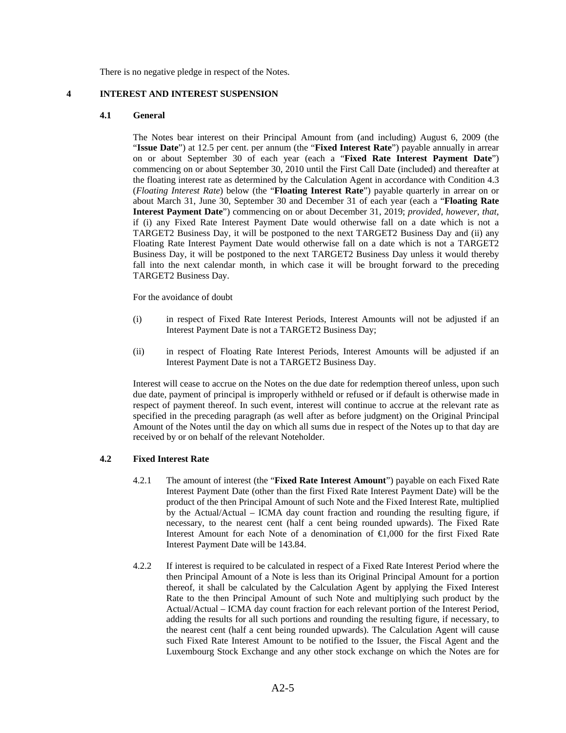There is no negative pledge in respect of the Notes.

### **4 INTEREST AND INTEREST SUSPENSION**

### **4.1 General**

 The Notes bear interest on their Principal Amount from (and including) August 6, 2009 (the "**Issue Date**") at 12.5 per cent. per annum (the "**Fixed Interest Rate**") payable annually in arrear on or about September 30 of each year (each a "**Fixed Rate Interest Payment Date**") commencing on or about September 30, 2010 until the First Call Date (included) and thereafter at the floating interest rate as determined by the Calculation Agent in accordance with Condition 4.3 (*Floating Interest Rate*) below (the "**Floating Interest Rate**") payable quarterly in arrear on or about March 31, June 30, September 30 and December 31 of each year (each a "**Floating Rate Interest Payment Date**") commencing on or about December 31, 2019; *provided*, *however*, *that*, if (i) any Fixed Rate Interest Payment Date would otherwise fall on a date which is not a TARGET2 Business Day, it will be postponed to the next TARGET2 Business Day and (ii) any Floating Rate Interest Payment Date would otherwise fall on a date which is not a TARGET2 Business Day, it will be postponed to the next TARGET2 Business Day unless it would thereby fall into the next calendar month, in which case it will be brought forward to the preceding TARGET2 Business Day.

For the avoidance of doubt

- (i) in respect of Fixed Rate Interest Periods, Interest Amounts will not be adjusted if an Interest Payment Date is not a TARGET2 Business Day;
- (ii) in respect of Floating Rate Interest Periods, Interest Amounts will be adjusted if an Interest Payment Date is not a TARGET2 Business Day.

 Interest will cease to accrue on the Notes on the due date for redemption thereof unless, upon such due date, payment of principal is improperly withheld or refused or if default is otherwise made in respect of payment thereof. In such event, interest will continue to accrue at the relevant rate as specified in the preceding paragraph (as well after as before judgment) on the Original Principal Amount of the Notes until the day on which all sums due in respect of the Notes up to that day are received by or on behalf of the relevant Noteholder.

### **4.2 Fixed Interest Rate**

- 4.2.1 The amount of interest (the "**Fixed Rate Interest Amount**") payable on each Fixed Rate Interest Payment Date (other than the first Fixed Rate Interest Payment Date) will be the product of the then Principal Amount of such Note and the Fixed Interest Rate, multiplied by the Actual/Actual – ICMA day count fraction and rounding the resulting figure, if necessary, to the nearest cent (half a cent being rounded upwards). The Fixed Rate Interest Amount for each Note of a denomination of €1,000 for the first Fixed Rate Interest Payment Date will be 143.84.
- 4.2.2 If interest is required to be calculated in respect of a Fixed Rate Interest Period where the then Principal Amount of a Note is less than its Original Principal Amount for a portion thereof, it shall be calculated by the Calculation Agent by applying the Fixed Interest Rate to the then Principal Amount of such Note and multiplying such product by the Actual/Actual – ICMA day count fraction for each relevant portion of the Interest Period, adding the results for all such portions and rounding the resulting figure, if necessary, to the nearest cent (half a cent being rounded upwards). The Calculation Agent will cause such Fixed Rate Interest Amount to be notified to the Issuer, the Fiscal Agent and the Luxembourg Stock Exchange and any other stock exchange on which the Notes are for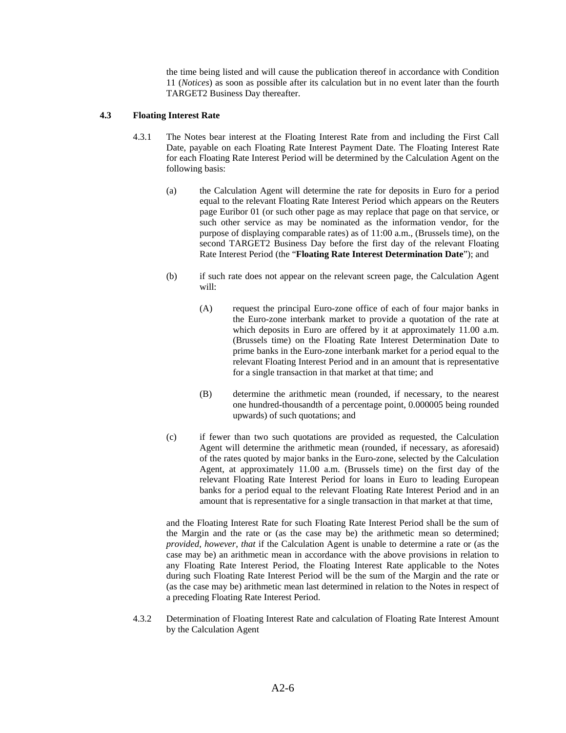the time being listed and will cause the publication thereof in accordance with Condition 11 (*Notices*) as soon as possible after its calculation but in no event later than the fourth TARGET2 Business Day thereafter.

## **4.3 Floating Interest Rate**

- 4.3.1 The Notes bear interest at the Floating Interest Rate from and including the First Call Date, payable on each Floating Rate Interest Payment Date. The Floating Interest Rate for each Floating Rate Interest Period will be determined by the Calculation Agent on the following basis:
	- (a) the Calculation Agent will determine the rate for deposits in Euro for a period equal to the relevant Floating Rate Interest Period which appears on the Reuters page Euribor 01 (or such other page as may replace that page on that service, or such other service as may be nominated as the information vendor, for the purpose of displaying comparable rates) as of 11:00 a.m., (Brussels time), on the second TARGET2 Business Day before the first day of the relevant Floating Rate Interest Period (the "**Floating Rate Interest Determination Date**"); and
	- (b) if such rate does not appear on the relevant screen page, the Calculation Agent will:
		- (A) request the principal Euro-zone office of each of four major banks in the Euro-zone interbank market to provide a quotation of the rate at which deposits in Euro are offered by it at approximately 11.00 a.m. (Brussels time) on the Floating Rate Interest Determination Date to prime banks in the Euro-zone interbank market for a period equal to the relevant Floating Interest Period and in an amount that is representative for a single transaction in that market at that time; and
		- (B) determine the arithmetic mean (rounded, if necessary, to the nearest one hundred-thousandth of a percentage point, 0.000005 being rounded upwards) of such quotations; and
	- (c) if fewer than two such quotations are provided as requested, the Calculation Agent will determine the arithmetic mean (rounded, if necessary, as aforesaid) of the rates quoted by major banks in the Euro-zone, selected by the Calculation Agent, at approximately 11.00 a.m. (Brussels time) on the first day of the relevant Floating Rate Interest Period for loans in Euro to leading European banks for a period equal to the relevant Floating Rate Interest Period and in an amount that is representative for a single transaction in that market at that time,

 and the Floating Interest Rate for such Floating Rate Interest Period shall be the sum of the Margin and the rate or (as the case may be) the arithmetic mean so determined; *provided*, *however*, *that* if the Calculation Agent is unable to determine a rate or (as the case may be) an arithmetic mean in accordance with the above provisions in relation to any Floating Rate Interest Period, the Floating Interest Rate applicable to the Notes during such Floating Rate Interest Period will be the sum of the Margin and the rate or (as the case may be) arithmetic mean last determined in relation to the Notes in respect of a preceding Floating Rate Interest Period.

4.3.2 Determination of Floating Interest Rate and calculation of Floating Rate Interest Amount by the Calculation Agent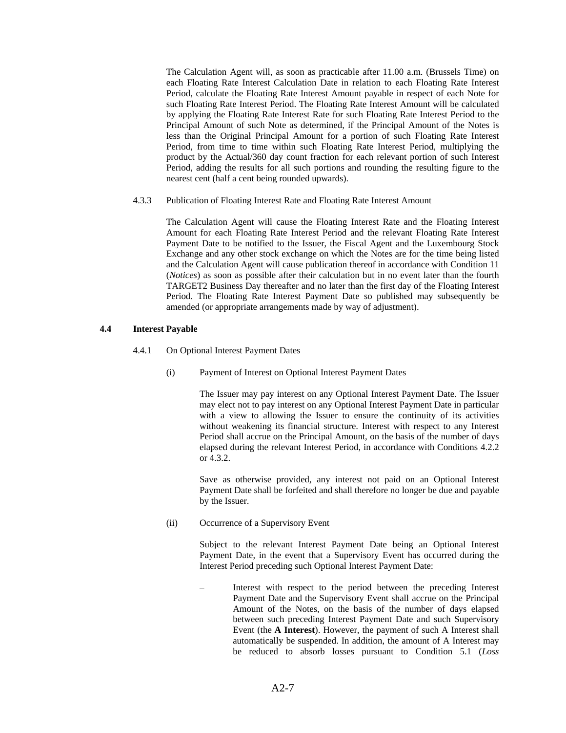The Calculation Agent will, as soon as practicable after 11.00 a.m. (Brussels Time) on each Floating Rate Interest Calculation Date in relation to each Floating Rate Interest Period, calculate the Floating Rate Interest Amount payable in respect of each Note for such Floating Rate Interest Period. The Floating Rate Interest Amount will be calculated by applying the Floating Rate Interest Rate for such Floating Rate Interest Period to the Principal Amount of such Note as determined, if the Principal Amount of the Notes is less than the Original Principal Amount for a portion of such Floating Rate Interest Period, from time to time within such Floating Rate Interest Period, multiplying the product by the Actual/360 day count fraction for each relevant portion of such Interest Period, adding the results for all such portions and rounding the resulting figure to the nearest cent (half a cent being rounded upwards).

4.3.3 Publication of Floating Interest Rate and Floating Rate Interest Amount

 The Calculation Agent will cause the Floating Interest Rate and the Floating Interest Amount for each Floating Rate Interest Period and the relevant Floating Rate Interest Payment Date to be notified to the Issuer, the Fiscal Agent and the Luxembourg Stock Exchange and any other stock exchange on which the Notes are for the time being listed and the Calculation Agent will cause publication thereof in accordance with Condition 11 (*Notices*) as soon as possible after their calculation but in no event later than the fourth TARGET2 Business Day thereafter and no later than the first day of the Floating Interest Period. The Floating Rate Interest Payment Date so published may subsequently be amended (or appropriate arrangements made by way of adjustment).

## **4.4 Interest Payable**

- 4.4.1 On Optional Interest Payment Dates
	- (i) Payment of Interest on Optional Interest Payment Dates

 The Issuer may pay interest on any Optional Interest Payment Date. The Issuer may elect not to pay interest on any Optional Interest Payment Date in particular with a view to allowing the Issuer to ensure the continuity of its activities without weakening its financial structure. Interest with respect to any Interest Period shall accrue on the Principal Amount, on the basis of the number of days elapsed during the relevant Interest Period, in accordance with Conditions 4.2.2 or 4.3.2.

 Save as otherwise provided, any interest not paid on an Optional Interest Payment Date shall be forfeited and shall therefore no longer be due and payable by the Issuer.

(ii) Occurrence of a Supervisory Event

 Subject to the relevant Interest Payment Date being an Optional Interest Payment Date, in the event that a Supervisory Event has occurred during the Interest Period preceding such Optional Interest Payment Date:

– Interest with respect to the period between the preceding Interest Payment Date and the Supervisory Event shall accrue on the Principal Amount of the Notes, on the basis of the number of days elapsed between such preceding Interest Payment Date and such Supervisory Event (the **A Interest**). However, the payment of such A Interest shall automatically be suspended. In addition, the amount of A Interest may be reduced to absorb losses pursuant to Condition 5.1 (*Loss*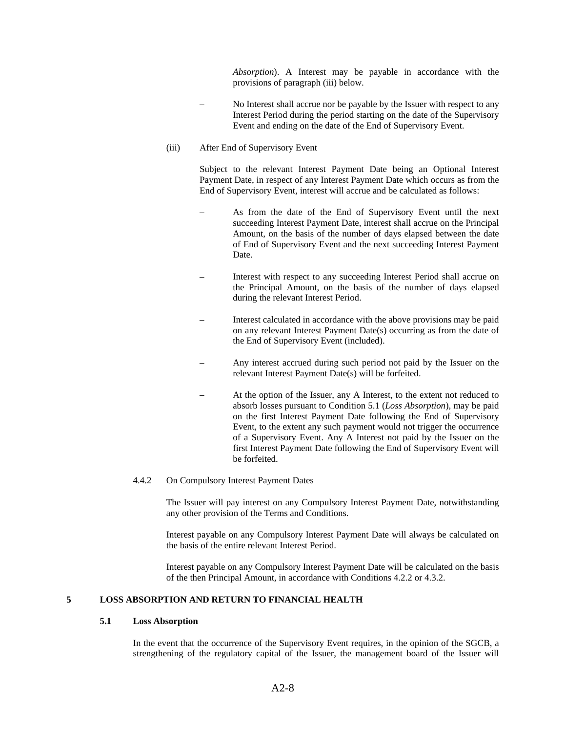*Absorption*). A Interest may be payable in accordance with the provisions of paragraph (iii) below.

- No Interest shall accrue nor be payable by the Issuer with respect to any Interest Period during the period starting on the date of the Supervisory Event and ending on the date of the End of Supervisory Event.
- (iii) After End of Supervisory Event

 Subject to the relevant Interest Payment Date being an Optional Interest Payment Date, in respect of any Interest Payment Date which occurs as from the End of Supervisory Event, interest will accrue and be calculated as follows:

- As from the date of the End of Supervisory Event until the next succeeding Interest Payment Date, interest shall accrue on the Principal Amount, on the basis of the number of days elapsed between the date of End of Supervisory Event and the next succeeding Interest Payment Date.
- Interest with respect to any succeeding Interest Period shall accrue on the Principal Amount, on the basis of the number of days elapsed during the relevant Interest Period.
- Interest calculated in accordance with the above provisions may be paid on any relevant Interest Payment Date(s) occurring as from the date of the End of Supervisory Event (included).
- Any interest accrued during such period not paid by the Issuer on the relevant Interest Payment Date(s) will be forfeited.
	- At the option of the Issuer, any A Interest, to the extent not reduced to absorb losses pursuant to Condition 5.1 (*Loss Absorption*), may be paid on the first Interest Payment Date following the End of Supervisory Event, to the extent any such payment would not trigger the occurrence of a Supervisory Event. Any A Interest not paid by the Issuer on the first Interest Payment Date following the End of Supervisory Event will be forfeited.
- 4.4.2 On Compulsory Interest Payment Dates

 The Issuer will pay interest on any Compulsory Interest Payment Date, notwithstanding any other provision of the Terms and Conditions.

 Interest payable on any Compulsory Interest Payment Date will always be calculated on the basis of the entire relevant Interest Period.

 Interest payable on any Compulsory Interest Payment Date will be calculated on the basis of the then Principal Amount, in accordance with Conditions 4.2.2 or 4.3.2.

# **5 LOSS ABSORPTION AND RETURN TO FINANCIAL HEALTH**

## **5.1 Loss Absorption**

In the event that the occurrence of the Supervisory Event requires, in the opinion of the SGCB, a strengthening of the regulatory capital of the Issuer, the management board of the Issuer will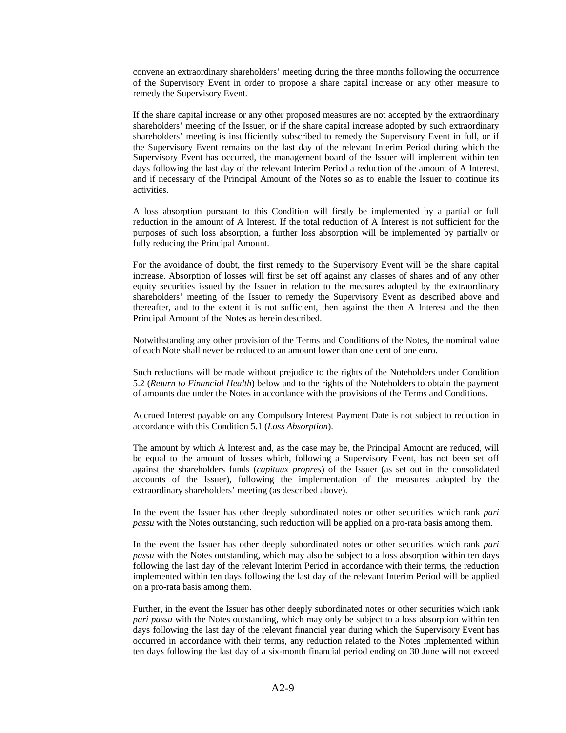convene an extraordinary shareholders' meeting during the three months following the occurrence of the Supervisory Event in order to propose a share capital increase or any other measure to remedy the Supervisory Event.

If the share capital increase or any other proposed measures are not accepted by the extraordinary shareholders' meeting of the Issuer, or if the share capital increase adopted by such extraordinary shareholders' meeting is insufficiently subscribed to remedy the Supervisory Event in full, or if the Supervisory Event remains on the last day of the relevant Interim Period during which the Supervisory Event has occurred, the management board of the Issuer will implement within ten days following the last day of the relevant Interim Period a reduction of the amount of A Interest, and if necessary of the Principal Amount of the Notes so as to enable the Issuer to continue its activities.

A loss absorption pursuant to this Condition will firstly be implemented by a partial or full reduction in the amount of A Interest. If the total reduction of A Interest is not sufficient for the purposes of such loss absorption, a further loss absorption will be implemented by partially or fully reducing the Principal Amount.

For the avoidance of doubt, the first remedy to the Supervisory Event will be the share capital increase. Absorption of losses will first be set off against any classes of shares and of any other equity securities issued by the Issuer in relation to the measures adopted by the extraordinary shareholders' meeting of the Issuer to remedy the Supervisory Event as described above and thereafter, and to the extent it is not sufficient, then against the then A Interest and the then Principal Amount of the Notes as herein described.

Notwithstanding any other provision of the Terms and Conditions of the Notes, the nominal value of each Note shall never be reduced to an amount lower than one cent of one euro.

Such reductions will be made without prejudice to the rights of the Noteholders under Condition 5.2 (*Return to Financial Health*) below and to the rights of the Noteholders to obtain the payment of amounts due under the Notes in accordance with the provisions of the Terms and Conditions.

Accrued Interest payable on any Compulsory Interest Payment Date is not subject to reduction in accordance with this Condition 5.1 (*Loss Absorption*).

The amount by which A Interest and, as the case may be, the Principal Amount are reduced, will be equal to the amount of losses which, following a Supervisory Event, has not been set off against the shareholders funds (*capitaux propres*) of the Issuer (as set out in the consolidated accounts of the Issuer), following the implementation of the measures adopted by the extraordinary shareholders' meeting (as described above).

In the event the Issuer has other deeply subordinated notes or other securities which rank *pari passu* with the Notes outstanding, such reduction will be applied on a pro-rata basis among them.

In the event the Issuer has other deeply subordinated notes or other securities which rank *pari passu* with the Notes outstanding, which may also be subject to a loss absorption within ten days following the last day of the relevant Interim Period in accordance with their terms, the reduction implemented within ten days following the last day of the relevant Interim Period will be applied on a pro-rata basis among them.

Further, in the event the Issuer has other deeply subordinated notes or other securities which rank *pari passu* with the Notes outstanding, which may only be subject to a loss absorption within ten days following the last day of the relevant financial year during which the Supervisory Event has occurred in accordance with their terms, any reduction related to the Notes implemented within ten days following the last day of a six-month financial period ending on 30 June will not exceed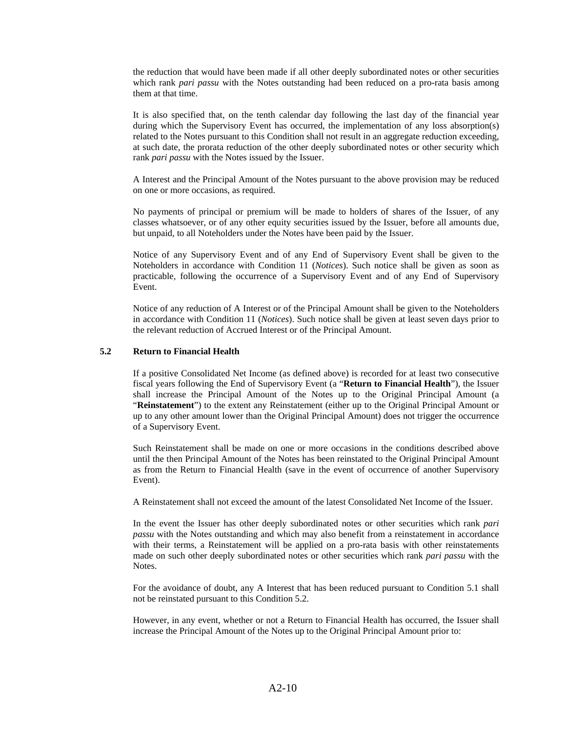the reduction that would have been made if all other deeply subordinated notes or other securities which rank *pari passu* with the Notes outstanding had been reduced on a pro-rata basis among them at that time.

It is also specified that, on the tenth calendar day following the last day of the financial year during which the Supervisory Event has occurred, the implementation of any loss absorption(s) related to the Notes pursuant to this Condition shall not result in an aggregate reduction exceeding, at such date, the prorata reduction of the other deeply subordinated notes or other security which rank *pari passu* with the Notes issued by the Issuer.

A Interest and the Principal Amount of the Notes pursuant to the above provision may be reduced on one or more occasions, as required.

No payments of principal or premium will be made to holders of shares of the Issuer, of any classes whatsoever, or of any other equity securities issued by the Issuer, before all amounts due, but unpaid, to all Noteholders under the Notes have been paid by the Issuer.

Notice of any Supervisory Event and of any End of Supervisory Event shall be given to the Noteholders in accordance with Condition 11 (*Notices*). Such notice shall be given as soon as practicable, following the occurrence of a Supervisory Event and of any End of Supervisory Event.

Notice of any reduction of A Interest or of the Principal Amount shall be given to the Noteholders in accordance with Condition 11 (*Notices*). Such notice shall be given at least seven days prior to the relevant reduction of Accrued Interest or of the Principal Amount.

### **5.2 Return to Financial Health**

If a positive Consolidated Net Income (as defined above) is recorded for at least two consecutive fiscal years following the End of Supervisory Event (a "**Return to Financial Health**"), the Issuer shall increase the Principal Amount of the Notes up to the Original Principal Amount (a "**Reinstatement**") to the extent any Reinstatement (either up to the Original Principal Amount or up to any other amount lower than the Original Principal Amount) does not trigger the occurrence of a Supervisory Event.

Such Reinstatement shall be made on one or more occasions in the conditions described above until the then Principal Amount of the Notes has been reinstated to the Original Principal Amount as from the Return to Financial Health (save in the event of occurrence of another Supervisory Event).

A Reinstatement shall not exceed the amount of the latest Consolidated Net Income of the Issuer.

In the event the Issuer has other deeply subordinated notes or other securities which rank *pari passu* with the Notes outstanding and which may also benefit from a reinstatement in accordance with their terms, a Reinstatement will be applied on a pro-rata basis with other reinstatements made on such other deeply subordinated notes or other securities which rank *pari passu* with the Notes.

For the avoidance of doubt, any A Interest that has been reduced pursuant to Condition 5.1 shall not be reinstated pursuant to this Condition 5.2.

However, in any event, whether or not a Return to Financial Health has occurred, the Issuer shall increase the Principal Amount of the Notes up to the Original Principal Amount prior to: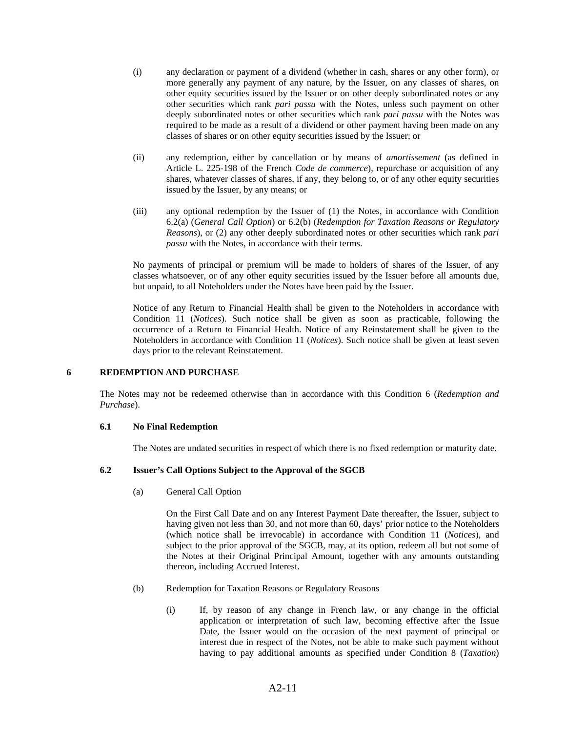- (i) any declaration or payment of a dividend (whether in cash, shares or any other form), or more generally any payment of any nature, by the Issuer, on any classes of shares, on other equity securities issued by the Issuer or on other deeply subordinated notes or any other securities which rank *pari passu* with the Notes, unless such payment on other deeply subordinated notes or other securities which rank *pari passu* with the Notes was required to be made as a result of a dividend or other payment having been made on any classes of shares or on other equity securities issued by the Issuer; or
- (ii) any redemption, either by cancellation or by means of *amortissement* (as defined in Article L. 225-198 of the French *Code de commerce*), repurchase or acquisition of any shares, whatever classes of shares, if any, they belong to, or of any other equity securities issued by the Issuer, by any means; or
- (iii) any optional redemption by the Issuer of (1) the Notes, in accordance with Condition 6.2(a) (*General Call Option*) or 6.2(b) (*Redemption for Taxation Reasons or Regulatory Reasons*), or (2) any other deeply subordinated notes or other securities which rank *pari passu* with the Notes, in accordance with their terms.

 No payments of principal or premium will be made to holders of shares of the Issuer, of any classes whatsoever, or of any other equity securities issued by the Issuer before all amounts due, but unpaid, to all Noteholders under the Notes have been paid by the Issuer.

 Notice of any Return to Financial Health shall be given to the Noteholders in accordance with Condition 11 (*Notices*). Such notice shall be given as soon as practicable, following the occurrence of a Return to Financial Health. Notice of any Reinstatement shall be given to the Noteholders in accordance with Condition 11 (*Notices*). Such notice shall be given at least seven days prior to the relevant Reinstatement.

### **6 REDEMPTION AND PURCHASE**

The Notes may not be redeemed otherwise than in accordance with this Condition 6 (*Redemption and Purchase*).

### **6.1 No Final Redemption**

The Notes are undated securities in respect of which there is no fixed redemption or maturity date.

### **6.2 Issuer's Call Options Subject to the Approval of the SGCB**

(a) General Call Option

 On the First Call Date and on any Interest Payment Date thereafter, the Issuer, subject to having given not less than 30, and not more than 60, days' prior notice to the Noteholders (which notice shall be irrevocable) in accordance with Condition 11 (*Notices*), and subject to the prior approval of the SGCB, may, at its option, redeem all but not some of the Notes at their Original Principal Amount, together with any amounts outstanding thereon, including Accrued Interest.

- (b) Redemption for Taxation Reasons or Regulatory Reasons
	- (i) If, by reason of any change in French law, or any change in the official application or interpretation of such law, becoming effective after the Issue Date, the Issuer would on the occasion of the next payment of principal or interest due in respect of the Notes, not be able to make such payment without having to pay additional amounts as specified under Condition 8 (*Taxation*)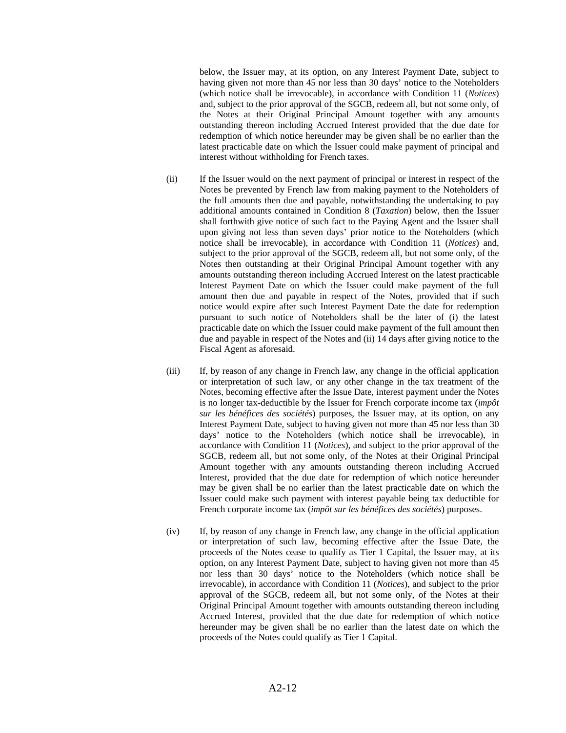below, the Issuer may, at its option, on any Interest Payment Date, subject to having given not more than 45 nor less than 30 days' notice to the Noteholders (which notice shall be irrevocable), in accordance with Condition 11 (*Notices*) and, subject to the prior approval of the SGCB, redeem all, but not some only, of the Notes at their Original Principal Amount together with any amounts outstanding thereon including Accrued Interest provided that the due date for redemption of which notice hereunder may be given shall be no earlier than the latest practicable date on which the Issuer could make payment of principal and interest without withholding for French taxes.

- (ii) If the Issuer would on the next payment of principal or interest in respect of the Notes be prevented by French law from making payment to the Noteholders of the full amounts then due and payable, notwithstanding the undertaking to pay additional amounts contained in Condition 8 (*Taxation*) below, then the Issuer shall forthwith give notice of such fact to the Paying Agent and the Issuer shall upon giving not less than seven days' prior notice to the Noteholders (which notice shall be irrevocable), in accordance with Condition 11 (*Notices*) and, subject to the prior approval of the SGCB, redeem all, but not some only, of the Notes then outstanding at their Original Principal Amount together with any amounts outstanding thereon including Accrued Interest on the latest practicable Interest Payment Date on which the Issuer could make payment of the full amount then due and payable in respect of the Notes, provided that if such notice would expire after such Interest Payment Date the date for redemption pursuant to such notice of Noteholders shall be the later of (i) the latest practicable date on which the Issuer could make payment of the full amount then due and payable in respect of the Notes and (ii) 14 days after giving notice to the Fiscal Agent as aforesaid.
- (iii) If, by reason of any change in French law, any change in the official application or interpretation of such law, or any other change in the tax treatment of the Notes, becoming effective after the Issue Date, interest payment under the Notes is no longer tax-deductible by the Issuer for French corporate income tax (*impôt sur les bénéfices des sociétés*) purposes, the Issuer may, at its option, on any Interest Payment Date, subject to having given not more than 45 nor less than 30 days' notice to the Noteholders (which notice shall be irrevocable), in accordance with Condition 11 (*Notices*), and subject to the prior approval of the SGCB, redeem all, but not some only, of the Notes at their Original Principal Amount together with any amounts outstanding thereon including Accrued Interest, provided that the due date for redemption of which notice hereunder may be given shall be no earlier than the latest practicable date on which the Issuer could make such payment with interest payable being tax deductible for French corporate income tax (*impôt sur les bénéfices des sociétés*) purposes.
- (iv) If, by reason of any change in French law, any change in the official application or interpretation of such law, becoming effective after the Issue Date, the proceeds of the Notes cease to qualify as Tier 1 Capital, the Issuer may, at its option, on any Interest Payment Date, subject to having given not more than 45 nor less than 30 days' notice to the Noteholders (which notice shall be irrevocable), in accordance with Condition 11 (*Notices*), and subject to the prior approval of the SGCB, redeem all, but not some only, of the Notes at their Original Principal Amount together with amounts outstanding thereon including Accrued Interest, provided that the due date for redemption of which notice hereunder may be given shall be no earlier than the latest date on which the proceeds of the Notes could qualify as Tier 1 Capital.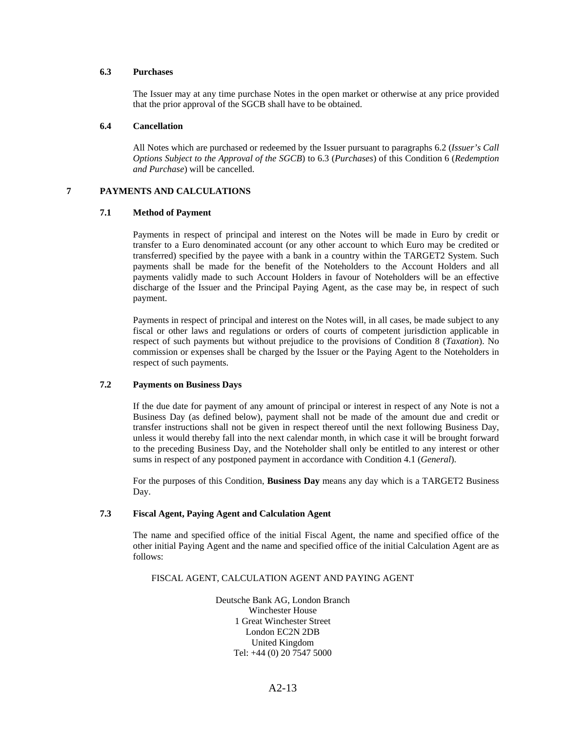### **6.3 Purchases**

The Issuer may at any time purchase Notes in the open market or otherwise at any price provided that the prior approval of the SGCB shall have to be obtained.

### **6.4 Cancellation**

All Notes which are purchased or redeemed by the Issuer pursuant to paragraphs 6.2 (*Issuer's Call Options Subject to the Approval of the SGCB*) to 6.3 (*Purchases*) of this Condition 6 (*Redemption and Purchase*) will be cancelled.

## **7 PAYMENTS AND CALCULATIONS**

### **7.1 Method of Payment**

Payments in respect of principal and interest on the Notes will be made in Euro by credit or transfer to a Euro denominated account (or any other account to which Euro may be credited or transferred) specified by the payee with a bank in a country within the TARGET2 System. Such payments shall be made for the benefit of the Noteholders to the Account Holders and all payments validly made to such Account Holders in favour of Noteholders will be an effective discharge of the Issuer and the Principal Paying Agent, as the case may be, in respect of such payment.

Payments in respect of principal and interest on the Notes will, in all cases, be made subject to any fiscal or other laws and regulations or orders of courts of competent jurisdiction applicable in respect of such payments but without prejudice to the provisions of Condition 8 (*Taxation*). No commission or expenses shall be charged by the Issuer or the Paying Agent to the Noteholders in respect of such payments.

#### **7.2 Payments on Business Days**

If the due date for payment of any amount of principal or interest in respect of any Note is not a Business Day (as defined below), payment shall not be made of the amount due and credit or transfer instructions shall not be given in respect thereof until the next following Business Day, unless it would thereby fall into the next calendar month, in which case it will be brought forward to the preceding Business Day, and the Noteholder shall only be entitled to any interest or other sums in respect of any postponed payment in accordance with Condition 4.1 (*General*).

For the purposes of this Condition, **Business Day** means any day which is a TARGET2 Business Day.

## **7.3 Fiscal Agent, Paying Agent and Calculation Agent**

 The name and specified office of the initial Fiscal Agent, the name and specified office of the other initial Paying Agent and the name and specified office of the initial Calculation Agent are as follows:

## FISCAL AGENT, CALCULATION AGENT AND PAYING AGENT

Deutsche Bank AG, London Branch Winchester House 1 Great Winchester Street London EC2N 2DB United Kingdom Tel: +44 (0) 20 7547 5000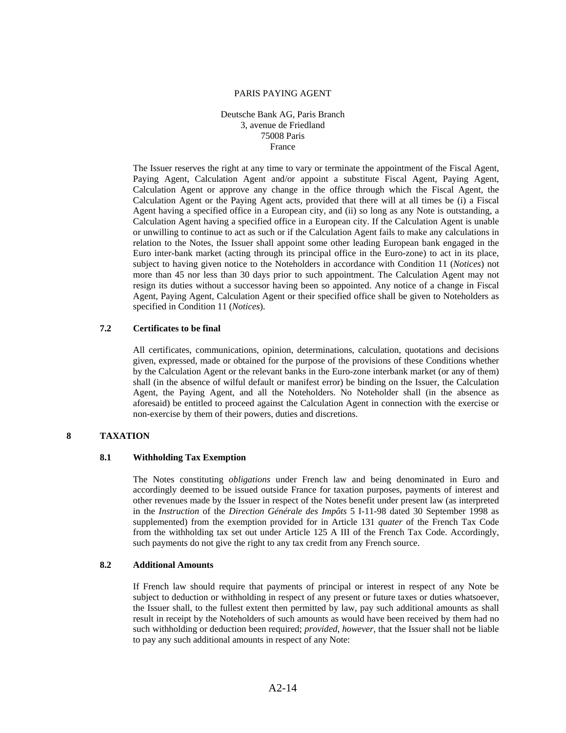#### PARIS PAYING AGENT

Deutsche Bank AG, Paris Branch 3, avenue de Friedland 75008 Paris France

 The Issuer reserves the right at any time to vary or terminate the appointment of the Fiscal Agent, Paying Agent, Calculation Agent and/or appoint a substitute Fiscal Agent, Paying Agent, Calculation Agent or approve any change in the office through which the Fiscal Agent, the Calculation Agent or the Paying Agent acts, provided that there will at all times be (i) a Fiscal Agent having a specified office in a European city, and (ii) so long as any Note is outstanding, a Calculation Agent having a specified office in a European city. If the Calculation Agent is unable or unwilling to continue to act as such or if the Calculation Agent fails to make any calculations in relation to the Notes, the Issuer shall appoint some other leading European bank engaged in the Euro inter-bank market (acting through its principal office in the Euro-zone) to act in its place, subject to having given notice to the Noteholders in accordance with Condition 11 (*Notices*) not more than 45 nor less than 30 days prior to such appointment. The Calculation Agent may not resign its duties without a successor having been so appointed. Any notice of a change in Fiscal Agent, Paying Agent, Calculation Agent or their specified office shall be given to Noteholders as specified in Condition 11 (*Notices*).

## **7.2 Certificates to be final**

All certificates, communications, opinion, determinations, calculation, quotations and decisions given, expressed, made or obtained for the purpose of the provisions of these Conditions whether by the Calculation Agent or the relevant banks in the Euro-zone interbank market (or any of them) shall (in the absence of wilful default or manifest error) be binding on the Issuer, the Calculation Agent, the Paying Agent, and all the Noteholders. No Noteholder shall (in the absence as aforesaid) be entitled to proceed against the Calculation Agent in connection with the exercise or non-exercise by them of their powers, duties and discretions.

## **8 TAXATION**

### **8.1 Withholding Tax Exemption**

The Notes constituting *obligations* under French law and being denominated in Euro and accordingly deemed to be issued outside France for taxation purposes, payments of interest and other revenues made by the Issuer in respect of the Notes benefit under present law (as interpreted in the *Instruction* of the *Direction Générale des Impôts* 5 I-11-98 dated 30 September 1998 as supplemented) from the exemption provided for in Article 131 *quater* of the French Tax Code from the withholding tax set out under Article 125 A III of the French Tax Code. Accordingly, such payments do not give the right to any tax credit from any French source.

## **8.2 Additional Amounts**

 If French law should require that payments of principal or interest in respect of any Note be subject to deduction or withholding in respect of any present or future taxes or duties whatsoever, the Issuer shall, to the fullest extent then permitted by law, pay such additional amounts as shall result in receipt by the Noteholders of such amounts as would have been received by them had no such withholding or deduction been required; *provided*, *however*, that the Issuer shall not be liable to pay any such additional amounts in respect of any Note: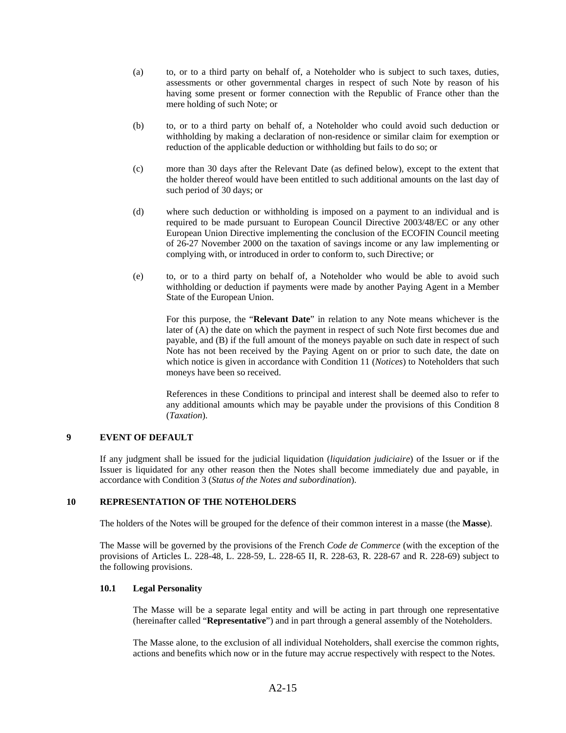- (a) to, or to a third party on behalf of, a Noteholder who is subject to such taxes, duties, assessments or other governmental charges in respect of such Note by reason of his having some present or former connection with the Republic of France other than the mere holding of such Note; or
- (b) to, or to a third party on behalf of, a Noteholder who could avoid such deduction or withholding by making a declaration of non-residence or similar claim for exemption or reduction of the applicable deduction or withholding but fails to do so; or
- (c) more than 30 days after the Relevant Date (as defined below), except to the extent that the holder thereof would have been entitled to such additional amounts on the last day of such period of 30 days; or
- (d) where such deduction or withholding is imposed on a payment to an individual and is required to be made pursuant to European Council Directive 2003/48/EC or any other European Union Directive implementing the conclusion of the ECOFIN Council meeting of 26-27 November 2000 on the taxation of savings income or any law implementing or complying with, or introduced in order to conform to, such Directive; or
- (e) to, or to a third party on behalf of, a Noteholder who would be able to avoid such withholding or deduction if payments were made by another Paying Agent in a Member State of the European Union.

 For this purpose, the "**Relevant Date**" in relation to any Note means whichever is the later of (A) the date on which the payment in respect of such Note first becomes due and payable, and (B) if the full amount of the moneys payable on such date in respect of such Note has not been received by the Paying Agent on or prior to such date, the date on which notice is given in accordance with Condition 11 (*Notices*) to Noteholders that such moneys have been so received.

 References in these Conditions to principal and interest shall be deemed also to refer to any additional amounts which may be payable under the provisions of this Condition 8 (*Taxation*).

## **9 EVENT OF DEFAULT**

If any judgment shall be issued for the judicial liquidation (*liquidation judiciaire*) of the Issuer or if the Issuer is liquidated for any other reason then the Notes shall become immediately due and payable, in accordance with Condition 3 (*Status of the Notes and subordination*).

### **10 REPRESENTATION OF THE NOTEHOLDERS**

The holders of the Notes will be grouped for the defence of their common interest in a masse (the **Masse**).

The Masse will be governed by the provisions of the French *Code de Commerce* (with the exception of the provisions of Articles L. 228-48, L. 228-59, L. 228-65 II, R. 228-63, R. 228-67 and R. 228-69) subject to the following provisions.

#### **10.1 Legal Personality**

The Masse will be a separate legal entity and will be acting in part through one representative (hereinafter called "**Representative**") and in part through a general assembly of the Noteholders.

The Masse alone, to the exclusion of all individual Noteholders, shall exercise the common rights, actions and benefits which now or in the future may accrue respectively with respect to the Notes.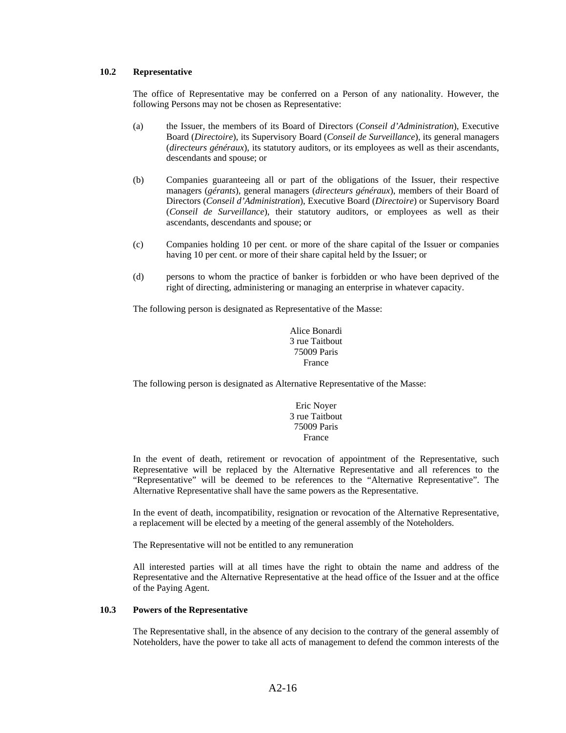### **10.2 Representative**

The office of Representative may be conferred on a Person of any nationality. However, the following Persons may not be chosen as Representative:

- (a) the Issuer, the members of its Board of Directors (*Conseil d'Administration*), Executive Board (*Directoire*), its Supervisory Board (*Conseil de Surveillance*), its general managers (*directeurs généraux*), its statutory auditors, or its employees as well as their ascendants, descendants and spouse; or
- (b) Companies guaranteeing all or part of the obligations of the Issuer, their respective managers (*gérants*), general managers (*directeurs généraux*), members of their Board of Directors (*Conseil d'Administration*), Executive Board (*Directoire*) or Supervisory Board (*Conseil de Surveillance*), their statutory auditors, or employees as well as their ascendants, descendants and spouse; or
- (c) Companies holding 10 per cent. or more of the share capital of the Issuer or companies having 10 per cent. or more of their share capital held by the Issuer; or
- (d) persons to whom the practice of banker is forbidden or who have been deprived of the right of directing, administering or managing an enterprise in whatever capacity.

The following person is designated as Representative of the Masse:

Alice Bonardi 3 rue Taitbout 75009 Paris France

The following person is designated as Alternative Representative of the Masse:

Eric Noyer 3 rue Taitbout 75009 Paris France

In the event of death, retirement or revocation of appointment of the Representative, such Representative will be replaced by the Alternative Representative and all references to the "Representative" will be deemed to be references to the "Alternative Representative". The Alternative Representative shall have the same powers as the Representative.

In the event of death, incompatibility, resignation or revocation of the Alternative Representative, a replacement will be elected by a meeting of the general assembly of the Noteholders.

The Representative will not be entitled to any remuneration

All interested parties will at all times have the right to obtain the name and address of the Representative and the Alternative Representative at the head office of the Issuer and at the office of the Paying Agent.

### **10.3 Powers of the Representative**

The Representative shall, in the absence of any decision to the contrary of the general assembly of Noteholders, have the power to take all acts of management to defend the common interests of the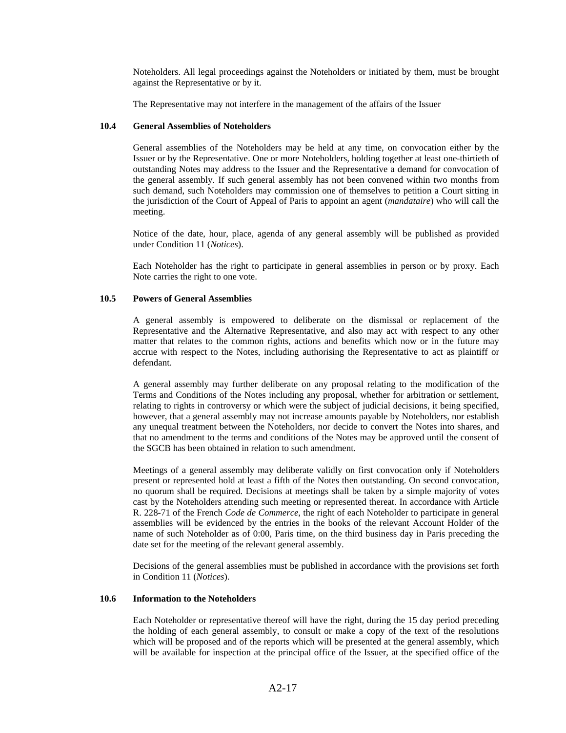Noteholders. All legal proceedings against the Noteholders or initiated by them, must be brought against the Representative or by it.

The Representative may not interfere in the management of the affairs of the Issuer

### **10.4 General Assemblies of Noteholders**

General assemblies of the Noteholders may be held at any time, on convocation either by the Issuer or by the Representative. One or more Noteholders, holding together at least one-thirtieth of outstanding Notes may address to the Issuer and the Representative a demand for convocation of the general assembly. If such general assembly has not been convened within two months from such demand, such Noteholders may commission one of themselves to petition a Court sitting in the jurisdiction of the Court of Appeal of Paris to appoint an agent (*mandataire*) who will call the meeting.

Notice of the date, hour, place, agenda of any general assembly will be published as provided under Condition 11 (*Notices*).

Each Noteholder has the right to participate in general assemblies in person or by proxy. Each Note carries the right to one vote.

## **10.5 Powers of General Assemblies**

A general assembly is empowered to deliberate on the dismissal or replacement of the Representative and the Alternative Representative, and also may act with respect to any other matter that relates to the common rights, actions and benefits which now or in the future may accrue with respect to the Notes, including authorising the Representative to act as plaintiff or defendant.

A general assembly may further deliberate on any proposal relating to the modification of the Terms and Conditions of the Notes including any proposal, whether for arbitration or settlement, relating to rights in controversy or which were the subject of judicial decisions, it being specified, however, that a general assembly may not increase amounts payable by Noteholders, nor establish any unequal treatment between the Noteholders, nor decide to convert the Notes into shares, and that no amendment to the terms and conditions of the Notes may be approved until the consent of the SGCB has been obtained in relation to such amendment.

Meetings of a general assembly may deliberate validly on first convocation only if Noteholders present or represented hold at least a fifth of the Notes then outstanding. On second convocation, no quorum shall be required. Decisions at meetings shall be taken by a simple majority of votes cast by the Noteholders attending such meeting or represented thereat. In accordance with Article R. 228-71 of the French *Code de Commerce*, the right of each Noteholder to participate in general assemblies will be evidenced by the entries in the books of the relevant Account Holder of the name of such Noteholder as of 0:00, Paris time, on the third business day in Paris preceding the date set for the meeting of the relevant general assembly.

Decisions of the general assemblies must be published in accordance with the provisions set forth in Condition 11 (*Notices*).

#### **10.6 Information to the Noteholders**

Each Noteholder or representative thereof will have the right, during the 15 day period preceding the holding of each general assembly, to consult or make a copy of the text of the resolutions which will be proposed and of the reports which will be presented at the general assembly, which will be available for inspection at the principal office of the Issuer, at the specified office of the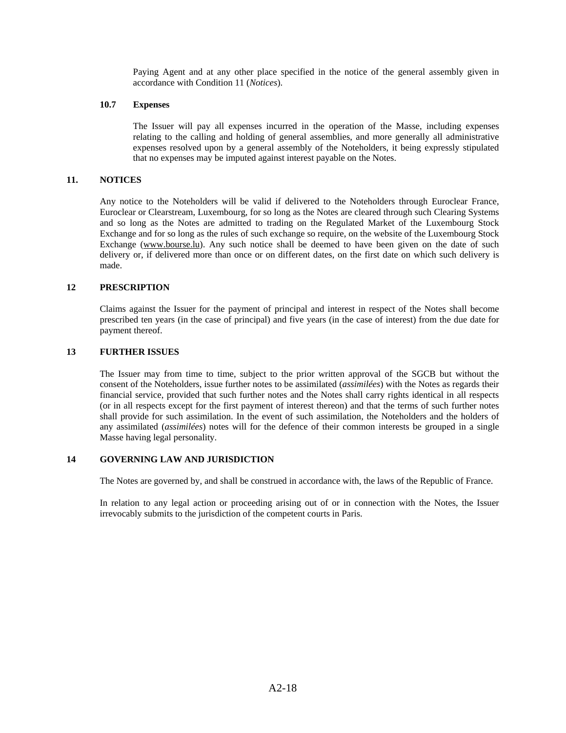Paying Agent and at any other place specified in the notice of the general assembly given in accordance with Condition 11 (*Notices*).

### **10.7 Expenses**

The Issuer will pay all expenses incurred in the operation of the Masse, including expenses relating to the calling and holding of general assemblies, and more generally all administrative expenses resolved upon by a general assembly of the Noteholders, it being expressly stipulated that no expenses may be imputed against interest payable on the Notes.

### **11. NOTICES**

Any notice to the Noteholders will be valid if delivered to the Noteholders through Euroclear France, Euroclear or Clearstream, Luxembourg, for so long as the Notes are cleared through such Clearing Systems and so long as the Notes are admitted to trading on the Regulated Market of the Luxembourg Stock Exchange and for so long as the rules of such exchange so require, on the website of the Luxembourg Stock Exchange (www.bourse.lu). Any such notice shall be deemed to have been given on the date of such delivery or, if delivered more than once or on different dates, on the first date on which such delivery is made.

### **12 PRESCRIPTION**

Claims against the Issuer for the payment of principal and interest in respect of the Notes shall become prescribed ten years (in the case of principal) and five years (in the case of interest) from the due date for payment thereof.

#### **13 FURTHER ISSUES**

The Issuer may from time to time, subject to the prior written approval of the SGCB but without the consent of the Noteholders, issue further notes to be assimilated (*assimilées*) with the Notes as regards their financial service, provided that such further notes and the Notes shall carry rights identical in all respects (or in all respects except for the first payment of interest thereon) and that the terms of such further notes shall provide for such assimilation. In the event of such assimilation, the Noteholders and the holders of any assimilated (*assimilées*) notes will for the defence of their common interests be grouped in a single Masse having legal personality.

### **14 GOVERNING LAW AND JURISDICTION**

The Notes are governed by, and shall be construed in accordance with, the laws of the Republic of France.

In relation to any legal action or proceeding arising out of or in connection with the Notes, the Issuer irrevocably submits to the jurisdiction of the competent courts in Paris.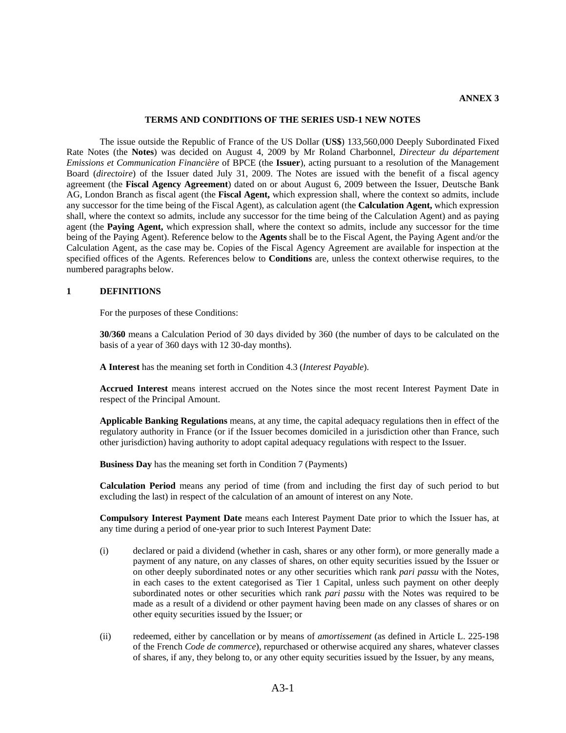#### **TERMS AND CONDITIONS OF THE SERIES USD-1 NEW NOTES**

The issue outside the Republic of France of the US Dollar (**US\$**) 133,560,000 Deeply Subordinated Fixed Rate Notes (the **Notes**) was decided on August 4, 2009 by Mr Roland Charbonnel, *Directeur du département Emissions et Communication Financière* of BPCE (the **Issuer**), acting pursuant to a resolution of the Management Board (*directoire*) of the Issuer dated July 31, 2009. The Notes are issued with the benefit of a fiscal agency agreement (the **Fiscal Agency Agreement**) dated on or about August 6, 2009 between the Issuer, Deutsche Bank AG, London Branch as fiscal agent (the **Fiscal Agent,** which expression shall, where the context so admits, include any successor for the time being of the Fiscal Agent), as calculation agent (the **Calculation Agent,** which expression shall, where the context so admits, include any successor for the time being of the Calculation Agent) and as paying agent (the **Paying Agent,** which expression shall, where the context so admits, include any successor for the time being of the Paying Agent). Reference below to the **Agents** shall be to the Fiscal Agent, the Paying Agent and/or the Calculation Agent, as the case may be. Copies of the Fiscal Agency Agreement are available for inspection at the specified offices of the Agents. References below to **Conditions** are, unless the context otherwise requires, to the numbered paragraphs below.

### **1 DEFINITIONS**

For the purposes of these Conditions:

**30/360** means a Calculation Period of 30 days divided by 360 (the number of days to be calculated on the basis of a year of 360 days with 12 30-day months).

**A Interest** has the meaning set forth in Condition 4.3 (*Interest Payable*).

**Accrued Interest** means interest accrued on the Notes since the most recent Interest Payment Date in respect of the Principal Amount.

**Applicable Banking Regulations** means, at any time, the capital adequacy regulations then in effect of the regulatory authority in France (or if the Issuer becomes domiciled in a jurisdiction other than France, such other jurisdiction) having authority to adopt capital adequacy regulations with respect to the Issuer.

**Business Day** has the meaning set forth in Condition 7 (Payments)

**Calculation Period** means any period of time (from and including the first day of such period to but excluding the last) in respect of the calculation of an amount of interest on any Note.

**Compulsory Interest Payment Date** means each Interest Payment Date prior to which the Issuer has, at any time during a period of one-year prior to such Interest Payment Date:

- (i) declared or paid a dividend (whether in cash, shares or any other form), or more generally made a payment of any nature, on any classes of shares, on other equity securities issued by the Issuer or on other deeply subordinated notes or any other securities which rank *pari passu* with the Notes, in each cases to the extent categorised as Tier 1 Capital, unless such payment on other deeply subordinated notes or other securities which rank *pari passu* with the Notes was required to be made as a result of a dividend or other payment having been made on any classes of shares or on other equity securities issued by the Issuer; or
- (ii) redeemed, either by cancellation or by means of *amortissement* (as defined in Article L. 225-198 of the French *Code de commerce*), repurchased or otherwise acquired any shares, whatever classes of shares, if any, they belong to, or any other equity securities issued by the Issuer, by any means,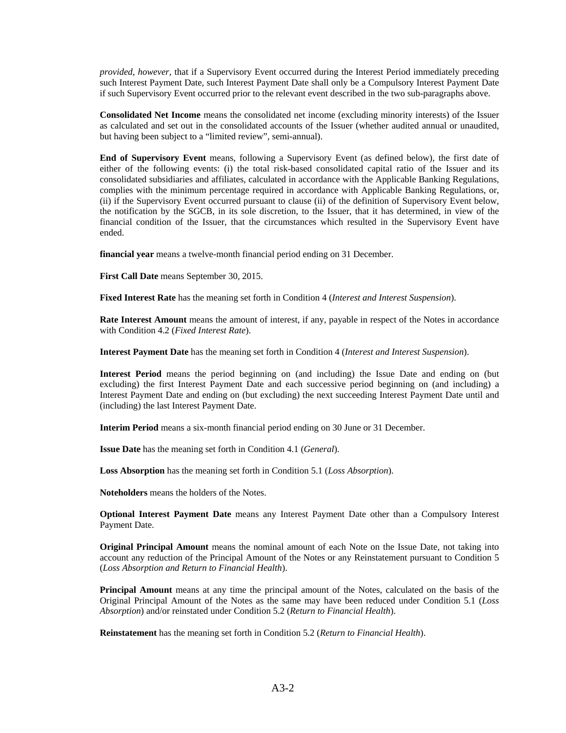*provided*, *however*, that if a Supervisory Event occurred during the Interest Period immediately preceding such Interest Payment Date, such Interest Payment Date shall only be a Compulsory Interest Payment Date if such Supervisory Event occurred prior to the relevant event described in the two sub-paragraphs above.

**Consolidated Net Income** means the consolidated net income (excluding minority interests) of the Issuer as calculated and set out in the consolidated accounts of the Issuer (whether audited annual or unaudited, but having been subject to a "limited review", semi-annual).

**End of Supervisory Event** means, following a Supervisory Event (as defined below), the first date of either of the following events: (i) the total risk-based consolidated capital ratio of the Issuer and its consolidated subsidiaries and affiliates, calculated in accordance with the Applicable Banking Regulations, complies with the minimum percentage required in accordance with Applicable Banking Regulations, or, (ii) if the Supervisory Event occurred pursuant to clause (ii) of the definition of Supervisory Event below, the notification by the SGCB, in its sole discretion, to the Issuer, that it has determined, in view of the financial condition of the Issuer, that the circumstances which resulted in the Supervisory Event have ended.

**financial year** means a twelve-month financial period ending on 31 December.

**First Call Date** means September 30, 2015.

**Fixed Interest Rate** has the meaning set forth in Condition 4 (*Interest and Interest Suspension*).

**Rate Interest Amount** means the amount of interest, if any, payable in respect of the Notes in accordance with Condition 4.2 (*Fixed Interest Rate*).

**Interest Payment Date** has the meaning set forth in Condition 4 (*Interest and Interest Suspension*).

**Interest Period** means the period beginning on (and including) the Issue Date and ending on (but excluding) the first Interest Payment Date and each successive period beginning on (and including) a Interest Payment Date and ending on (but excluding) the next succeeding Interest Payment Date until and (including) the last Interest Payment Date.

**Interim Period** means a six-month financial period ending on 30 June or 31 December.

**Issue Date** has the meaning set forth in Condition 4.1 (*General*).

**Loss Absorption** has the meaning set forth in Condition 5.1 (*Loss Absorption*).

**Noteholders** means the holders of the Notes.

**Optional Interest Payment Date** means any Interest Payment Date other than a Compulsory Interest Payment Date.

**Original Principal Amount** means the nominal amount of each Note on the Issue Date, not taking into account any reduction of the Principal Amount of the Notes or any Reinstatement pursuant to Condition 5 (*Loss Absorption and Return to Financial Health*).

**Principal Amount** means at any time the principal amount of the Notes, calculated on the basis of the Original Principal Amount of the Notes as the same may have been reduced under Condition 5.1 (*Loss Absorption*) and/or reinstated under Condition 5.2 (*Return to Financial Health*).

**Reinstatement** has the meaning set forth in Condition 5.2 (*Return to Financial Health*).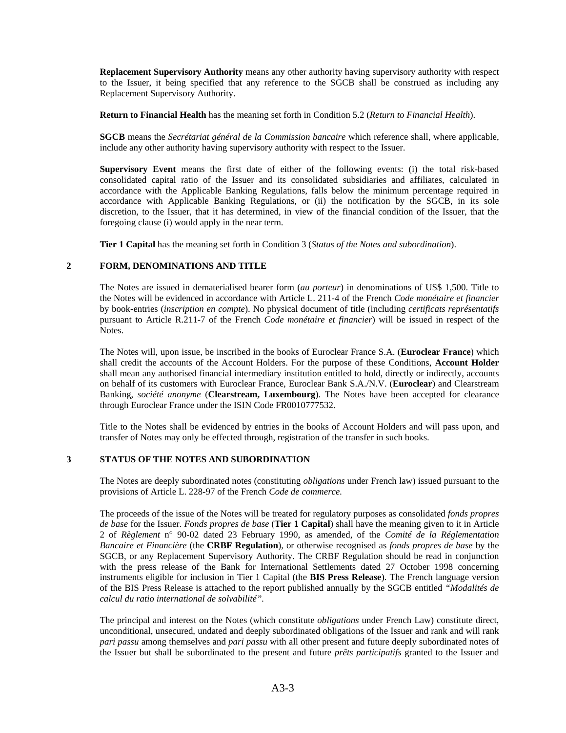**Replacement Supervisory Authority** means any other authority having supervisory authority with respect to the Issuer, it being specified that any reference to the SGCB shall be construed as including any Replacement Supervisory Authority.

**Return to Financial Health** has the meaning set forth in Condition 5.2 (*Return to Financial Health*).

**SGCB** means the *Secrétariat général de la Commission bancaire* which reference shall, where applicable, include any other authority having supervisory authority with respect to the Issuer.

**Supervisory Event** means the first date of either of the following events: (i) the total risk-based consolidated capital ratio of the Issuer and its consolidated subsidiaries and affiliates, calculated in accordance with the Applicable Banking Regulations, falls below the minimum percentage required in accordance with Applicable Banking Regulations, or (ii) the notification by the SGCB, in its sole discretion, to the Issuer, that it has determined, in view of the financial condition of the Issuer, that the foregoing clause (i) would apply in the near term.

**Tier 1 Capital** has the meaning set forth in Condition 3 (*Status of the Notes and subordination*).

## **2 FORM, DENOMINATIONS AND TITLE**

The Notes are issued in dematerialised bearer form (*au porteur*) in denominations of US\$ 1,500. Title to the Notes will be evidenced in accordance with Article L. 211-4 of the French *Code monétaire et financier*  by book-entries (*inscription en compte*). No physical document of title (including *certificats représentatifs*  pursuant to Article R.211-7 of the French *Code monétaire et financier*) will be issued in respect of the Notes.

The Notes will, upon issue, be inscribed in the books of Euroclear France S.A. (**Euroclear France**) which shall credit the accounts of the Account Holders. For the purpose of these Conditions, **Account Holder**  shall mean any authorised financial intermediary institution entitled to hold, directly or indirectly, accounts on behalf of its customers with Euroclear France, Euroclear Bank S.A./N.V. (**Euroclear**) and Clearstream Banking, *société anonyme* (**Clearstream, Luxembourg**). The Notes have been accepted for clearance through Euroclear France under the ISIN Code FR0010777532.

Title to the Notes shall be evidenced by entries in the books of Account Holders and will pass upon, and transfer of Notes may only be effected through, registration of the transfer in such books.

# **3 STATUS OF THE NOTES AND SUBORDINATION**

The Notes are deeply subordinated notes (constituting *obligations* under French law) issued pursuant to the provisions of Article L. 228-97 of the French *Code de commerce.*

The proceeds of the issue of the Notes will be treated for regulatory purposes as consolidated *fonds propres de base* for the Issuer. *Fonds propres de base* (**Tier 1 Capital**) shall have the meaning given to it in Article 2 of *Règlement* n° 90-02 dated 23 February 1990, as amended, of the *Comité de la Réglementation Bancaire et Financière* (the **CRBF Regulation**), or otherwise recognised as *fonds propres de base* by the SGCB, or any Replacement Supervisory Authority. The CRBF Regulation should be read in conjunction with the press release of the Bank for International Settlements dated 27 October 1998 concerning instruments eligible for inclusion in Tier 1 Capital (the **BIS Press Release**). The French language version of the BIS Press Release is attached to the report published annually by the SGCB entitled *"Modalités de calcul du ratio international de solvabilité".*

The principal and interest on the Notes (which constitute *obligations* under French Law) constitute direct, unconditional, unsecured, undated and deeply subordinated obligations of the Issuer and rank and will rank *pari passu* among themselves and *pari passu* with all other present and future deeply subordinated notes of the Issuer but shall be subordinated to the present and future *prêts participatifs* granted to the Issuer and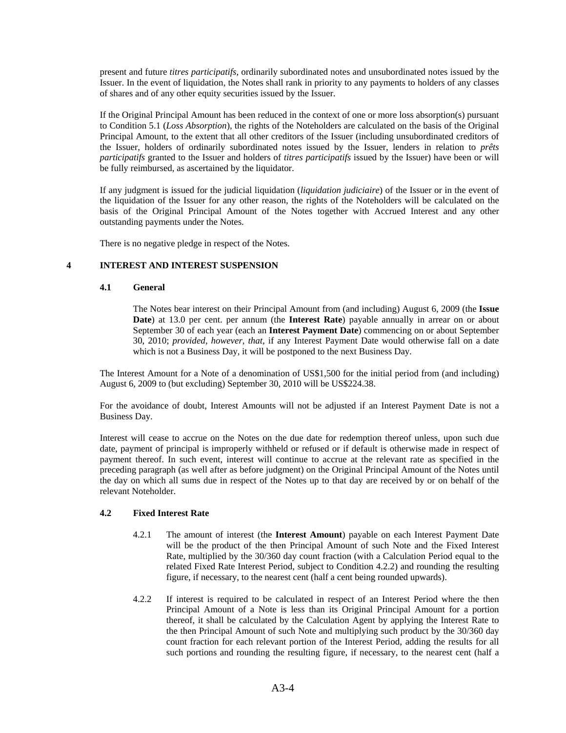present and future *titres participatifs,* ordinarily subordinated notes and unsubordinated notes issued by the Issuer. In the event of liquidation, the Notes shall rank in priority to any payments to holders of any classes of shares and of any other equity securities issued by the Issuer.

If the Original Principal Amount has been reduced in the context of one or more loss absorption(s) pursuant to Condition 5.1 (*Loss Absorption*), the rights of the Noteholders are calculated on the basis of the Original Principal Amount, to the extent that all other creditors of the Issuer (including unsubordinated creditors of the Issuer, holders of ordinarily subordinated notes issued by the Issuer, lenders in relation to *prêts participatifs* granted to the Issuer and holders of *titres participatifs* issued by the Issuer) have been or will be fully reimbursed, as ascertained by the liquidator.

If any judgment is issued for the judicial liquidation (*liquidation judiciaire*) of the Issuer or in the event of the liquidation of the Issuer for any other reason, the rights of the Noteholders will be calculated on the basis of the Original Principal Amount of the Notes together with Accrued Interest and any other outstanding payments under the Notes.

There is no negative pledge in respect of the Notes.

## **4 INTEREST AND INTEREST SUSPENSION**

#### **4.1 General**

The Notes bear interest on their Principal Amount from (and including) August 6, 2009 (the **Issue Date**) at 13.0 per cent. per annum (the **Interest Rate**) payable annually in arrear on or about September 30 of each year (each an **Interest Payment Date**) commencing on or about September 30, 2010; *provided*, *however*, *that*, if any Interest Payment Date would otherwise fall on a date which is not a Business Day, it will be postponed to the next Business Day.

The Interest Amount for a Note of a denomination of US\$1,500 for the initial period from (and including) August 6, 2009 to (but excluding) September 30, 2010 will be US\$224.38.

For the avoidance of doubt, Interest Amounts will not be adjusted if an Interest Payment Date is not a Business Day.

Interest will cease to accrue on the Notes on the due date for redemption thereof unless, upon such due date, payment of principal is improperly withheld or refused or if default is otherwise made in respect of payment thereof. In such event, interest will continue to accrue at the relevant rate as specified in the preceding paragraph (as well after as before judgment) on the Original Principal Amount of the Notes until the day on which all sums due in respect of the Notes up to that day are received by or on behalf of the relevant Noteholder.

### **4.2 Fixed Interest Rate**

- 4.2.1 The amount of interest (the **Interest Amount**) payable on each Interest Payment Date will be the product of the then Principal Amount of such Note and the Fixed Interest Rate, multiplied by the 30/360 day count fraction (with a Calculation Period equal to the related Fixed Rate Interest Period, subject to Condition 4.2.2) and rounding the resulting figure, if necessary, to the nearest cent (half a cent being rounded upwards).
- 4.2.2 If interest is required to be calculated in respect of an Interest Period where the then Principal Amount of a Note is less than its Original Principal Amount for a portion thereof, it shall be calculated by the Calculation Agent by applying the Interest Rate to the then Principal Amount of such Note and multiplying such product by the 30/360 day count fraction for each relevant portion of the Interest Period, adding the results for all such portions and rounding the resulting figure, if necessary, to the nearest cent (half a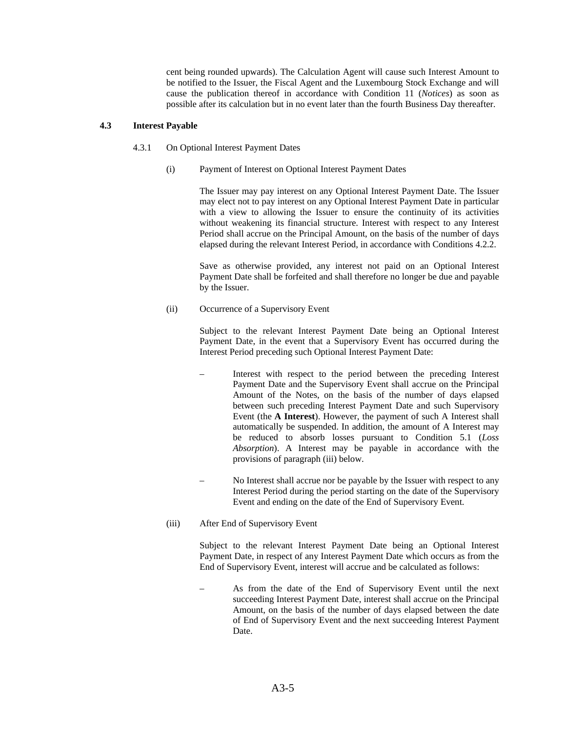cent being rounded upwards). The Calculation Agent will cause such Interest Amount to be notified to the Issuer, the Fiscal Agent and the Luxembourg Stock Exchange and will cause the publication thereof in accordance with Condition 11 (*Notices*) as soon as possible after its calculation but in no event later than the fourth Business Day thereafter.

## **4.3 Interest Payable**

- 4.3.1 On Optional Interest Payment Dates
	- (i) Payment of Interest on Optional Interest Payment Dates

 The Issuer may pay interest on any Optional Interest Payment Date. The Issuer may elect not to pay interest on any Optional Interest Payment Date in particular with a view to allowing the Issuer to ensure the continuity of its activities without weakening its financial structure. Interest with respect to any Interest Period shall accrue on the Principal Amount, on the basis of the number of days elapsed during the relevant Interest Period, in accordance with Conditions 4.2.2.

 Save as otherwise provided, any interest not paid on an Optional Interest Payment Date shall be forfeited and shall therefore no longer be due and payable by the Issuer.

(ii) Occurrence of a Supervisory Event

Subject to the relevant Interest Payment Date being an Optional Interest Payment Date, in the event that a Supervisory Event has occurred during the Interest Period preceding such Optional Interest Payment Date:

- Interest with respect to the period between the preceding Interest Payment Date and the Supervisory Event shall accrue on the Principal Amount of the Notes, on the basis of the number of days elapsed between such preceding Interest Payment Date and such Supervisory Event (the **A Interest**). However, the payment of such A Interest shall automatically be suspended. In addition, the amount of A Interest may be reduced to absorb losses pursuant to Condition 5.1 (*Loss Absorption*). A Interest may be payable in accordance with the provisions of paragraph (iii) below.
- No Interest shall accrue nor be payable by the Issuer with respect to any Interest Period during the period starting on the date of the Supervisory Event and ending on the date of the End of Supervisory Event.
- (iii) After End of Supervisory Event

Subject to the relevant Interest Payment Date being an Optional Interest Payment Date, in respect of any Interest Payment Date which occurs as from the End of Supervisory Event, interest will accrue and be calculated as follows:

– As from the date of the End of Supervisory Event until the next succeeding Interest Payment Date, interest shall accrue on the Principal Amount, on the basis of the number of days elapsed between the date of End of Supervisory Event and the next succeeding Interest Payment Date.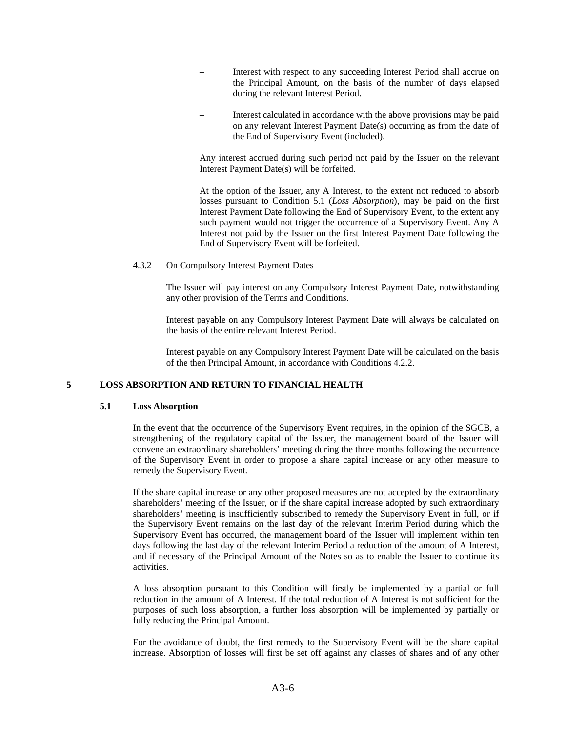- Interest with respect to any succeeding Interest Period shall accrue on the Principal Amount, on the basis of the number of days elapsed during the relevant Interest Period.
- Interest calculated in accordance with the above provisions may be paid on any relevant Interest Payment Date(s) occurring as from the date of the End of Supervisory Event (included).

Any interest accrued during such period not paid by the Issuer on the relevant Interest Payment Date(s) will be forfeited.

At the option of the Issuer, any A Interest, to the extent not reduced to absorb losses pursuant to Condition 5.1 (*Loss Absorption*), may be paid on the first Interest Payment Date following the End of Supervisory Event, to the extent any such payment would not trigger the occurrence of a Supervisory Event. Any A Interest not paid by the Issuer on the first Interest Payment Date following the End of Supervisory Event will be forfeited.

4.3.2 On Compulsory Interest Payment Dates

 The Issuer will pay interest on any Compulsory Interest Payment Date, notwithstanding any other provision of the Terms and Conditions.

 Interest payable on any Compulsory Interest Payment Date will always be calculated on the basis of the entire relevant Interest Period.

 Interest payable on any Compulsory Interest Payment Date will be calculated on the basis of the then Principal Amount, in accordance with Conditions 4.2.2.

### **5 LOSS ABSORPTION AND RETURN TO FINANCIAL HEALTH**

### **5.1 Loss Absorption**

In the event that the occurrence of the Supervisory Event requires, in the opinion of the SGCB, a strengthening of the regulatory capital of the Issuer, the management board of the Issuer will convene an extraordinary shareholders' meeting during the three months following the occurrence of the Supervisory Event in order to propose a share capital increase or any other measure to remedy the Supervisory Event.

If the share capital increase or any other proposed measures are not accepted by the extraordinary shareholders' meeting of the Issuer, or if the share capital increase adopted by such extraordinary shareholders' meeting is insufficiently subscribed to remedy the Supervisory Event in full, or if the Supervisory Event remains on the last day of the relevant Interim Period during which the Supervisory Event has occurred, the management board of the Issuer will implement within ten days following the last day of the relevant Interim Period a reduction of the amount of A Interest, and if necessary of the Principal Amount of the Notes so as to enable the Issuer to continue its activities.

A loss absorption pursuant to this Condition will firstly be implemented by a partial or full reduction in the amount of A Interest. If the total reduction of A Interest is not sufficient for the purposes of such loss absorption, a further loss absorption will be implemented by partially or fully reducing the Principal Amount.

For the avoidance of doubt, the first remedy to the Supervisory Event will be the share capital increase. Absorption of losses will first be set off against any classes of shares and of any other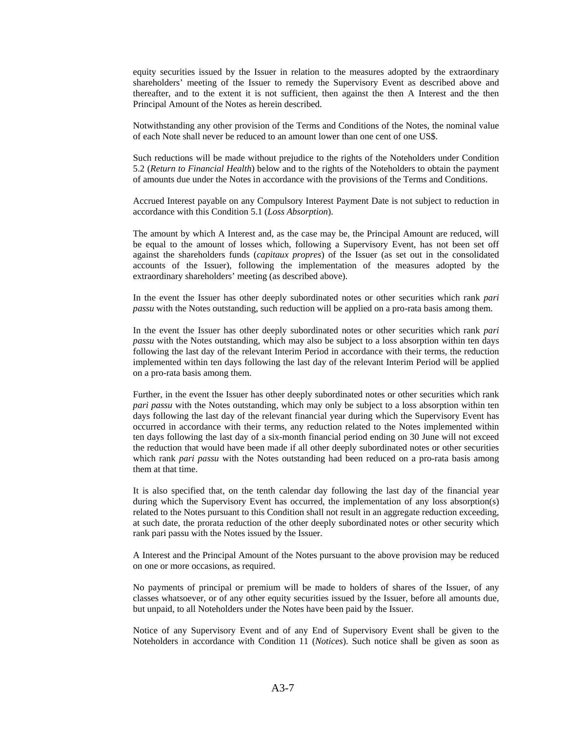equity securities issued by the Issuer in relation to the measures adopted by the extraordinary shareholders' meeting of the Issuer to remedy the Supervisory Event as described above and thereafter, and to the extent it is not sufficient, then against the then A Interest and the then Principal Amount of the Notes as herein described.

Notwithstanding any other provision of the Terms and Conditions of the Notes, the nominal value of each Note shall never be reduced to an amount lower than one cent of one US\$.

Such reductions will be made without prejudice to the rights of the Noteholders under Condition 5.2 (*Return to Financial Health*) below and to the rights of the Noteholders to obtain the payment of amounts due under the Notes in accordance with the provisions of the Terms and Conditions.

Accrued Interest payable on any Compulsory Interest Payment Date is not subject to reduction in accordance with this Condition 5.1 (*Loss Absorption*).

The amount by which A Interest and, as the case may be, the Principal Amount are reduced, will be equal to the amount of losses which, following a Supervisory Event, has not been set off against the shareholders funds (*capitaux propres*) of the Issuer (as set out in the consolidated accounts of the Issuer), following the implementation of the measures adopted by the extraordinary shareholders' meeting (as described above).

In the event the Issuer has other deeply subordinated notes or other securities which rank *pari passu* with the Notes outstanding, such reduction will be applied on a pro-rata basis among them.

In the event the Issuer has other deeply subordinated notes or other securities which rank *pari passu* with the Notes outstanding, which may also be subject to a loss absorption within ten days following the last day of the relevant Interim Period in accordance with their terms, the reduction implemented within ten days following the last day of the relevant Interim Period will be applied on a pro-rata basis among them.

Further, in the event the Issuer has other deeply subordinated notes or other securities which rank *pari passu* with the Notes outstanding, which may only be subject to a loss absorption within ten days following the last day of the relevant financial year during which the Supervisory Event has occurred in accordance with their terms, any reduction related to the Notes implemented within ten days following the last day of a six-month financial period ending on 30 June will not exceed the reduction that would have been made if all other deeply subordinated notes or other securities which rank *pari passu* with the Notes outstanding had been reduced on a pro-rata basis among them at that time.

It is also specified that, on the tenth calendar day following the last day of the financial year during which the Supervisory Event has occurred, the implementation of any loss absorption(s) related to the Notes pursuant to this Condition shall not result in an aggregate reduction exceeding, at such date, the prorata reduction of the other deeply subordinated notes or other security which rank pari passu with the Notes issued by the Issuer.

A Interest and the Principal Amount of the Notes pursuant to the above provision may be reduced on one or more occasions, as required.

No payments of principal or premium will be made to holders of shares of the Issuer, of any classes whatsoever, or of any other equity securities issued by the Issuer, before all amounts due, but unpaid, to all Noteholders under the Notes have been paid by the Issuer.

Notice of any Supervisory Event and of any End of Supervisory Event shall be given to the Noteholders in accordance with Condition 11 (*Notices*). Such notice shall be given as soon as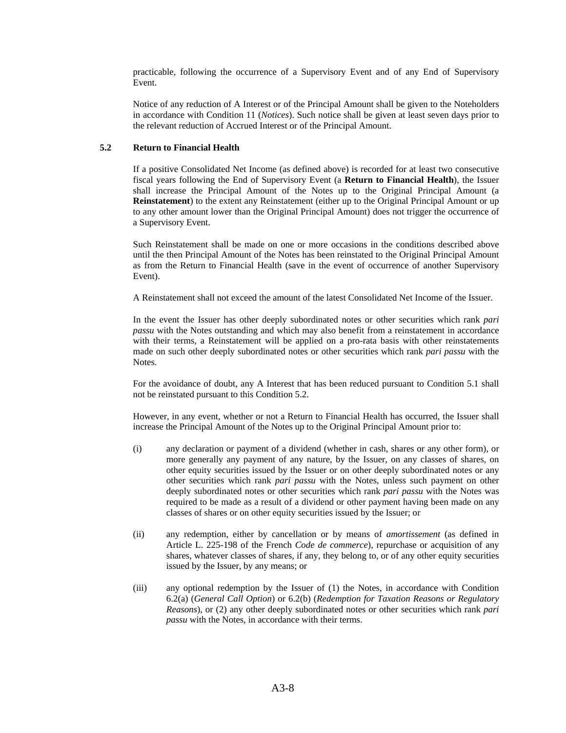practicable, following the occurrence of a Supervisory Event and of any End of Supervisory Event.

Notice of any reduction of A Interest or of the Principal Amount shall be given to the Noteholders in accordance with Condition 11 (*Notices*). Such notice shall be given at least seven days prior to the relevant reduction of Accrued Interest or of the Principal Amount.

## **5.2 Return to Financial Health**

If a positive Consolidated Net Income (as defined above) is recorded for at least two consecutive fiscal years following the End of Supervisory Event (a **Return to Financial Health**), the Issuer shall increase the Principal Amount of the Notes up to the Original Principal Amount (a **Reinstatement**) to the extent any Reinstatement (either up to the Original Principal Amount or up to any other amount lower than the Original Principal Amount) does not trigger the occurrence of a Supervisory Event.

Such Reinstatement shall be made on one or more occasions in the conditions described above until the then Principal Amount of the Notes has been reinstated to the Original Principal Amount as from the Return to Financial Health (save in the event of occurrence of another Supervisory Event).

A Reinstatement shall not exceed the amount of the latest Consolidated Net Income of the Issuer.

In the event the Issuer has other deeply subordinated notes or other securities which rank *pari passu* with the Notes outstanding and which may also benefit from a reinstatement in accordance with their terms, a Reinstatement will be applied on a pro-rata basis with other reinstatements made on such other deeply subordinated notes or other securities which rank *pari passu* with the Notes.

For the avoidance of doubt, any A Interest that has been reduced pursuant to Condition 5.1 shall not be reinstated pursuant to this Condition 5.2.

However, in any event, whether or not a Return to Financial Health has occurred, the Issuer shall increase the Principal Amount of the Notes up to the Original Principal Amount prior to:

- (i) any declaration or payment of a dividend (whether in cash, shares or any other form), or more generally any payment of any nature, by the Issuer, on any classes of shares, on other equity securities issued by the Issuer or on other deeply subordinated notes or any other securities which rank *pari passu* with the Notes, unless such payment on other deeply subordinated notes or other securities which rank *pari passu* with the Notes was required to be made as a result of a dividend or other payment having been made on any classes of shares or on other equity securities issued by the Issuer; or
- (ii) any redemption, either by cancellation or by means of *amortissement* (as defined in Article L. 225-198 of the French *Code de commerce*), repurchase or acquisition of any shares, whatever classes of shares, if any, they belong to, or of any other equity securities issued by the Issuer, by any means; or
- (iii) any optional redemption by the Issuer of (1) the Notes, in accordance with Condition 6.2(a) (*General Call Option*) or 6.2(b) (*Redemption for Taxation Reasons or Regulatory Reasons*), or (2) any other deeply subordinated notes or other securities which rank *pari passu* with the Notes, in accordance with their terms.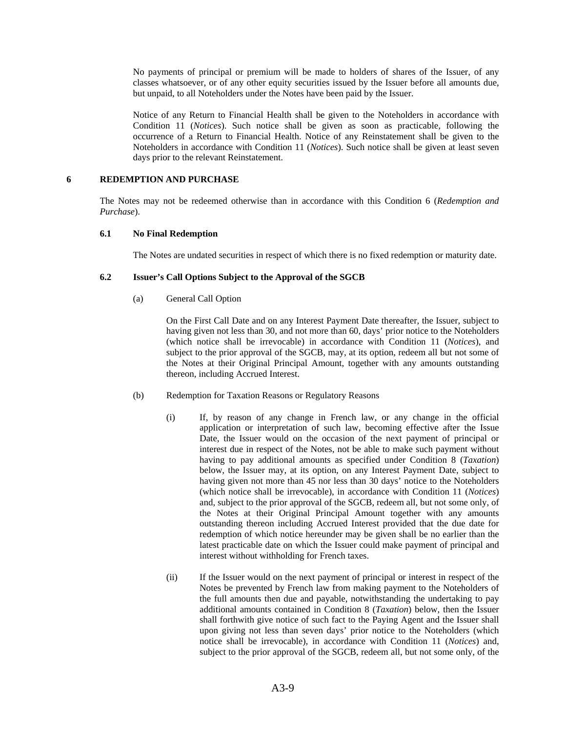No payments of principal or premium will be made to holders of shares of the Issuer, of any classes whatsoever, or of any other equity securities issued by the Issuer before all amounts due, but unpaid, to all Noteholders under the Notes have been paid by the Issuer.

Notice of any Return to Financial Health shall be given to the Noteholders in accordance with Condition 11 (*Notices*). Such notice shall be given as soon as practicable, following the occurrence of a Return to Financial Health. Notice of any Reinstatement shall be given to the Noteholders in accordance with Condition 11 (*Notices*). Such notice shall be given at least seven days prior to the relevant Reinstatement.

### **6 REDEMPTION AND PURCHASE**

The Notes may not be redeemed otherwise than in accordance with this Condition 6 (*Redemption and Purchase*).

### **6.1 No Final Redemption**

The Notes are undated securities in respect of which there is no fixed redemption or maturity date.

### **6.2 Issuer's Call Options Subject to the Approval of the SGCB**

(a) General Call Option

On the First Call Date and on any Interest Payment Date thereafter, the Issuer, subject to having given not less than 30, and not more than 60, days' prior notice to the Noteholders (which notice shall be irrevocable) in accordance with Condition 11 (*Notices*), and subject to the prior approval of the SGCB, may, at its option, redeem all but not some of the Notes at their Original Principal Amount, together with any amounts outstanding thereon, including Accrued Interest.

- (b) Redemption for Taxation Reasons or Regulatory Reasons
	- (i) If, by reason of any change in French law, or any change in the official application or interpretation of such law, becoming effective after the Issue Date, the Issuer would on the occasion of the next payment of principal or interest due in respect of the Notes, not be able to make such payment without having to pay additional amounts as specified under Condition 8 (*Taxation*) below, the Issuer may, at its option, on any Interest Payment Date, subject to having given not more than 45 nor less than 30 days' notice to the Noteholders (which notice shall be irrevocable), in accordance with Condition 11 (*Notices*) and, subject to the prior approval of the SGCB, redeem all, but not some only, of the Notes at their Original Principal Amount together with any amounts outstanding thereon including Accrued Interest provided that the due date for redemption of which notice hereunder may be given shall be no earlier than the latest practicable date on which the Issuer could make payment of principal and interest without withholding for French taxes.
	- (ii) If the Issuer would on the next payment of principal or interest in respect of the Notes be prevented by French law from making payment to the Noteholders of the full amounts then due and payable, notwithstanding the undertaking to pay additional amounts contained in Condition 8 (*Taxation*) below, then the Issuer shall forthwith give notice of such fact to the Paying Agent and the Issuer shall upon giving not less than seven days' prior notice to the Noteholders (which notice shall be irrevocable), in accordance with Condition 11 (*Notices*) and, subject to the prior approval of the SGCB, redeem all, but not some only, of the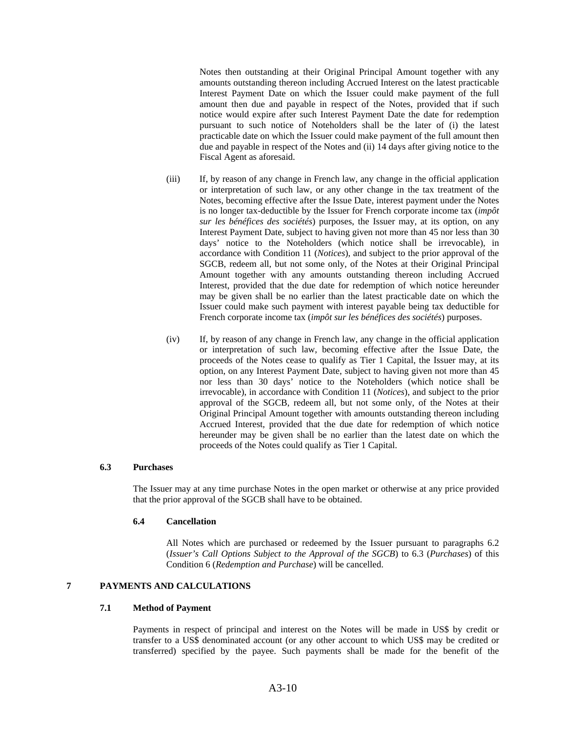Notes then outstanding at their Original Principal Amount together with any amounts outstanding thereon including Accrued Interest on the latest practicable Interest Payment Date on which the Issuer could make payment of the full amount then due and payable in respect of the Notes, provided that if such notice would expire after such Interest Payment Date the date for redemption pursuant to such notice of Noteholders shall be the later of (i) the latest practicable date on which the Issuer could make payment of the full amount then due and payable in respect of the Notes and (ii) 14 days after giving notice to the Fiscal Agent as aforesaid.

- (iii) If, by reason of any change in French law, any change in the official application or interpretation of such law, or any other change in the tax treatment of the Notes, becoming effective after the Issue Date, interest payment under the Notes is no longer tax-deductible by the Issuer for French corporate income tax (*impôt sur les bénéfices des sociétés*) purposes, the Issuer may, at its option, on any Interest Payment Date, subject to having given not more than 45 nor less than 30 days' notice to the Noteholders (which notice shall be irrevocable), in accordance with Condition 11 (*Notices*), and subject to the prior approval of the SGCB, redeem all, but not some only, of the Notes at their Original Principal Amount together with any amounts outstanding thereon including Accrued Interest, provided that the due date for redemption of which notice hereunder may be given shall be no earlier than the latest practicable date on which the Issuer could make such payment with interest payable being tax deductible for French corporate income tax (*impôt sur les bénéfices des sociétés*) purposes.
- (iv) If, by reason of any change in French law, any change in the official application or interpretation of such law, becoming effective after the Issue Date, the proceeds of the Notes cease to qualify as Tier 1 Capital, the Issuer may, at its option, on any Interest Payment Date, subject to having given not more than 45 nor less than 30 days' notice to the Noteholders (which notice shall be irrevocable), in accordance with Condition 11 (*Notices*), and subject to the prior approval of the SGCB, redeem all, but not some only, of the Notes at their Original Principal Amount together with amounts outstanding thereon including Accrued Interest, provided that the due date for redemption of which notice hereunder may be given shall be no earlier than the latest date on which the proceeds of the Notes could qualify as Tier 1 Capital.

### **6.3 Purchases**

The Issuer may at any time purchase Notes in the open market or otherwise at any price provided that the prior approval of the SGCB shall have to be obtained.

#### **6.4 Cancellation**

 All Notes which are purchased or redeemed by the Issuer pursuant to paragraphs 6.2 (*Issuer's Call Options Subject to the Approval of the SGCB*) to 6.3 (*Purchases*) of this Condition 6 (*Redemption and Purchase*) will be cancelled.

# **7 PAYMENTS AND CALCULATIONS**

### **7.1 Method of Payment**

Payments in respect of principal and interest on the Notes will be made in US\$ by credit or transfer to a US\$ denominated account (or any other account to which US\$ may be credited or transferred) specified by the payee. Such payments shall be made for the benefit of the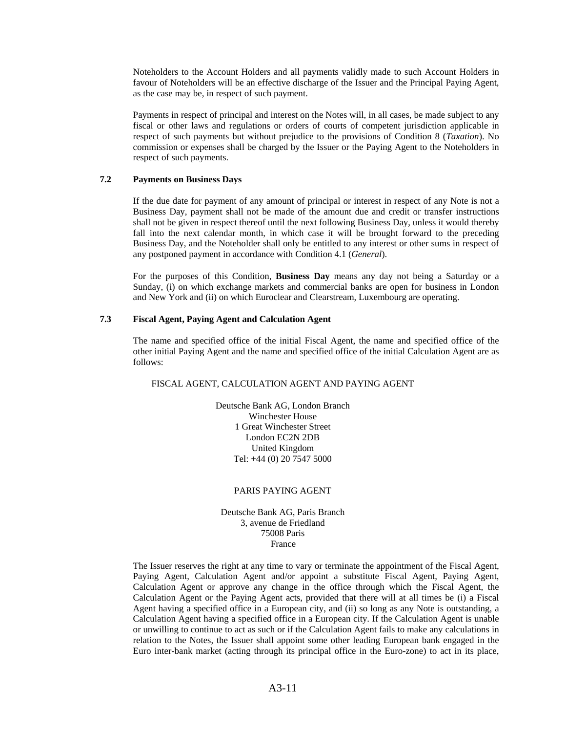Noteholders to the Account Holders and all payments validly made to such Account Holders in favour of Noteholders will be an effective discharge of the Issuer and the Principal Paying Agent, as the case may be, in respect of such payment.

Payments in respect of principal and interest on the Notes will, in all cases, be made subject to any fiscal or other laws and regulations or orders of courts of competent jurisdiction applicable in respect of such payments but without prejudice to the provisions of Condition 8 (*Taxation*). No commission or expenses shall be charged by the Issuer or the Paying Agent to the Noteholders in respect of such payments.

### **7.2 Payments on Business Days**

If the due date for payment of any amount of principal or interest in respect of any Note is not a Business Day, payment shall not be made of the amount due and credit or transfer instructions shall not be given in respect thereof until the next following Business Day, unless it would thereby fall into the next calendar month, in which case it will be brought forward to the preceding Business Day, and the Noteholder shall only be entitled to any interest or other sums in respect of any postponed payment in accordance with Condition 4.1 (*General*).

For the purposes of this Condition, **Business Day** means any day not being a Saturday or a Sunday, (i) on which exchange markets and commercial banks are open for business in London and New York and (ii) on which Euroclear and Clearstream, Luxembourg are operating.

## **7.3 Fiscal Agent, Paying Agent and Calculation Agent**

The name and specified office of the initial Fiscal Agent, the name and specified office of the other initial Paying Agent and the name and specified office of the initial Calculation Agent are as follows:

## FISCAL AGENT, CALCULATION AGENT AND PAYING AGENT

Deutsche Bank AG, London Branch Winchester House 1 Great Winchester Street London EC2N 2DB United Kingdom Tel: +44 (0) 20 7547 5000

#### PARIS PAYING AGENT

Deutsche Bank AG, Paris Branch 3, avenue de Friedland 75008 Paris France

The Issuer reserves the right at any time to vary or terminate the appointment of the Fiscal Agent, Paying Agent, Calculation Agent and/or appoint a substitute Fiscal Agent, Paying Agent, Calculation Agent or approve any change in the office through which the Fiscal Agent, the Calculation Agent or the Paying Agent acts, provided that there will at all times be (i) a Fiscal Agent having a specified office in a European city, and (ii) so long as any Note is outstanding, a Calculation Agent having a specified office in a European city. If the Calculation Agent is unable or unwilling to continue to act as such or if the Calculation Agent fails to make any calculations in relation to the Notes, the Issuer shall appoint some other leading European bank engaged in the Euro inter-bank market (acting through its principal office in the Euro-zone) to act in its place,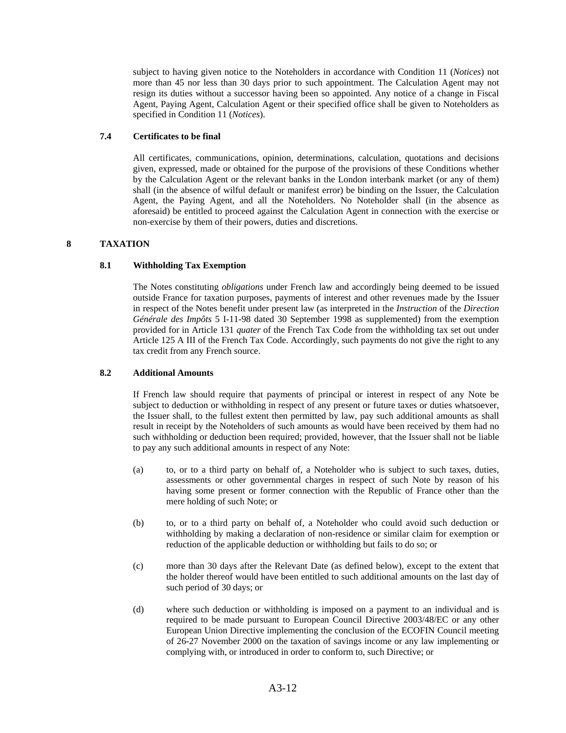subject to having given notice to the Noteholders in accordance with Condition 11 (*Notices*) not more than 45 nor less than 30 days prior to such appointment. The Calculation Agent may not resign its duties without a successor having been so appointed. Any notice of a change in Fiscal Agent, Paying Agent, Calculation Agent or their specified office shall be given to Noteholders as specified in Condition 11 (*Notices*).

## **7.4 Certificates to be final**

All certificates, communications, opinion, determinations, calculation, quotations and decisions given, expressed, made or obtained for the purpose of the provisions of these Conditions whether by the Calculation Agent or the relevant banks in the London interbank market (or any of them) shall (in the absence of wilful default or manifest error) be binding on the Issuer, the Calculation Agent, the Paying Agent, and all the Noteholders. No Noteholder shall (in the absence as aforesaid) be entitled to proceed against the Calculation Agent in connection with the exercise or non-exercise by them of their powers, duties and discretions.

## **8 TAXATION**

## **8.1 Withholding Tax Exemption**

The Notes constituting *obligations* under French law and accordingly being deemed to be issued outside France for taxation purposes, payments of interest and other revenues made by the Issuer in respect of the Notes benefit under present law (as interpreted in the *Instruction* of the *Direction Générale des Impôts* 5 I-11-98 dated 30 September 1998 as supplemented) from the exemption provided for in Article 131 *quater* of the French Tax Code from the withholding tax set out under Article 125 A III of the French Tax Code. Accordingly, such payments do not give the right to any tax credit from any French source.

## **8.2 Additional Amounts**

If French law should require that payments of principal or interest in respect of any Note be subject to deduction or withholding in respect of any present or future taxes or duties whatsoever, the Issuer shall, to the fullest extent then permitted by law, pay such additional amounts as shall result in receipt by the Noteholders of such amounts as would have been received by them had no such withholding or deduction been required; provided, however, that the Issuer shall not be liable to pay any such additional amounts in respect of any Note:

- (a) to, or to a third party on behalf of, a Noteholder who is subject to such taxes, duties, assessments or other governmental charges in respect of such Note by reason of his having some present or former connection with the Republic of France other than the mere holding of such Note; or
- (b) to, or to a third party on behalf of, a Noteholder who could avoid such deduction or withholding by making a declaration of non-residence or similar claim for exemption or reduction of the applicable deduction or withholding but fails to do so; or
- (c) more than 30 days after the Relevant Date (as defined below), except to the extent that the holder thereof would have been entitled to such additional amounts on the last day of such period of 30 days; or
- (d) where such deduction or withholding is imposed on a payment to an individual and is required to be made pursuant to European Council Directive 2003/48/EC or any other European Union Directive implementing the conclusion of the ECOFIN Council meeting of 26-27 November 2000 on the taxation of savings income or any law implementing or complying with, or introduced in order to conform to, such Directive; or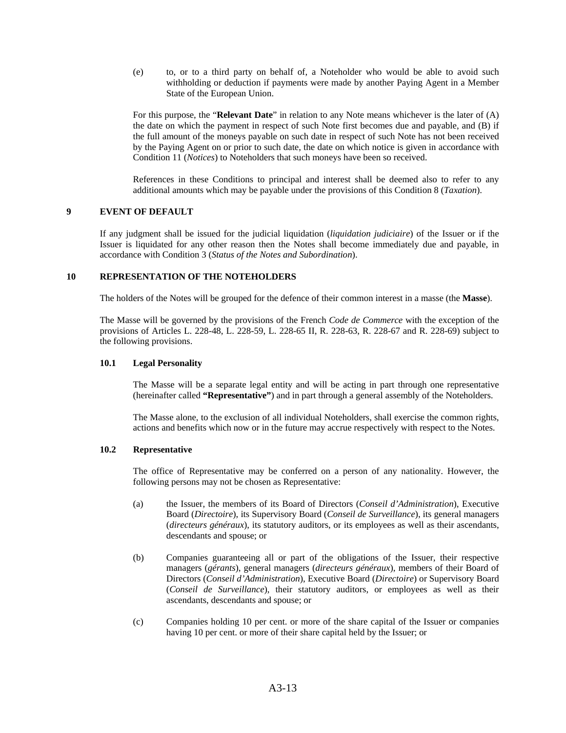(e) to, or to a third party on behalf of, a Noteholder who would be able to avoid such withholding or deduction if payments were made by another Paying Agent in a Member State of the European Union.

 For this purpose, the "**Relevant Date**" in relation to any Note means whichever is the later of (A) the date on which the payment in respect of such Note first becomes due and payable, and (B) if the full amount of the moneys payable on such date in respect of such Note has not been received by the Paying Agent on or prior to such date, the date on which notice is given in accordance with Condition 11 (*Notices*) to Noteholders that such moneys have been so received.

 References in these Conditions to principal and interest shall be deemed also to refer to any additional amounts which may be payable under the provisions of this Condition 8 (*Taxation*).

### **9 EVENT OF DEFAULT**

If any judgment shall be issued for the judicial liquidation (*liquidation judiciaire*) of the Issuer or if the Issuer is liquidated for any other reason then the Notes shall become immediately due and payable, in accordance with Condition 3 (*Status of the Notes and Subordination*).

### **10 REPRESENTATION OF THE NOTEHOLDERS**

The holders of the Notes will be grouped for the defence of their common interest in a masse (the **Masse**).

The Masse will be governed by the provisions of the French *Code de Commerce* with the exception of the provisions of Articles L. 228-48, L. 228-59, L. 228-65 II, R. 228-63, R. 228-67 and R. 228-69) subject to the following provisions.

### **10.1 Legal Personality**

The Masse will be a separate legal entity and will be acting in part through one representative (hereinafter called **"Representative"**) and in part through a general assembly of the Noteholders.

The Masse alone, to the exclusion of all individual Noteholders, shall exercise the common rights, actions and benefits which now or in the future may accrue respectively with respect to the Notes.

#### **10.2 Representative**

The office of Representative may be conferred on a person of any nationality. However, the following persons may not be chosen as Representative:

- (a) the Issuer, the members of its Board of Directors (*Conseil d'Administration*), Executive Board (*Directoire*), its Supervisory Board (*Conseil de Surveillance*), its general managers (*directeurs généraux*), its statutory auditors, or its employees as well as their ascendants, descendants and spouse; or
- (b) Companies guaranteeing all or part of the obligations of the Issuer, their respective managers (*gérants*), general managers (*directeurs généraux*), members of their Board of Directors (*Conseil d'Administration*), Executive Board (*Directoire*) or Supervisory Board (*Conseil de Surveillance*), their statutory auditors, or employees as well as their ascendants, descendants and spouse; or
- (c) Companies holding 10 per cent. or more of the share capital of the Issuer or companies having 10 per cent. or more of their share capital held by the Issuer; or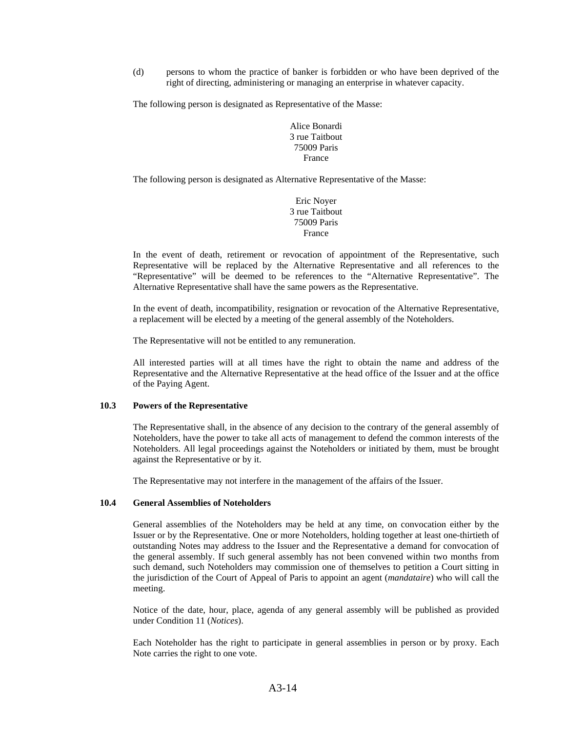(d) persons to whom the practice of banker is forbidden or who have been deprived of the right of directing, administering or managing an enterprise in whatever capacity.

The following person is designated as Representative of the Masse:

Alice Bonardi 3 rue Taitbout 75009 Paris France

The following person is designated as Alternative Representative of the Masse:

Eric Noyer 3 rue Taitbout 75009 Paris France

In the event of death, retirement or revocation of appointment of the Representative, such Representative will be replaced by the Alternative Representative and all references to the "Representative" will be deemed to be references to the "Alternative Representative". The Alternative Representative shall have the same powers as the Representative.

In the event of death, incompatibility, resignation or revocation of the Alternative Representative, a replacement will be elected by a meeting of the general assembly of the Noteholders.

The Representative will not be entitled to any remuneration.

All interested parties will at all times have the right to obtain the name and address of the Representative and the Alternative Representative at the head office of the Issuer and at the office of the Paying Agent.

#### **10.3 Powers of the Representative**

The Representative shall, in the absence of any decision to the contrary of the general assembly of Noteholders, have the power to take all acts of management to defend the common interests of the Noteholders. All legal proceedings against the Noteholders or initiated by them, must be brought against the Representative or by it.

The Representative may not interfere in the management of the affairs of the Issuer.

### **10.4 General Assemblies of Noteholders**

General assemblies of the Noteholders may be held at any time, on convocation either by the Issuer or by the Representative. One or more Noteholders, holding together at least one-thirtieth of outstanding Notes may address to the Issuer and the Representative a demand for convocation of the general assembly. If such general assembly has not been convened within two months from such demand, such Noteholders may commission one of themselves to petition a Court sitting in the jurisdiction of the Court of Appeal of Paris to appoint an agent (*mandataire*) who will call the meeting.

Notice of the date, hour, place, agenda of any general assembly will be published as provided under Condition 11 (*Notices*).

Each Noteholder has the right to participate in general assemblies in person or by proxy. Each Note carries the right to one vote.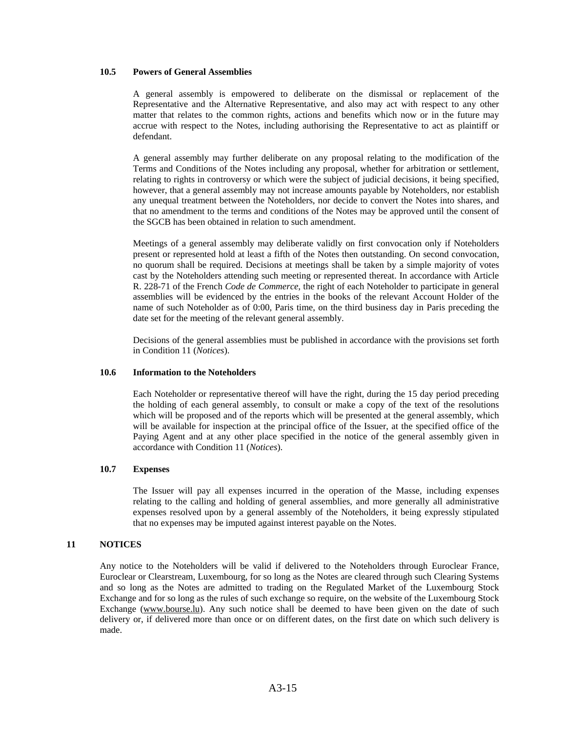### **10.5 Powers of General Assemblies**

A general assembly is empowered to deliberate on the dismissal or replacement of the Representative and the Alternative Representative, and also may act with respect to any other matter that relates to the common rights, actions and benefits which now or in the future may accrue with respect to the Notes, including authorising the Representative to act as plaintiff or defendant.

A general assembly may further deliberate on any proposal relating to the modification of the Terms and Conditions of the Notes including any proposal, whether for arbitration or settlement, relating to rights in controversy or which were the subject of judicial decisions, it being specified, however, that a general assembly may not increase amounts payable by Noteholders, nor establish any unequal treatment between the Noteholders, nor decide to convert the Notes into shares, and that no amendment to the terms and conditions of the Notes may be approved until the consent of the SGCB has been obtained in relation to such amendment.

Meetings of a general assembly may deliberate validly on first convocation only if Noteholders present or represented hold at least a fifth of the Notes then outstanding. On second convocation, no quorum shall be required. Decisions at meetings shall be taken by a simple majority of votes cast by the Noteholders attending such meeting or represented thereat. In accordance with Article R. 228-71 of the French *Code de Commerce*, the right of each Noteholder to participate in general assemblies will be evidenced by the entries in the books of the relevant Account Holder of the name of such Noteholder as of 0:00, Paris time, on the third business day in Paris preceding the date set for the meeting of the relevant general assembly.

Decisions of the general assemblies must be published in accordance with the provisions set forth in Condition 11 (*Notices*).

#### **10.6 Information to the Noteholders**

Each Noteholder or representative thereof will have the right, during the 15 day period preceding the holding of each general assembly, to consult or make a copy of the text of the resolutions which will be proposed and of the reports which will be presented at the general assembly, which will be available for inspection at the principal office of the Issuer, at the specified office of the Paying Agent and at any other place specified in the notice of the general assembly given in accordance with Condition 11 (*Notices*).

### **10.7 Expenses**

The Issuer will pay all expenses incurred in the operation of the Masse, including expenses relating to the calling and holding of general assemblies, and more generally all administrative expenses resolved upon by a general assembly of the Noteholders, it being expressly stipulated that no expenses may be imputed against interest payable on the Notes.

## **11 NOTICES**

Any notice to the Noteholders will be valid if delivered to the Noteholders through Euroclear France, Euroclear or Clearstream, Luxembourg, for so long as the Notes are cleared through such Clearing Systems and so long as the Notes are admitted to trading on the Regulated Market of the Luxembourg Stock Exchange and for so long as the rules of such exchange so require, on the website of the Luxembourg Stock Exchange (www.bourse.lu). Any such notice shall be deemed to have been given on the date of such delivery or, if delivered more than once or on different dates, on the first date on which such delivery is made.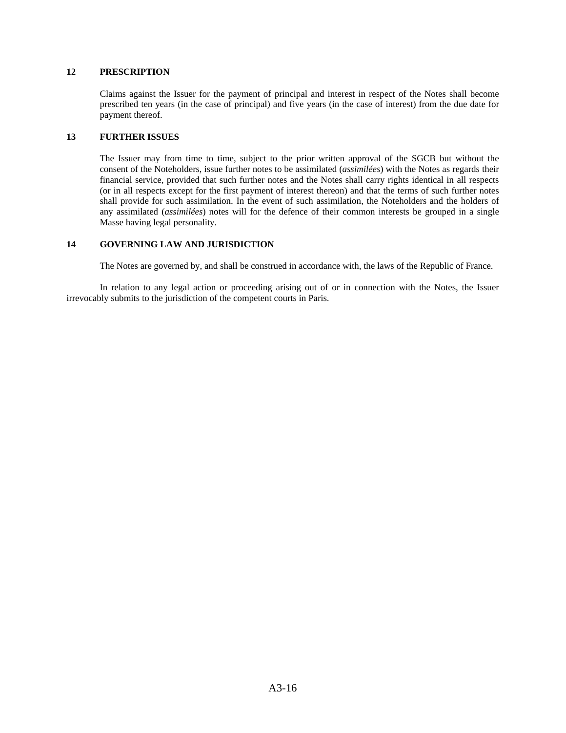## **12 PRESCRIPTION**

Claims against the Issuer for the payment of principal and interest in respect of the Notes shall become prescribed ten years (in the case of principal) and five years (in the case of interest) from the due date for payment thereof.

### **13 FURTHER ISSUES**

The Issuer may from time to time, subject to the prior written approval of the SGCB but without the consent of the Noteholders, issue further notes to be assimilated (*assimilées*) with the Notes as regards their financial service, provided that such further notes and the Notes shall carry rights identical in all respects (or in all respects except for the first payment of interest thereon) and that the terms of such further notes shall provide for such assimilation. In the event of such assimilation, the Noteholders and the holders of any assimilated (*assimilées*) notes will for the defence of their common interests be grouped in a single Masse having legal personality.

## **14 GOVERNING LAW AND JURISDICTION**

The Notes are governed by, and shall be construed in accordance with, the laws of the Republic of France.

In relation to any legal action or proceeding arising out of or in connection with the Notes, the Issuer irrevocably submits to the jurisdiction of the competent courts in Paris.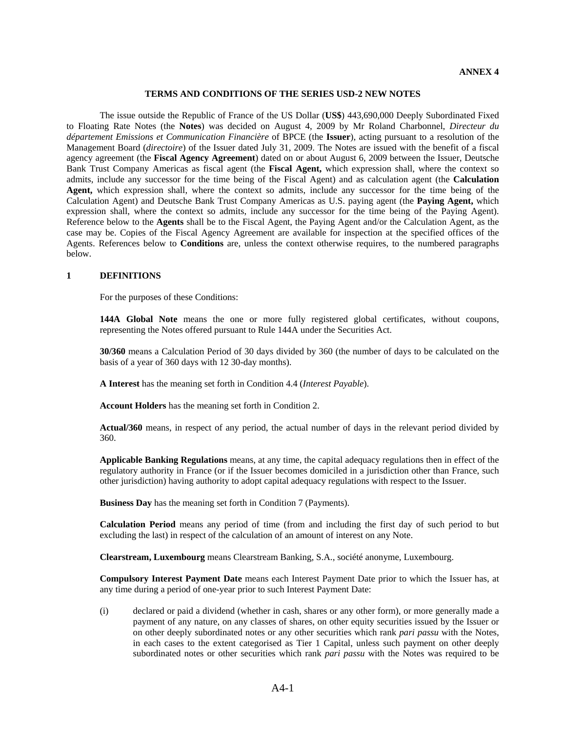#### **TERMS AND CONDITIONS OF THE SERIES USD-2 NEW NOTES**

The issue outside the Republic of France of the US Dollar (**US\$**) 443,690,000 Deeply Subordinated Fixed to Floating Rate Notes (the **Notes**) was decided on August 4, 2009 by Mr Roland Charbonnel, *Directeur du département Emissions et Communication Financière* of BPCE (the **Issuer**), acting pursuant to a resolution of the Management Board (*directoire*) of the Issuer dated July 31, 2009. The Notes are issued with the benefit of a fiscal agency agreement (the **Fiscal Agency Agreement**) dated on or about August 6, 2009 between the Issuer, Deutsche Bank Trust Company Americas as fiscal agent (the **Fiscal Agent,** which expression shall, where the context so admits, include any successor for the time being of the Fiscal Agent) and as calculation agent (the **Calculation Agent,** which expression shall, where the context so admits, include any successor for the time being of the Calculation Agent) and Deutsche Bank Trust Company Americas as U.S. paying agent (the **Paying Agent,** which expression shall, where the context so admits, include any successor for the time being of the Paying Agent). Reference below to the **Agents** shall be to the Fiscal Agent, the Paying Agent and/or the Calculation Agent, as the case may be. Copies of the Fiscal Agency Agreement are available for inspection at the specified offices of the Agents. References below to **Conditions** are, unless the context otherwise requires, to the numbered paragraphs below.

#### **1 DEFINITIONS**

For the purposes of these Conditions:

**144A Global Note** means the one or more fully registered global certificates, without coupons, representing the Notes offered pursuant to Rule 144A under the Securities Act.

**30/360** means a Calculation Period of 30 days divided by 360 (the number of days to be calculated on the basis of a year of 360 days with 12 30-day months).

**A Interest** has the meaning set forth in Condition 4.4 (*Interest Payable*).

**Account Holders** has the meaning set forth in Condition 2.

**Actual/360** means, in respect of any period, the actual number of days in the relevant period divided by 360.

**Applicable Banking Regulations** means, at any time, the capital adequacy regulations then in effect of the regulatory authority in France (or if the Issuer becomes domiciled in a jurisdiction other than France, such other jurisdiction) having authority to adopt capital adequacy regulations with respect to the Issuer.

**Business Day** has the meaning set forth in Condition 7 (Payments).

**Calculation Period** means any period of time (from and including the first day of such period to but excluding the last) in respect of the calculation of an amount of interest on any Note.

**Clearstream, Luxembourg** means Clearstream Banking, S.A., société anonyme, Luxembourg.

**Compulsory Interest Payment Date** means each Interest Payment Date prior to which the Issuer has, at any time during a period of one-year prior to such Interest Payment Date:

(i) declared or paid a dividend (whether in cash, shares or any other form), or more generally made a payment of any nature, on any classes of shares, on other equity securities issued by the Issuer or on other deeply subordinated notes or any other securities which rank *pari passu* with the Notes, in each cases to the extent categorised as Tier 1 Capital, unless such payment on other deeply subordinated notes or other securities which rank *pari passu* with the Notes was required to be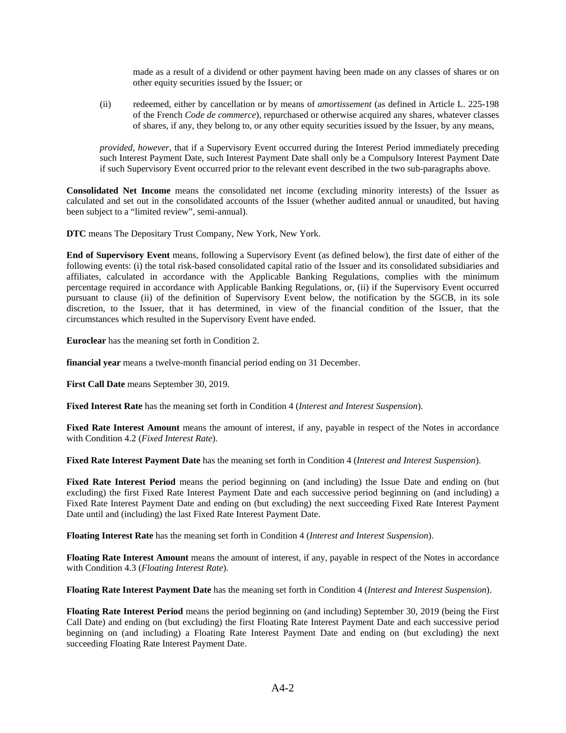made as a result of a dividend or other payment having been made on any classes of shares or on other equity securities issued by the Issuer; or

(ii) redeemed, either by cancellation or by means of *amortissement* (as defined in Article L. 225-198 of the French *Code de commerce*), repurchased or otherwise acquired any shares, whatever classes of shares, if any, they belong to, or any other equity securities issued by the Issuer, by any means,

*provided*, *however*, that if a Supervisory Event occurred during the Interest Period immediately preceding such Interest Payment Date, such Interest Payment Date shall only be a Compulsory Interest Payment Date if such Supervisory Event occurred prior to the relevant event described in the two sub-paragraphs above.

**Consolidated Net Income** means the consolidated net income (excluding minority interests) of the Issuer as calculated and set out in the consolidated accounts of the Issuer (whether audited annual or unaudited, but having been subject to a "limited review", semi-annual).

**DTC** means The Depositary Trust Company, New York, New York.

**End of Supervisory Event** means, following a Supervisory Event (as defined below), the first date of either of the following events: (i) the total risk-based consolidated capital ratio of the Issuer and its consolidated subsidiaries and affiliates, calculated in accordance with the Applicable Banking Regulations, complies with the minimum percentage required in accordance with Applicable Banking Regulations, or, (ii) if the Supervisory Event occurred pursuant to clause (ii) of the definition of Supervisory Event below, the notification by the SGCB, in its sole discretion, to the Issuer, that it has determined, in view of the financial condition of the Issuer, that the circumstances which resulted in the Supervisory Event have ended.

**Euroclear** has the meaning set forth in Condition 2.

**financial year** means a twelve-month financial period ending on 31 December.

**First Call Date** means September 30, 2019.

**Fixed Interest Rate** has the meaning set forth in Condition 4 (*Interest and Interest Suspension*).

**Fixed Rate Interest Amount** means the amount of interest, if any, payable in respect of the Notes in accordance with Condition 4.2 (*Fixed Interest Rate*).

**Fixed Rate Interest Payment Date** has the meaning set forth in Condition 4 (*Interest and Interest Suspension*).

**Fixed Rate Interest Period** means the period beginning on (and including) the Issue Date and ending on (but excluding) the first Fixed Rate Interest Payment Date and each successive period beginning on (and including) a Fixed Rate Interest Payment Date and ending on (but excluding) the next succeeding Fixed Rate Interest Payment Date until and (including) the last Fixed Rate Interest Payment Date.

**Floating Interest Rate** has the meaning set forth in Condition 4 (*Interest and Interest Suspension*).

**Floating Rate Interest Amount** means the amount of interest, if any, payable in respect of the Notes in accordance with Condition 4.3 (*Floating Interest Rate*).

**Floating Rate Interest Payment Date** has the meaning set forth in Condition 4 (*Interest and Interest Suspension*).

**Floating Rate Interest Period** means the period beginning on (and including) September 30, 2019 (being the First Call Date) and ending on (but excluding) the first Floating Rate Interest Payment Date and each successive period beginning on (and including) a Floating Rate Interest Payment Date and ending on (but excluding) the next succeeding Floating Rate Interest Payment Date.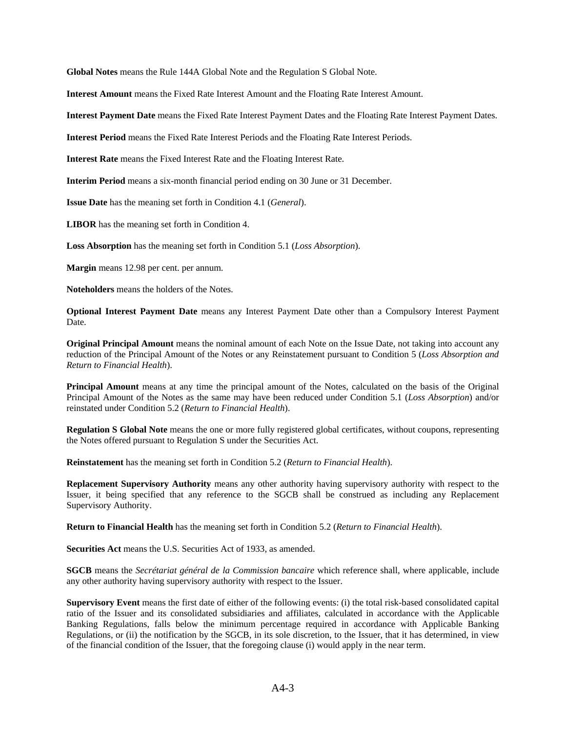**Global Notes** means the Rule 144A Global Note and the Regulation S Global Note.

**Interest Amount** means the Fixed Rate Interest Amount and the Floating Rate Interest Amount.

**Interest Payment Date** means the Fixed Rate Interest Payment Dates and the Floating Rate Interest Payment Dates.

**Interest Period** means the Fixed Rate Interest Periods and the Floating Rate Interest Periods.

**Interest Rate** means the Fixed Interest Rate and the Floating Interest Rate.

**Interim Period** means a six-month financial period ending on 30 June or 31 December.

**Issue Date** has the meaning set forth in Condition 4.1 (*General*).

**LIBOR** has the meaning set forth in Condition 4.

**Loss Absorption** has the meaning set forth in Condition 5.1 (*Loss Absorption*).

**Margin** means 12.98 per cent. per annum.

**Noteholders** means the holders of the Notes.

**Optional Interest Payment Date** means any Interest Payment Date other than a Compulsory Interest Payment Date.

**Original Principal Amount** means the nominal amount of each Note on the Issue Date, not taking into account any reduction of the Principal Amount of the Notes or any Reinstatement pursuant to Condition 5 (*Loss Absorption and Return to Financial Health*).

**Principal Amount** means at any time the principal amount of the Notes, calculated on the basis of the Original Principal Amount of the Notes as the same may have been reduced under Condition 5.1 (*Loss Absorption*) and/or reinstated under Condition 5.2 (*Return to Financial Health*).

**Regulation S Global Note** means the one or more fully registered global certificates, without coupons, representing the Notes offered pursuant to Regulation S under the Securities Act.

**Reinstatement** has the meaning set forth in Condition 5.2 (*Return to Financial Health*).

**Replacement Supervisory Authority** means any other authority having supervisory authority with respect to the Issuer, it being specified that any reference to the SGCB shall be construed as including any Replacement Supervisory Authority.

**Return to Financial Health** has the meaning set forth in Condition 5.2 (*Return to Financial Health*).

**Securities Act** means the U.S. Securities Act of 1933, as amended.

**SGCB** means the *Secrétariat général de la Commission bancaire* which reference shall, where applicable, include any other authority having supervisory authority with respect to the Issuer.

**Supervisory Event** means the first date of either of the following events: (i) the total risk-based consolidated capital ratio of the Issuer and its consolidated subsidiaries and affiliates, calculated in accordance with the Applicable Banking Regulations, falls below the minimum percentage required in accordance with Applicable Banking Regulations, or (ii) the notification by the SGCB, in its sole discretion, to the Issuer, that it has determined, in view of the financial condition of the Issuer, that the foregoing clause (i) would apply in the near term.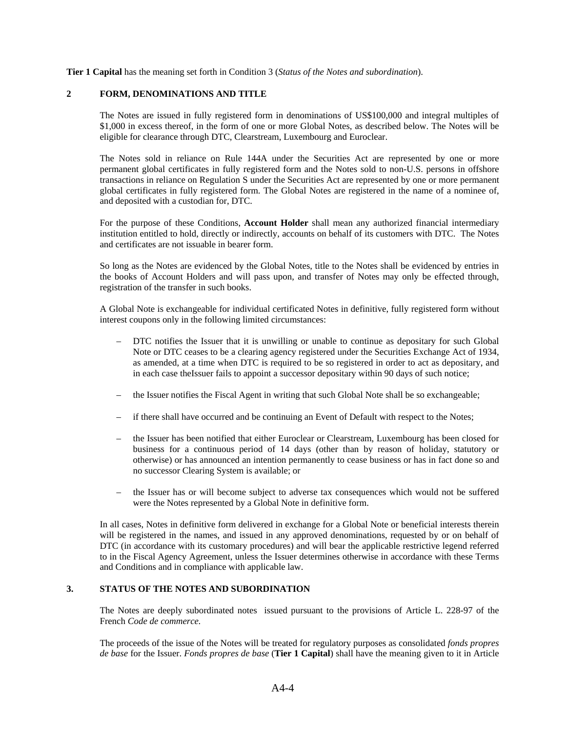**Tier 1 Capital** has the meaning set forth in Condition 3 (*Status of the Notes and subordination*).

## **2 FORM, DENOMINATIONS AND TITLE**

The Notes are issued in fully registered form in denominations of US\$100,000 and integral multiples of \$1,000 in excess thereof, in the form of one or more Global Notes, as described below. The Notes will be eligible for clearance through DTC, Clearstream, Luxembourg and Euroclear.

The Notes sold in reliance on Rule 144A under the Securities Act are represented by one or more permanent global certificates in fully registered form and the Notes sold to non-U.S. persons in offshore transactions in reliance on Regulation S under the Securities Act are represented by one or more permanent global certificates in fully registered form. The Global Notes are registered in the name of a nominee of, and deposited with a custodian for, DTC.

For the purpose of these Conditions, **Account Holder** shall mean any authorized financial intermediary institution entitled to hold, directly or indirectly, accounts on behalf of its customers with DTC. The Notes and certificates are not issuable in bearer form.

So long as the Notes are evidenced by the Global Notes, title to the Notes shall be evidenced by entries in the books of Account Holders and will pass upon, and transfer of Notes may only be effected through, registration of the transfer in such books.

A Global Note is exchangeable for individual certificated Notes in definitive, fully registered form without interest coupons only in the following limited circumstances:

- DTC notifies the Issuer that it is unwilling or unable to continue as depositary for such Global Note or DTC ceases to be a clearing agency registered under the Securities Exchange Act of 1934, as amended, at a time when DTC is required to be so registered in order to act as depositary, and in each case theIssuer fails to appoint a successor depositary within 90 days of such notice;
- the Issuer notifies the Fiscal Agent in writing that such Global Note shall be so exchangeable;
- if there shall have occurred and be continuing an Event of Default with respect to the Notes;
- the Issuer has been notified that either Euroclear or Clearstream, Luxembourg has been closed for business for a continuous period of 14 days (other than by reason of holiday, statutory or otherwise) or has announced an intention permanently to cease business or has in fact done so and no successor Clearing System is available; or
- the Issuer has or will become subject to adverse tax consequences which would not be suffered were the Notes represented by a Global Note in definitive form.

In all cases, Notes in definitive form delivered in exchange for a Global Note or beneficial interests therein will be registered in the names, and issued in any approved denominations, requested by or on behalf of DTC (in accordance with its customary procedures) and will bear the applicable restrictive legend referred to in the Fiscal Agency Agreement, unless the Issuer determines otherwise in accordance with these Terms and Conditions and in compliance with applicable law.

## **3. STATUS OF THE NOTES AND SUBORDINATION**

The Notes are deeply subordinated notes issued pursuant to the provisions of Article L. 228-97 of the French *Code de commerce.* 

The proceeds of the issue of the Notes will be treated for regulatory purposes as consolidated *fonds propres de base* for the Issuer. *Fonds propres de base* (**Tier 1 Capital**) shall have the meaning given to it in Article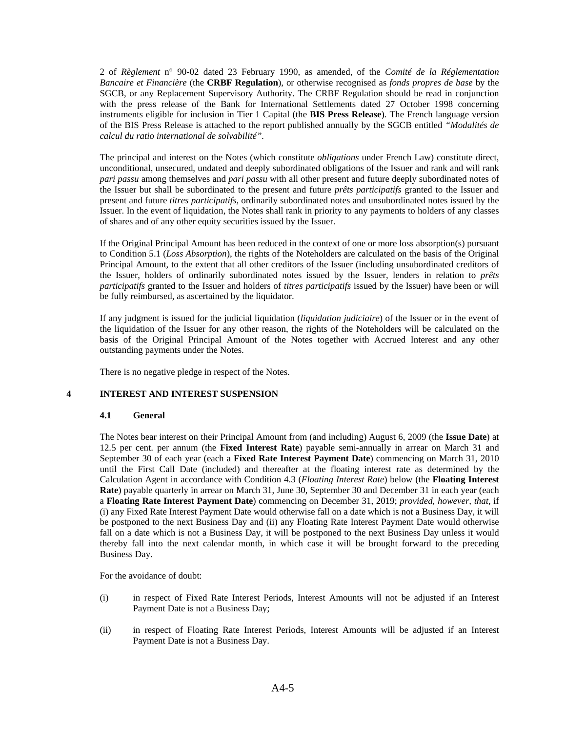2 of *Règlement* n° 90-02 dated 23 February 1990, as amended, of the *Comité de la Réglementation Bancaire et Financière* (the **CRBF Regulation**), or otherwise recognised as *fonds propres de base* by the SGCB, or any Replacement Supervisory Authority. The CRBF Regulation should be read in conjunction with the press release of the Bank for International Settlements dated 27 October 1998 concerning instruments eligible for inclusion in Tier 1 Capital (the **BIS Press Release**). The French language version of the BIS Press Release is attached to the report published annually by the SGCB entitled *"Modalités de calcul du ratio international de solvabilité".*

The principal and interest on the Notes (which constitute *obligations* under French Law) constitute direct, unconditional, unsecured, undated and deeply subordinated obligations of the Issuer and rank and will rank *pari passu* among themselves and *pari passu* with all other present and future deeply subordinated notes of the Issuer but shall be subordinated to the present and future *prêts participatifs* granted to the Issuer and present and future *titres participatifs,* ordinarily subordinated notes and unsubordinated notes issued by the Issuer. In the event of liquidation, the Notes shall rank in priority to any payments to holders of any classes of shares and of any other equity securities issued by the Issuer.

If the Original Principal Amount has been reduced in the context of one or more loss absorption(s) pursuant to Condition 5.1 (*Loss Absorption*), the rights of the Noteholders are calculated on the basis of the Original Principal Amount, to the extent that all other creditors of the Issuer (including unsubordinated creditors of the Issuer, holders of ordinarily subordinated notes issued by the Issuer, lenders in relation to *prêts participatifs* granted to the Issuer and holders of *titres participatifs* issued by the Issuer) have been or will be fully reimbursed, as ascertained by the liquidator.

If any judgment is issued for the judicial liquidation (*liquidation judiciaire*) of the Issuer or in the event of the liquidation of the Issuer for any other reason, the rights of the Noteholders will be calculated on the basis of the Original Principal Amount of the Notes together with Accrued Interest and any other outstanding payments under the Notes.

There is no negative pledge in respect of the Notes.

## **4 INTEREST AND INTEREST SUSPENSION**

## **4.1 General**

The Notes bear interest on their Principal Amount from (and including) August 6, 2009 (the **Issue Date**) at 12.5 per cent. per annum (the **Fixed Interest Rate**) payable semi-annually in arrear on March 31 and September 30 of each year (each a **Fixed Rate Interest Payment Date**) commencing on March 31, 2010 until the First Call Date (included) and thereafter at the floating interest rate as determined by the Calculation Agent in accordance with Condition 4.3 (*Floating Interest Rate*) below (the **Floating Interest Rate**) payable quarterly in arrear on March 31, June 30, September 30 and December 31 in each year (each a **Floating Rate Interest Payment Date**) commencing on December 31, 2019; *provided, however, that,* if (i) any Fixed Rate Interest Payment Date would otherwise fall on a date which is not a Business Day, it will be postponed to the next Business Day and (ii) any Floating Rate Interest Payment Date would otherwise fall on a date which is not a Business Day, it will be postponed to the next Business Day unless it would thereby fall into the next calendar month, in which case it will be brought forward to the preceding Business Day.

For the avoidance of doubt:

- (i) in respect of Fixed Rate Interest Periods, Interest Amounts will not be adjusted if an Interest Payment Date is not a Business Day;
- (ii) in respect of Floating Rate Interest Periods, Interest Amounts will be adjusted if an Interest Payment Date is not a Business Day.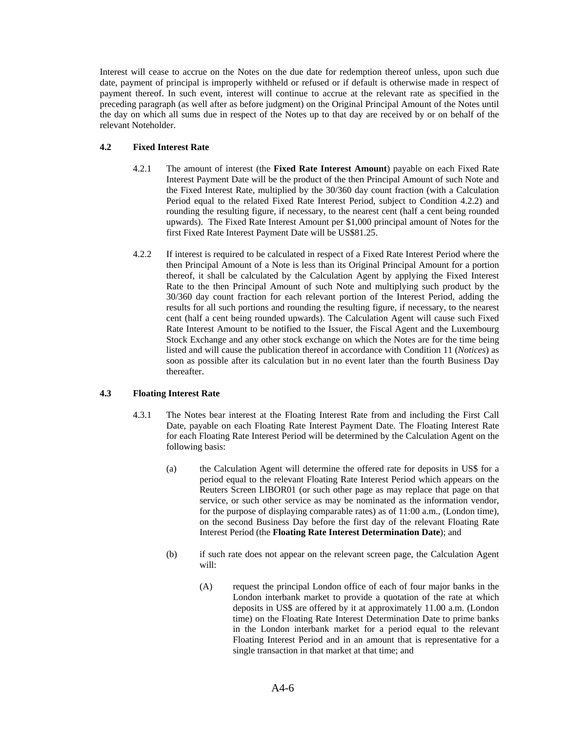Interest will cease to accrue on the Notes on the due date for redemption thereof unless, upon such due date, payment of principal is improperly withheld or refused or if default is otherwise made in respect of payment thereof. In such event, interest will continue to accrue at the relevant rate as specified in the preceding paragraph (as well after as before judgment) on the Original Principal Amount of the Notes until the day on which all sums due in respect of the Notes up to that day are received by or on behalf of the relevant Noteholder.

# **4.2 Fixed Interest Rate**

- 4.2.1 The amount of interest (the **Fixed Rate Interest Amount**) payable on each Fixed Rate Interest Payment Date will be the product of the then Principal Amount of such Note and the Fixed Interest Rate, multiplied by the 30/360 day count fraction (with a Calculation Period equal to the related Fixed Rate Interest Period, subject to Condition 4.2.2) and rounding the resulting figure, if necessary, to the nearest cent (half a cent being rounded upwards). The Fixed Rate Interest Amount per \$1,000 principal amount of Notes for the first Fixed Rate Interest Payment Date will be US\$81.25.
- 4.2.2 If interest is required to be calculated in respect of a Fixed Rate Interest Period where the then Principal Amount of a Note is less than its Original Principal Amount for a portion thereof, it shall be calculated by the Calculation Agent by applying the Fixed Interest Rate to the then Principal Amount of such Note and multiplying such product by the 30/360 day count fraction for each relevant portion of the Interest Period, adding the results for all such portions and rounding the resulting figure, if necessary, to the nearest cent (half a cent being rounded upwards). The Calculation Agent will cause such Fixed Rate Interest Amount to be notified to the Issuer, the Fiscal Agent and the Luxembourg Stock Exchange and any other stock exchange on which the Notes are for the time being listed and will cause the publication thereof in accordance with Condition 11 (*Notices*) as soon as possible after its calculation but in no event later than the fourth Business Day thereafter.

## **4.3 Floating Interest Rate**

- 4.3.1 The Notes bear interest at the Floating Interest Rate from and including the First Call Date, payable on each Floating Rate Interest Payment Date. The Floating Interest Rate for each Floating Rate Interest Period will be determined by the Calculation Agent on the following basis:
	- (a) the Calculation Agent will determine the offered rate for deposits in US\$ for a period equal to the relevant Floating Rate Interest Period which appears on the Reuters Screen LIBOR01 (or such other page as may replace that page on that service, or such other service as may be nominated as the information vendor, for the purpose of displaying comparable rates) as of 11:00 a.m., (London time), on the second Business Day before the first day of the relevant Floating Rate Interest Period (the **Floating Rate Interest Determination Date**); and
	- (b) if such rate does not appear on the relevant screen page, the Calculation Agent will:
		- (A) request the principal London office of each of four major banks in the London interbank market to provide a quotation of the rate at which deposits in US\$ are offered by it at approximately 11.00 a.m. (London time) on the Floating Rate Interest Determination Date to prime banks in the London interbank market for a period equal to the relevant Floating Interest Period and in an amount that is representative for a single transaction in that market at that time; and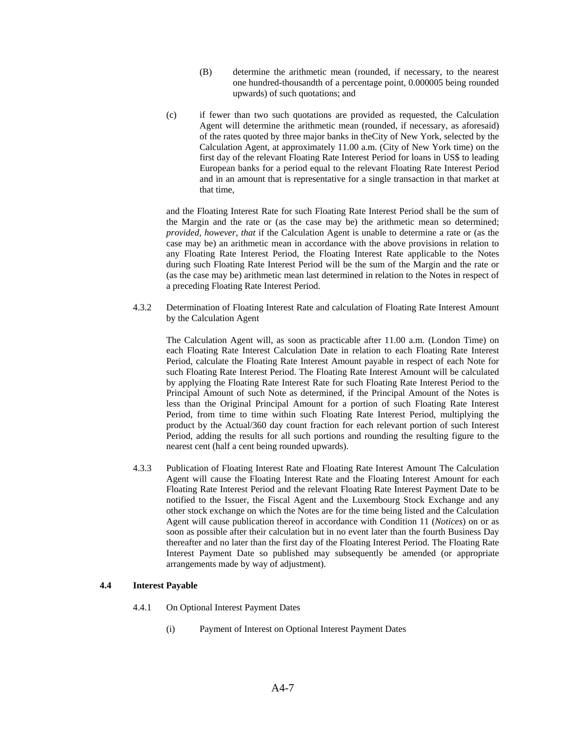- (B) determine the arithmetic mean (rounded, if necessary, to the nearest one hundred-thousandth of a percentage point, 0.000005 being rounded upwards) of such quotations; and
- (c) if fewer than two such quotations are provided as requested, the Calculation Agent will determine the arithmetic mean (rounded, if necessary, as aforesaid) of the rates quoted by three major banks in theCity of New York, selected by the Calculation Agent, at approximately 11.00 a.m. (City of New York time) on the first day of the relevant Floating Rate Interest Period for loans in US\$ to leading European banks for a period equal to the relevant Floating Rate Interest Period and in an amount that is representative for a single transaction in that market at that time,

and the Floating Interest Rate for such Floating Rate Interest Period shall be the sum of the Margin and the rate or (as the case may be) the arithmetic mean so determined; *provided*, *however*, *that* if the Calculation Agent is unable to determine a rate or (as the case may be) an arithmetic mean in accordance with the above provisions in relation to any Floating Rate Interest Period, the Floating Interest Rate applicable to the Notes during such Floating Rate Interest Period will be the sum of the Margin and the rate or (as the case may be) arithmetic mean last determined in relation to the Notes in respect of a preceding Floating Rate Interest Period.

4.3.2 Determination of Floating Interest Rate and calculation of Floating Rate Interest Amount by the Calculation Agent

The Calculation Agent will, as soon as practicable after 11.00 a.m. (London Time) on each Floating Rate Interest Calculation Date in relation to each Floating Rate Interest Period, calculate the Floating Rate Interest Amount payable in respect of each Note for such Floating Rate Interest Period. The Floating Rate Interest Amount will be calculated by applying the Floating Rate Interest Rate for such Floating Rate Interest Period to the Principal Amount of such Note as determined, if the Principal Amount of the Notes is less than the Original Principal Amount for a portion of such Floating Rate Interest Period, from time to time within such Floating Rate Interest Period, multiplying the product by the Actual/360 day count fraction for each relevant portion of such Interest Period, adding the results for all such portions and rounding the resulting figure to the nearest cent (half a cent being rounded upwards).

4.3.3 Publication of Floating Interest Rate and Floating Rate Interest Amount The Calculation Agent will cause the Floating Interest Rate and the Floating Interest Amount for each Floating Rate Interest Period and the relevant Floating Rate Interest Payment Date to be notified to the Issuer, the Fiscal Agent and the Luxembourg Stock Exchange and any other stock exchange on which the Notes are for the time being listed and the Calculation Agent will cause publication thereof in accordance with Condition 11 (*Notices*) on or as soon as possible after their calculation but in no event later than the fourth Business Day thereafter and no later than the first day of the Floating Interest Period. The Floating Rate Interest Payment Date so published may subsequently be amended (or appropriate arrangements made by way of adjustment).

### **4.4 Interest Payable**

- 4.4.1 On Optional Interest Payment Dates
	- (i) Payment of Interest on Optional Interest Payment Dates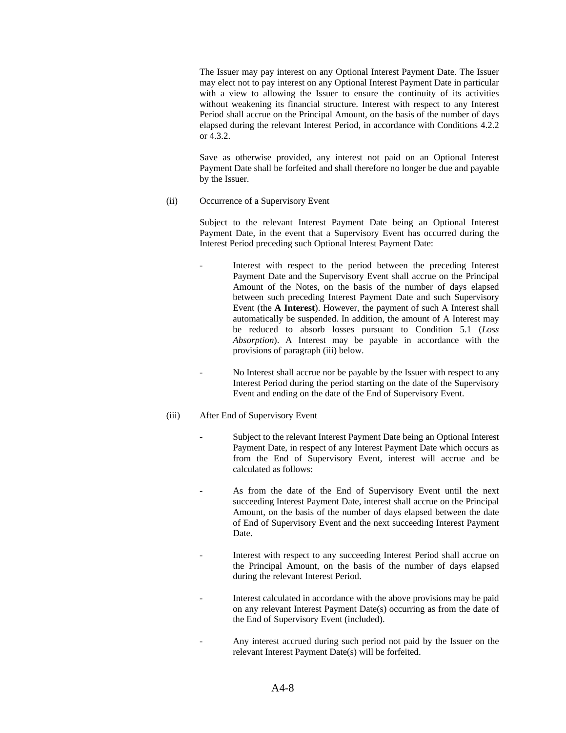The Issuer may pay interest on any Optional Interest Payment Date. The Issuer may elect not to pay interest on any Optional Interest Payment Date in particular with a view to allowing the Issuer to ensure the continuity of its activities without weakening its financial structure. Interest with respect to any Interest Period shall accrue on the Principal Amount, on the basis of the number of days elapsed during the relevant Interest Period, in accordance with Conditions 4.2.2 or 4.3.2.

Save as otherwise provided, any interest not paid on an Optional Interest Payment Date shall be forfeited and shall therefore no longer be due and payable by the Issuer.

(ii) Occurrence of a Supervisory Event

Subject to the relevant Interest Payment Date being an Optional Interest Payment Date, in the event that a Supervisory Event has occurred during the Interest Period preceding such Optional Interest Payment Date:

- Interest with respect to the period between the preceding Interest Payment Date and the Supervisory Event shall accrue on the Principal Amount of the Notes, on the basis of the number of days elapsed between such preceding Interest Payment Date and such Supervisory Event (the **A Interest**). However, the payment of such A Interest shall automatically be suspended. In addition, the amount of A Interest may be reduced to absorb losses pursuant to Condition 5.1 (*Loss Absorption*). A Interest may be payable in accordance with the provisions of paragraph (iii) below.
- No Interest shall accrue nor be payable by the Issuer with respect to any Interest Period during the period starting on the date of the Supervisory Event and ending on the date of the End of Supervisory Event.

## (iii) After End of Supervisory Event

- Subject to the relevant Interest Payment Date being an Optional Interest Payment Date, in respect of any Interest Payment Date which occurs as from the End of Supervisory Event, interest will accrue and be calculated as follows:
- As from the date of the End of Supervisory Event until the next succeeding Interest Payment Date, interest shall accrue on the Principal Amount, on the basis of the number of days elapsed between the date of End of Supervisory Event and the next succeeding Interest Payment Date.
- Interest with respect to any succeeding Interest Period shall accrue on the Principal Amount, on the basis of the number of days elapsed during the relevant Interest Period.
- Interest calculated in accordance with the above provisions may be paid on any relevant Interest Payment Date(s) occurring as from the date of the End of Supervisory Event (included).
- Any interest accrued during such period not paid by the Issuer on the relevant Interest Payment Date(s) will be forfeited.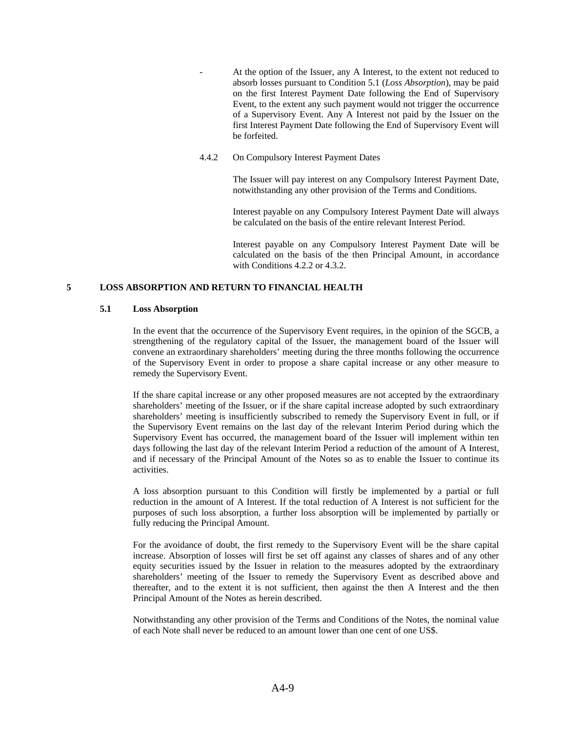- At the option of the Issuer, any A Interest, to the extent not reduced to absorb losses pursuant to Condition 5.1 (*Loss Absorption*), may be paid on the first Interest Payment Date following the End of Supervisory Event, to the extent any such payment would not trigger the occurrence of a Supervisory Event. Any A Interest not paid by the Issuer on the first Interest Payment Date following the End of Supervisory Event will be forfeited.
- 4.4.2 On Compulsory Interest Payment Dates

The Issuer will pay interest on any Compulsory Interest Payment Date, notwithstanding any other provision of the Terms and Conditions.

Interest payable on any Compulsory Interest Payment Date will always be calculated on the basis of the entire relevant Interest Period.

Interest payable on any Compulsory Interest Payment Date will be calculated on the basis of the then Principal Amount, in accordance with Conditions 4.2.2 or 4.3.2.

### **5 LOSS ABSORPTION AND RETURN TO FINANCIAL HEALTH**

#### **5.1 Loss Absorption**

In the event that the occurrence of the Supervisory Event requires, in the opinion of the SGCB, a strengthening of the regulatory capital of the Issuer, the management board of the Issuer will convene an extraordinary shareholders' meeting during the three months following the occurrence of the Supervisory Event in order to propose a share capital increase or any other measure to remedy the Supervisory Event.

If the share capital increase or any other proposed measures are not accepted by the extraordinary shareholders' meeting of the Issuer, or if the share capital increase adopted by such extraordinary shareholders' meeting is insufficiently subscribed to remedy the Supervisory Event in full, or if the Supervisory Event remains on the last day of the relevant Interim Period during which the Supervisory Event has occurred, the management board of the Issuer will implement within ten days following the last day of the relevant Interim Period a reduction of the amount of A Interest, and if necessary of the Principal Amount of the Notes so as to enable the Issuer to continue its activities.

A loss absorption pursuant to this Condition will firstly be implemented by a partial or full reduction in the amount of A Interest. If the total reduction of A Interest is not sufficient for the purposes of such loss absorption, a further loss absorption will be implemented by partially or fully reducing the Principal Amount.

For the avoidance of doubt, the first remedy to the Supervisory Event will be the share capital increase. Absorption of losses will first be set off against any classes of shares and of any other equity securities issued by the Issuer in relation to the measures adopted by the extraordinary shareholders' meeting of the Issuer to remedy the Supervisory Event as described above and thereafter, and to the extent it is not sufficient, then against the then A Interest and the then Principal Amount of the Notes as herein described.

Notwithstanding any other provision of the Terms and Conditions of the Notes, the nominal value of each Note shall never be reduced to an amount lower than one cent of one US\$.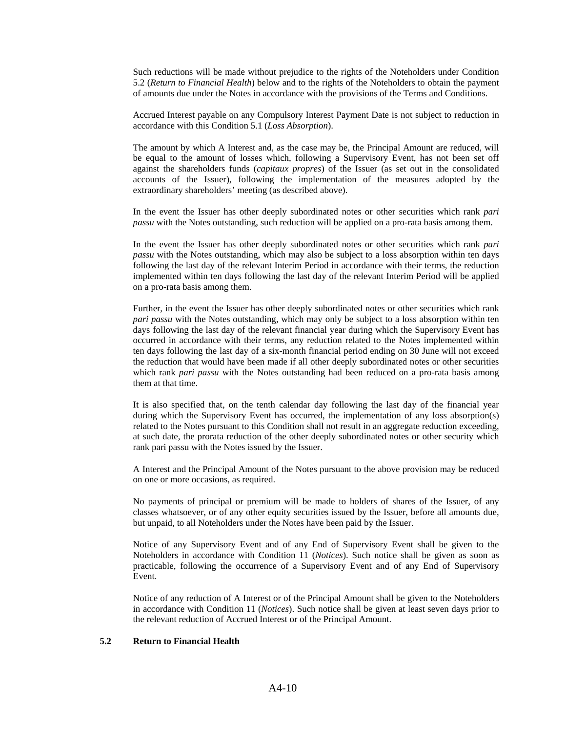Such reductions will be made without prejudice to the rights of the Noteholders under Condition 5.2 (*Return to Financial Health*) below and to the rights of the Noteholders to obtain the payment of amounts due under the Notes in accordance with the provisions of the Terms and Conditions.

Accrued Interest payable on any Compulsory Interest Payment Date is not subject to reduction in accordance with this Condition 5.1 (*Loss Absorption*).

The amount by which A Interest and, as the case may be, the Principal Amount are reduced, will be equal to the amount of losses which, following a Supervisory Event, has not been set off against the shareholders funds (*capitaux propres*) of the Issuer (as set out in the consolidated accounts of the Issuer), following the implementation of the measures adopted by the extraordinary shareholders' meeting (as described above).

In the event the Issuer has other deeply subordinated notes or other securities which rank *pari passu* with the Notes outstanding, such reduction will be applied on a pro-rata basis among them.

In the event the Issuer has other deeply subordinated notes or other securities which rank *pari passu* with the Notes outstanding, which may also be subject to a loss absorption within ten days following the last day of the relevant Interim Period in accordance with their terms, the reduction implemented within ten days following the last day of the relevant Interim Period will be applied on a pro-rata basis among them.

Further, in the event the Issuer has other deeply subordinated notes or other securities which rank *pari passu* with the Notes outstanding, which may only be subject to a loss absorption within ten days following the last day of the relevant financial year during which the Supervisory Event has occurred in accordance with their terms, any reduction related to the Notes implemented within ten days following the last day of a six-month financial period ending on 30 June will not exceed the reduction that would have been made if all other deeply subordinated notes or other securities which rank *pari passu* with the Notes outstanding had been reduced on a pro-rata basis among them at that time.

It is also specified that, on the tenth calendar day following the last day of the financial year during which the Supervisory Event has occurred, the implementation of any loss absorption(s) related to the Notes pursuant to this Condition shall not result in an aggregate reduction exceeding, at such date, the prorata reduction of the other deeply subordinated notes or other security which rank pari passu with the Notes issued by the Issuer.

A Interest and the Principal Amount of the Notes pursuant to the above provision may be reduced on one or more occasions, as required.

No payments of principal or premium will be made to holders of shares of the Issuer, of any classes whatsoever, or of any other equity securities issued by the Issuer, before all amounts due, but unpaid, to all Noteholders under the Notes have been paid by the Issuer.

Notice of any Supervisory Event and of any End of Supervisory Event shall be given to the Noteholders in accordance with Condition 11 (*Notices*). Such notice shall be given as soon as practicable, following the occurrence of a Supervisory Event and of any End of Supervisory Event.

Notice of any reduction of A Interest or of the Principal Amount shall be given to the Noteholders in accordance with Condition 11 (*Notices*). Such notice shall be given at least seven days prior to the relevant reduction of Accrued Interest or of the Principal Amount.

### **5.2 Return to Financial Health**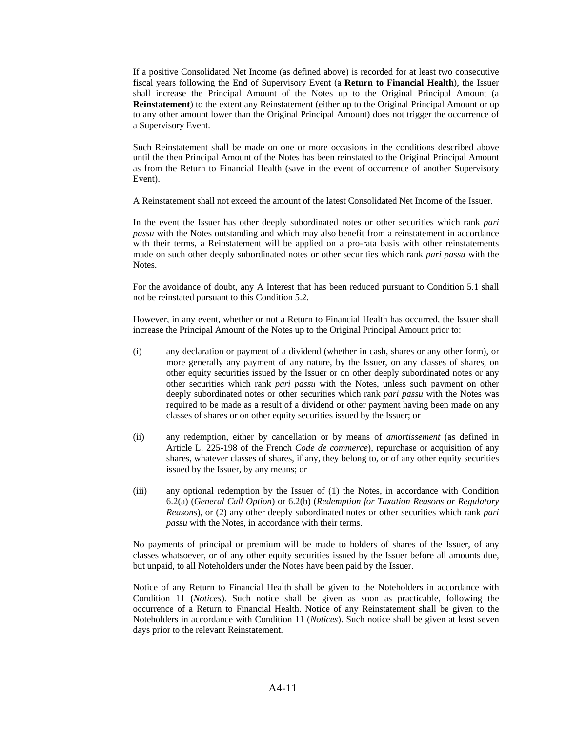If a positive Consolidated Net Income (as defined above) is recorded for at least two consecutive fiscal years following the End of Supervisory Event (a **Return to Financial Health**), the Issuer shall increase the Principal Amount of the Notes up to the Original Principal Amount (a **Reinstatement**) to the extent any Reinstatement (either up to the Original Principal Amount or up to any other amount lower than the Original Principal Amount) does not trigger the occurrence of a Supervisory Event.

Such Reinstatement shall be made on one or more occasions in the conditions described above until the then Principal Amount of the Notes has been reinstated to the Original Principal Amount as from the Return to Financial Health (save in the event of occurrence of another Supervisory Event).

A Reinstatement shall not exceed the amount of the latest Consolidated Net Income of the Issuer.

In the event the Issuer has other deeply subordinated notes or other securities which rank *pari passu* with the Notes outstanding and which may also benefit from a reinstatement in accordance with their terms, a Reinstatement will be applied on a pro-rata basis with other reinstatements made on such other deeply subordinated notes or other securities which rank *pari passu* with the Notes.

For the avoidance of doubt, any A Interest that has been reduced pursuant to Condition 5.1 shall not be reinstated pursuant to this Condition 5.2.

However, in any event, whether or not a Return to Financial Health has occurred, the Issuer shall increase the Principal Amount of the Notes up to the Original Principal Amount prior to:

- (i) any declaration or payment of a dividend (whether in cash, shares or any other form), or more generally any payment of any nature, by the Issuer, on any classes of shares, on other equity securities issued by the Issuer or on other deeply subordinated notes or any other securities which rank *pari passu* with the Notes, unless such payment on other deeply subordinated notes or other securities which rank *pari passu* with the Notes was required to be made as a result of a dividend or other payment having been made on any classes of shares or on other equity securities issued by the Issuer; or
- (ii) any redemption, either by cancellation or by means of *amortissement* (as defined in Article L. 225-198 of the French *Code de commerce*), repurchase or acquisition of any shares, whatever classes of shares, if any, they belong to, or of any other equity securities issued by the Issuer, by any means; or
- (iii) any optional redemption by the Issuer of (1) the Notes, in accordance with Condition 6.2(a) (*General Call Option*) or 6.2(b) (*Redemption for Taxation Reasons or Regulatory Reasons*), or (2) any other deeply subordinated notes or other securities which rank *pari passu* with the Notes, in accordance with their terms.

No payments of principal or premium will be made to holders of shares of the Issuer, of any classes whatsoever, or of any other equity securities issued by the Issuer before all amounts due, but unpaid, to all Noteholders under the Notes have been paid by the Issuer.

Notice of any Return to Financial Health shall be given to the Noteholders in accordance with Condition 11 (*Notices*). Such notice shall be given as soon as practicable, following the occurrence of a Return to Financial Health. Notice of any Reinstatement shall be given to the Noteholders in accordance with Condition 11 (*Notices*). Such notice shall be given at least seven days prior to the relevant Reinstatement.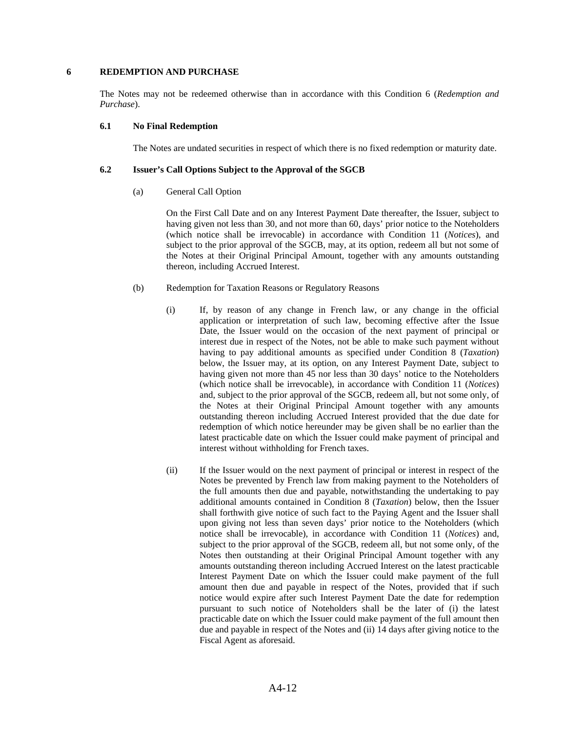### **6 REDEMPTION AND PURCHASE**

The Notes may not be redeemed otherwise than in accordance with this Condition 6 (*Redemption and Purchase*).

### **6.1 No Final Redemption**

The Notes are undated securities in respect of which there is no fixed redemption or maturity date.

### **6.2 Issuer's Call Options Subject to the Approval of the SGCB**

(a) General Call Option

On the First Call Date and on any Interest Payment Date thereafter, the Issuer, subject to having given not less than 30, and not more than 60, days' prior notice to the Noteholders (which notice shall be irrevocable) in accordance with Condition 11 (*Notices*), and subject to the prior approval of the SGCB, may, at its option, redeem all but not some of the Notes at their Original Principal Amount, together with any amounts outstanding thereon, including Accrued Interest.

- (b) Redemption for Taxation Reasons or Regulatory Reasons
	- (i) If, by reason of any change in French law, or any change in the official application or interpretation of such law, becoming effective after the Issue Date, the Issuer would on the occasion of the next payment of principal or interest due in respect of the Notes, not be able to make such payment without having to pay additional amounts as specified under Condition 8 (*Taxation*) below, the Issuer may, at its option, on any Interest Payment Date, subject to having given not more than 45 nor less than 30 days' notice to the Noteholders (which notice shall be irrevocable), in accordance with Condition 11 (*Notices*) and, subject to the prior approval of the SGCB, redeem all, but not some only, of the Notes at their Original Principal Amount together with any amounts outstanding thereon including Accrued Interest provided that the due date for redemption of which notice hereunder may be given shall be no earlier than the latest practicable date on which the Issuer could make payment of principal and interest without withholding for French taxes.
	- (ii) If the Issuer would on the next payment of principal or interest in respect of the Notes be prevented by French law from making payment to the Noteholders of the full amounts then due and payable, notwithstanding the undertaking to pay additional amounts contained in Condition 8 (*Taxation*) below, then the Issuer shall forthwith give notice of such fact to the Paying Agent and the Issuer shall upon giving not less than seven days' prior notice to the Noteholders (which notice shall be irrevocable), in accordance with Condition 11 (*Notices*) and, subject to the prior approval of the SGCB, redeem all, but not some only, of the Notes then outstanding at their Original Principal Amount together with any amounts outstanding thereon including Accrued Interest on the latest practicable Interest Payment Date on which the Issuer could make payment of the full amount then due and payable in respect of the Notes, provided that if such notice would expire after such Interest Payment Date the date for redemption pursuant to such notice of Noteholders shall be the later of (i) the latest practicable date on which the Issuer could make payment of the full amount then due and payable in respect of the Notes and (ii) 14 days after giving notice to the Fiscal Agent as aforesaid.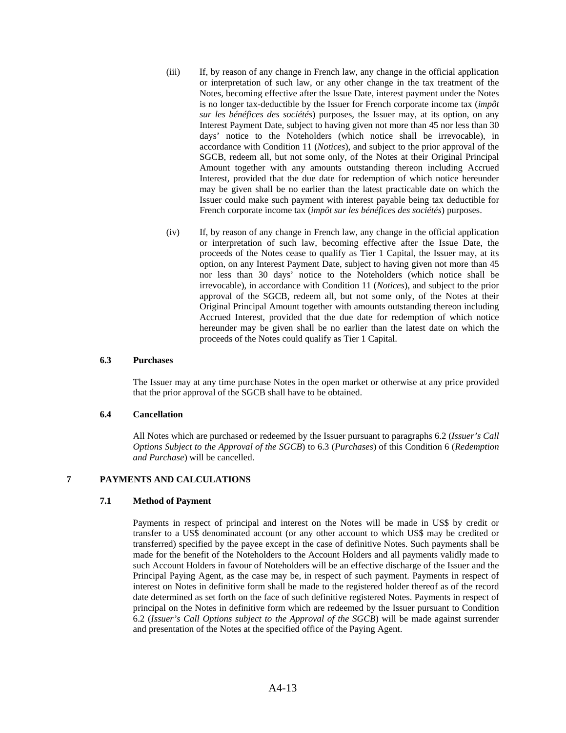- (iii) If, by reason of any change in French law, any change in the official application or interpretation of such law, or any other change in the tax treatment of the Notes, becoming effective after the Issue Date, interest payment under the Notes is no longer tax-deductible by the Issuer for French corporate income tax (*impôt sur les bénéfices des sociétés*) purposes, the Issuer may, at its option, on any Interest Payment Date, subject to having given not more than 45 nor less than 30 days' notice to the Noteholders (which notice shall be irrevocable), in accordance with Condition 11 (*Notices*), and subject to the prior approval of the SGCB, redeem all, but not some only, of the Notes at their Original Principal Amount together with any amounts outstanding thereon including Accrued Interest, provided that the due date for redemption of which notice hereunder may be given shall be no earlier than the latest practicable date on which the Issuer could make such payment with interest payable being tax deductible for French corporate income tax (*impôt sur les bénéfices des sociétés*) purposes.
- (iv) If, by reason of any change in French law, any change in the official application or interpretation of such law, becoming effective after the Issue Date, the proceeds of the Notes cease to qualify as Tier 1 Capital, the Issuer may, at its option, on any Interest Payment Date, subject to having given not more than 45 nor less than 30 days' notice to the Noteholders (which notice shall be irrevocable), in accordance with Condition 11 (*Notices*), and subject to the prior approval of the SGCB, redeem all, but not some only, of the Notes at their Original Principal Amount together with amounts outstanding thereon including Accrued Interest, provided that the due date for redemption of which notice hereunder may be given shall be no earlier than the latest date on which the proceeds of the Notes could qualify as Tier 1 Capital.

#### **6.3 Purchases**

The Issuer may at any time purchase Notes in the open market or otherwise at any price provided that the prior approval of the SGCB shall have to be obtained.

#### **6.4 Cancellation**

All Notes which are purchased or redeemed by the Issuer pursuant to paragraphs 6.2 (*Issuer's Call Options Subject to the Approval of the SGCB*) to 6.3 (*Purchases*) of this Condition 6 (*Redemption and Purchase*) will be cancelled.

# **7 PAYMENTS AND CALCULATIONS**

## **7.1 Method of Payment**

Payments in respect of principal and interest on the Notes will be made in US\$ by credit or transfer to a US\$ denominated account (or any other account to which US\$ may be credited or transferred) specified by the payee except in the case of definitive Notes. Such payments shall be made for the benefit of the Noteholders to the Account Holders and all payments validly made to such Account Holders in favour of Noteholders will be an effective discharge of the Issuer and the Principal Paying Agent, as the case may be, in respect of such payment. Payments in respect of interest on Notes in definitive form shall be made to the registered holder thereof as of the record date determined as set forth on the face of such definitive registered Notes. Payments in respect of principal on the Notes in definitive form which are redeemed by the Issuer pursuant to Condition 6.2 (*Issuer's Call Options subject to the Approval of the SGCB*) will be made against surrender and presentation of the Notes at the specified office of the Paying Agent.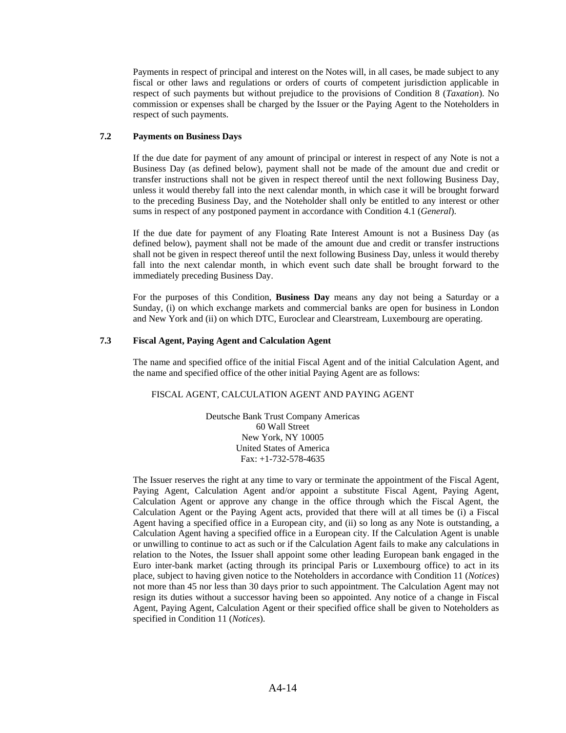Payments in respect of principal and interest on the Notes will, in all cases, be made subject to any fiscal or other laws and regulations or orders of courts of competent jurisdiction applicable in respect of such payments but without prejudice to the provisions of Condition 8 (*Taxation*). No commission or expenses shall be charged by the Issuer or the Paying Agent to the Noteholders in respect of such payments.

## **7.2 Payments on Business Days**

If the due date for payment of any amount of principal or interest in respect of any Note is not a Business Day (as defined below), payment shall not be made of the amount due and credit or transfer instructions shall not be given in respect thereof until the next following Business Day, unless it would thereby fall into the next calendar month, in which case it will be brought forward to the preceding Business Day, and the Noteholder shall only be entitled to any interest or other sums in respect of any postponed payment in accordance with Condition 4.1 (*General*).

If the due date for payment of any Floating Rate Interest Amount is not a Business Day (as defined below), payment shall not be made of the amount due and credit or transfer instructions shall not be given in respect thereof until the next following Business Day, unless it would thereby fall into the next calendar month, in which event such date shall be brought forward to the immediately preceding Business Day.

For the purposes of this Condition, **Business Day** means any day not being a Saturday or a Sunday, (i) on which exchange markets and commercial banks are open for business in London and New York and (ii) on which DTC, Euroclear and Clearstream, Luxembourg are operating.

## **7.3 Fiscal Agent, Paying Agent and Calculation Agent**

The name and specified office of the initial Fiscal Agent and of the initial Calculation Agent, and the name and specified office of the other initial Paying Agent are as follows:

## FISCAL AGENT, CALCULATION AGENT AND PAYING AGENT

Deutsche Bank Trust Company Americas 60 Wall Street New York, NY 10005 United States of America Fax: +1-732-578-4635

The Issuer reserves the right at any time to vary or terminate the appointment of the Fiscal Agent, Paying Agent, Calculation Agent and/or appoint a substitute Fiscal Agent, Paying Agent, Calculation Agent or approve any change in the office through which the Fiscal Agent, the Calculation Agent or the Paying Agent acts, provided that there will at all times be (i) a Fiscal Agent having a specified office in a European city, and (ii) so long as any Note is outstanding, a Calculation Agent having a specified office in a European city. If the Calculation Agent is unable or unwilling to continue to act as such or if the Calculation Agent fails to make any calculations in relation to the Notes, the Issuer shall appoint some other leading European bank engaged in the Euro inter-bank market (acting through its principal Paris or Luxembourg office) to act in its place, subject to having given notice to the Noteholders in accordance with Condition 11 (*Notices*) not more than 45 nor less than 30 days prior to such appointment. The Calculation Agent may not resign its duties without a successor having been so appointed. Any notice of a change in Fiscal Agent, Paying Agent, Calculation Agent or their specified office shall be given to Noteholders as specified in Condition 11 (*Notices*).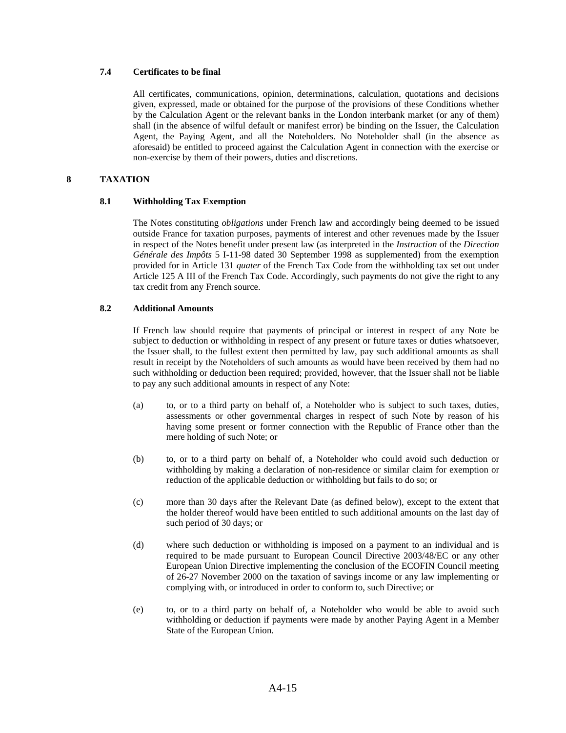## **7.4 Certificates to be final**

All certificates, communications, opinion, determinations, calculation, quotations and decisions given, expressed, made or obtained for the purpose of the provisions of these Conditions whether by the Calculation Agent or the relevant banks in the London interbank market (or any of them) shall (in the absence of wilful default or manifest error) be binding on the Issuer, the Calculation Agent, the Paying Agent, and all the Noteholders. No Noteholder shall (in the absence as aforesaid) be entitled to proceed against the Calculation Agent in connection with the exercise or non-exercise by them of their powers, duties and discretions.

## **8 TAXATION**

#### **8.1 Withholding Tax Exemption**

The Notes constituting *obligations* under French law and accordingly being deemed to be issued outside France for taxation purposes, payments of interest and other revenues made by the Issuer in respect of the Notes benefit under present law (as interpreted in the *Instruction* of the *Direction Générale des Impôts* 5 I-11-98 dated 30 September 1998 as supplemented) from the exemption provided for in Article 131 *quater* of the French Tax Code from the withholding tax set out under Article 125 A III of the French Tax Code. Accordingly, such payments do not give the right to any tax credit from any French source.

#### **8.2 Additional Amounts**

If French law should require that payments of principal or interest in respect of any Note be subject to deduction or withholding in respect of any present or future taxes or duties whatsoever, the Issuer shall, to the fullest extent then permitted by law, pay such additional amounts as shall result in receipt by the Noteholders of such amounts as would have been received by them had no such withholding or deduction been required; provided, however, that the Issuer shall not be liable to pay any such additional amounts in respect of any Note:

- (a) to, or to a third party on behalf of, a Noteholder who is subject to such taxes, duties, assessments or other governmental charges in respect of such Note by reason of his having some present or former connection with the Republic of France other than the mere holding of such Note; or
- (b) to, or to a third party on behalf of, a Noteholder who could avoid such deduction or withholding by making a declaration of non-residence or similar claim for exemption or reduction of the applicable deduction or withholding but fails to do so; or
- (c) more than 30 days after the Relevant Date (as defined below), except to the extent that the holder thereof would have been entitled to such additional amounts on the last day of such period of 30 days; or
- (d) where such deduction or withholding is imposed on a payment to an individual and is required to be made pursuant to European Council Directive 2003/48/EC or any other European Union Directive implementing the conclusion of the ECOFIN Council meeting of 26-27 November 2000 on the taxation of savings income or any law implementing or complying with, or introduced in order to conform to, such Directive; or
- (e) to, or to a third party on behalf of, a Noteholder who would be able to avoid such withholding or deduction if payments were made by another Paying Agent in a Member State of the European Union.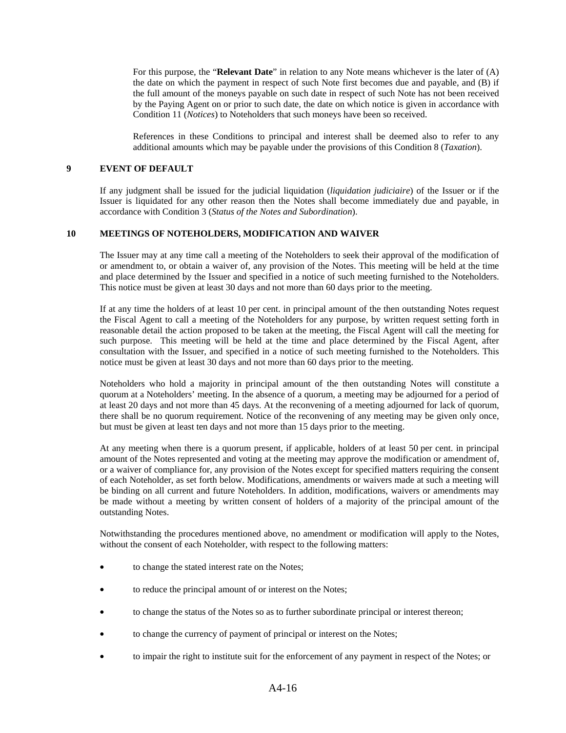For this purpose, the "**Relevant Date**" in relation to any Note means whichever is the later of (A) the date on which the payment in respect of such Note first becomes due and payable, and (B) if the full amount of the moneys payable on such date in respect of such Note has not been received by the Paying Agent on or prior to such date, the date on which notice is given in accordance with Condition 11 (*Notices*) to Noteholders that such moneys have been so received.

References in these Conditions to principal and interest shall be deemed also to refer to any additional amounts which may be payable under the provisions of this Condition 8 (*Taxation*).

#### **9 EVENT OF DEFAULT**

If any judgment shall be issued for the judicial liquidation (*liquidation judiciaire*) of the Issuer or if the Issuer is liquidated for any other reason then the Notes shall become immediately due and payable, in accordance with Condition 3 (*Status of the Notes and Subordination*).

#### **10 MEETINGS OF NOTEHOLDERS, MODIFICATION AND WAIVER**

The Issuer may at any time call a meeting of the Noteholders to seek their approval of the modification of or amendment to, or obtain a waiver of, any provision of the Notes. This meeting will be held at the time and place determined by the Issuer and specified in a notice of such meeting furnished to the Noteholders. This notice must be given at least 30 days and not more than 60 days prior to the meeting.

If at any time the holders of at least 10 per cent. in principal amount of the then outstanding Notes request the Fiscal Agent to call a meeting of the Noteholders for any purpose, by written request setting forth in reasonable detail the action proposed to be taken at the meeting, the Fiscal Agent will call the meeting for such purpose. This meeting will be held at the time and place determined by the Fiscal Agent, after consultation with the Issuer, and specified in a notice of such meeting furnished to the Noteholders. This notice must be given at least 30 days and not more than 60 days prior to the meeting.

Noteholders who hold a majority in principal amount of the then outstanding Notes will constitute a quorum at a Noteholders' meeting. In the absence of a quorum, a meeting may be adjourned for a period of at least 20 days and not more than 45 days. At the reconvening of a meeting adjourned for lack of quorum, there shall be no quorum requirement. Notice of the reconvening of any meeting may be given only once, but must be given at least ten days and not more than 15 days prior to the meeting.

At any meeting when there is a quorum present, if applicable, holders of at least 50 per cent. in principal amount of the Notes represented and voting at the meeting may approve the modification or amendment of, or a waiver of compliance for, any provision of the Notes except for specified matters requiring the consent of each Noteholder, as set forth below. Modifications, amendments or waivers made at such a meeting will be binding on all current and future Noteholders. In addition, modifications, waivers or amendments may be made without a meeting by written consent of holders of a majority of the principal amount of the outstanding Notes.

Notwithstanding the procedures mentioned above, no amendment or modification will apply to the Notes, without the consent of each Noteholder, with respect to the following matters:

- to change the stated interest rate on the Notes;
- to reduce the principal amount of or interest on the Notes;
- to change the status of the Notes so as to further subordinate principal or interest thereon;
- to change the currency of payment of principal or interest on the Notes;
- to impair the right to institute suit for the enforcement of any payment in respect of the Notes; or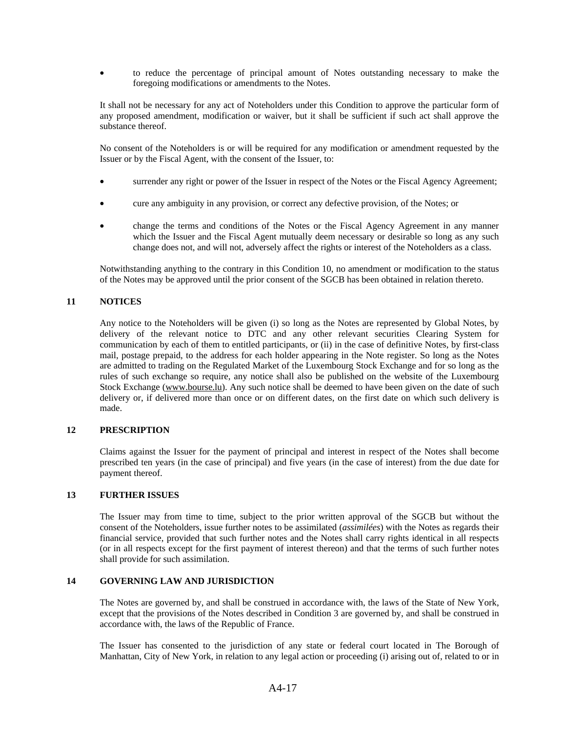• to reduce the percentage of principal amount of Notes outstanding necessary to make the foregoing modifications or amendments to the Notes.

It shall not be necessary for any act of Noteholders under this Condition to approve the particular form of any proposed amendment, modification or waiver, but it shall be sufficient if such act shall approve the substance thereof.

No consent of the Noteholders is or will be required for any modification or amendment requested by the Issuer or by the Fiscal Agent, with the consent of the Issuer, to:

- surrender any right or power of the Issuer in respect of the Notes or the Fiscal Agency Agreement;
- cure any ambiguity in any provision, or correct any defective provision, of the Notes; or
- change the terms and conditions of the Notes or the Fiscal Agency Agreement in any manner which the Issuer and the Fiscal Agent mutually deem necessary or desirable so long as any such change does not, and will not, adversely affect the rights or interest of the Noteholders as a class.

Notwithstanding anything to the contrary in this Condition 10, no amendment or modification to the status of the Notes may be approved until the prior consent of the SGCB has been obtained in relation thereto.

## **11 NOTICES**

Any notice to the Noteholders will be given (i) so long as the Notes are represented by Global Notes, by delivery of the relevant notice to DTC and any other relevant securities Clearing System for communication by each of them to entitled participants, or (ii) in the case of definitive Notes, by first-class mail, postage prepaid, to the address for each holder appearing in the Note register. So long as the Notes are admitted to trading on the Regulated Market of the Luxembourg Stock Exchange and for so long as the rules of such exchange so require, any notice shall also be published on the website of the Luxembourg Stock Exchange (www.bourse.lu). Any such notice shall be deemed to have been given on the date of such delivery or, if delivered more than once or on different dates, on the first date on which such delivery is made.

## **12 PRESCRIPTION**

Claims against the Issuer for the payment of principal and interest in respect of the Notes shall become prescribed ten years (in the case of principal) and five years (in the case of interest) from the due date for payment thereof.

#### **13 FURTHER ISSUES**

The Issuer may from time to time, subject to the prior written approval of the SGCB but without the consent of the Noteholders, issue further notes to be assimilated (*assimilées*) with the Notes as regards their financial service, provided that such further notes and the Notes shall carry rights identical in all respects (or in all respects except for the first payment of interest thereon) and that the terms of such further notes shall provide for such assimilation.

## **14 GOVERNING LAW AND JURISDICTION**

The Notes are governed by, and shall be construed in accordance with, the laws of the State of New York, except that the provisions of the Notes described in Condition 3 are governed by, and shall be construed in accordance with, the laws of the Republic of France.

The Issuer has consented to the jurisdiction of any state or federal court located in The Borough of Manhattan, City of New York, in relation to any legal action or proceeding (i) arising out of, related to or in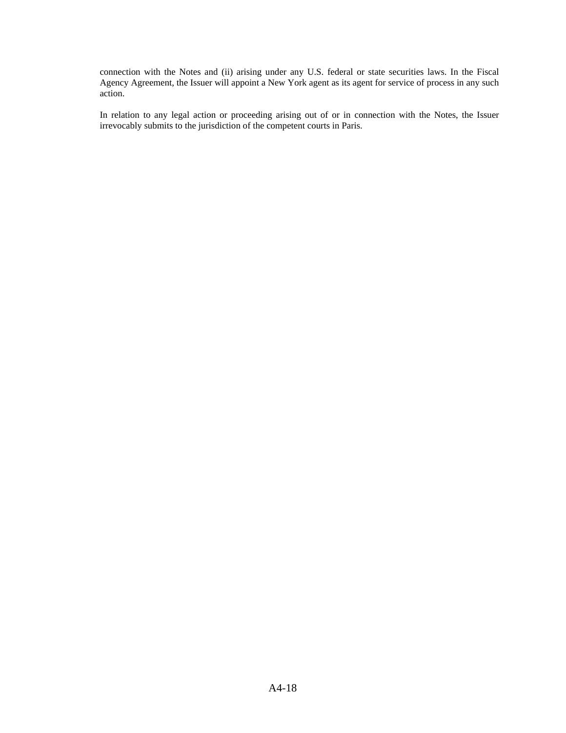connection with the Notes and (ii) arising under any U.S. federal or state securities laws. In the Fiscal Agency Agreement, the Issuer will appoint a New York agent as its agent for service of process in any such action.

In relation to any legal action or proceeding arising out of or in connection with the Notes, the Issuer irrevocably submits to the jurisdiction of the competent courts in Paris.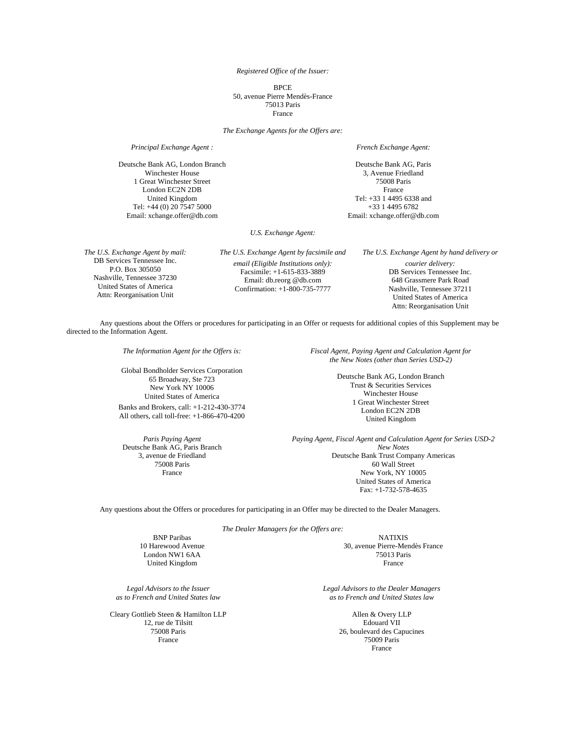*Registered Office of the Issuer:* 

**BPCE** 50, avenue Pierre Mendès-France 75013 Paris France

*The Exchange Agents for the Offers are:* 

Deutsche Bank AG, London Branch Winchester House 1 Great Winchester Street London EC2N 2DB United Kingdom Tel: +44 (0) 20 7547 5000 Email: xchange.offer@db.com

*Principal Exchange Agent : French Exchange Agent:*

Deutsche Bank AG, Paris 3, Avenue Friedland 75008 Paris France Tel: +33 1 4495 6338 and +33 1 4495 6782 Email: xchange.offer@db.com

*U.S. Exchange Agent:* 

*The U.S. Exchange Agent by mail:* DB Services Tennessee Inc. P.O. Box 305050 Nashville, Tennessee 37230 United States of America Attn: Reorganisation Unit

*The U.S. Exchange Agent by facsimile and email (Eligible Institutions only):* Facsimile: +1-615-833-3889 Email: db.reorg @db.com Confirmation: +1-800-735-7777

*The U.S. Exchange Agent by hand delivery or courier delivery:* DB Services Tennessee Inc. 648 Grassmere Park Road Nashville, Tennessee 37211 United States of America Attn: Reorganisation Unit

Any questions about the Offers or procedures for participating in an Offer or requests for additional copies of this Supplement may be directed to the Information Agent.

*The Information Agent for the Offers is:* 

Global Bondholder Services Corporation 65 Broadway, Ste 723 New York NY 10006 United States of America

Banks and Brokers, call: +1-212-430-3774 All others, call toll-free: +1-866-470-4200

*Paris Paying Agent*  Deutsche Bank AG, Paris Branch 3, avenue de Friedland 75008 Paris France

*Fiscal Agent, Paying Agent and Calculation Agent for the New Notes (other than Series USD-2)* 

> Deutsche Bank AG, London Branch Trust & Securities Services Winchester House 1 Great Winchester Street London EC2N 2DB United Kingdom

*Paying Agent, Fiscal Agent and Calculation Agent for Series USD-2 New Notes*  Deutsche Bank Trust Company Americas 60 Wall Street New York, NY 10005 United States of America Fax: +1-732-578-4635

Any questions about the Offers or procedures for participating in an Offer may be directed to the Dealer Managers.

*The Dealer Managers for the Offers are:* 

**BNP Paribas** NATIXIS 10 Harewood Avenue London NW1 6AA United Kingdom

30, avenue Pierre-Mendès France 75013 Paris France

*Legal Advisors to the Issuer* *as to French and United States law* 

Cleary Gottlieb Steen & Hamilton LLP 12, rue de Tilsitt 75008 Paris France

*Legal Advisors to the Dealer Managers as to French and United States law* 

> Allen & Overy LLP Edouard VII 26, boulevard des Capucines 75009 Paris France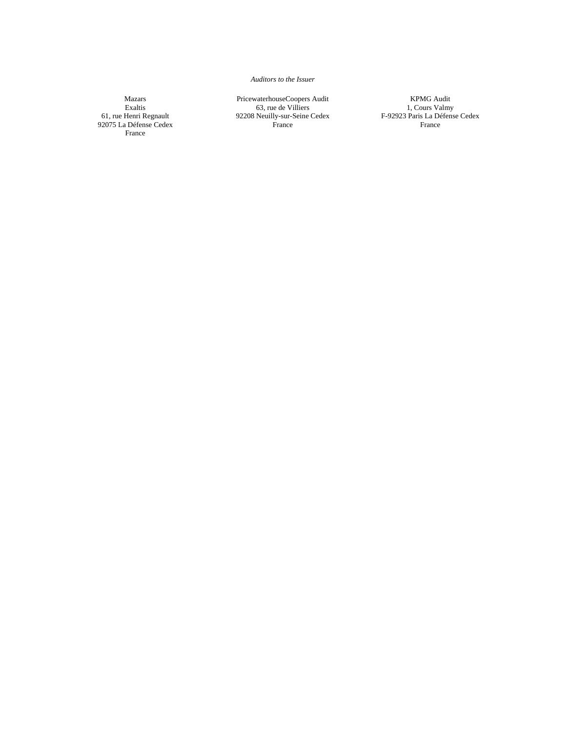*Auditors to the Issuer* 

Mazars Exaltis 61, rue Henri Regnault 92075 La Défense Cedex France

PricewaterhouseCoopers Audit 63, rue de Villiers 92208 Neuilly-sur-Seine Cedex France

KPMG Audit 1, Cours Valmy F-92923 Paris La Défense Cedex France